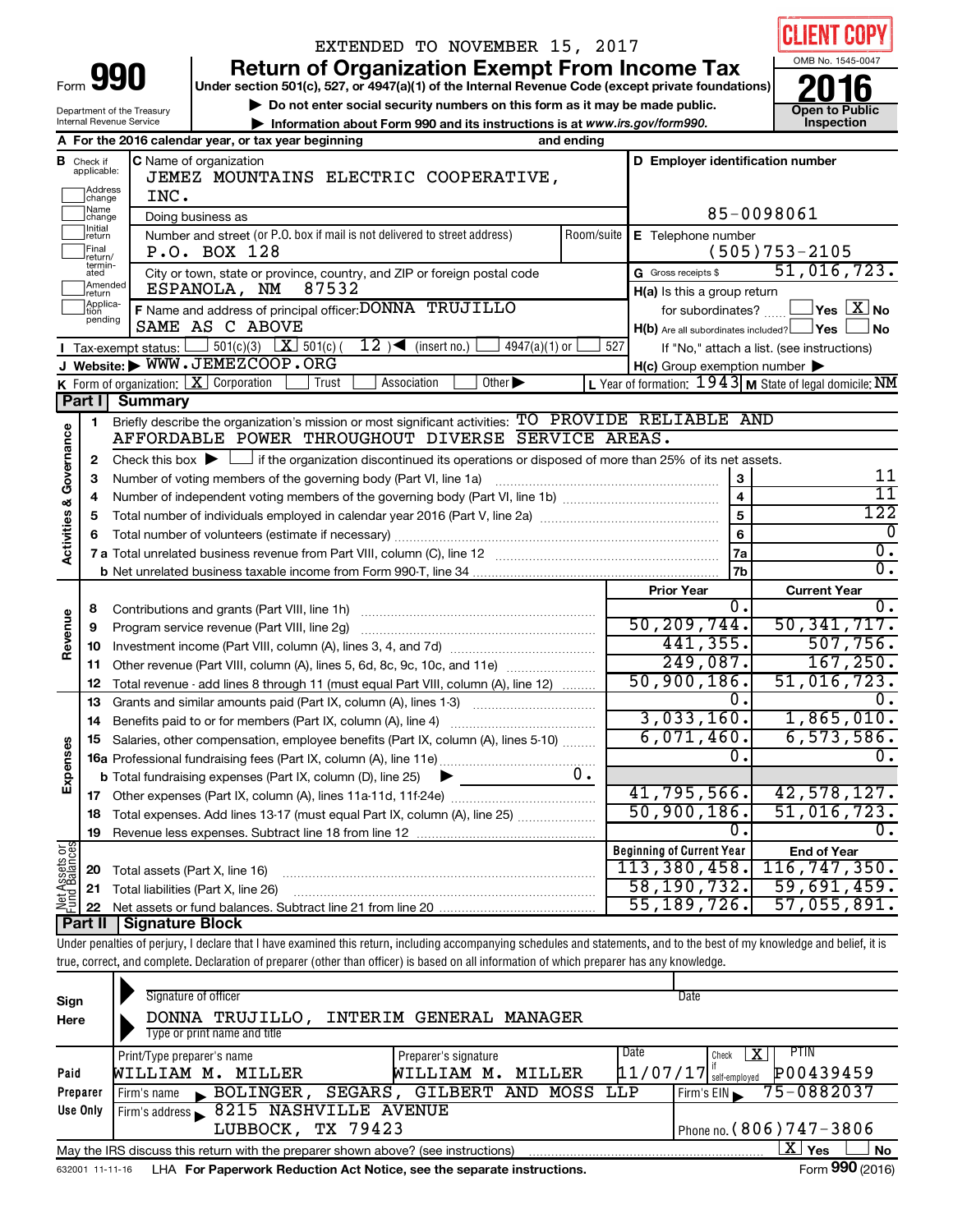|                                |                                                      |                                                        | EXTENDED TO NOVEMBER 15, 2017                                                                                                                                              |                                     |                     |                                  | <b>CLIENT COPY</b>                                        |  |  |  |
|--------------------------------|------------------------------------------------------|--------------------------------------------------------|----------------------------------------------------------------------------------------------------------------------------------------------------------------------------|-------------------------------------|---------------------|----------------------------------|-----------------------------------------------------------|--|--|--|
|                                |                                                      |                                                        | <b>Return of Organization Exempt From Income Tax</b>                                                                                                                       |                                     |                     |                                  | OMB No. 1545-0047                                         |  |  |  |
| Form                           |                                                      | 990                                                    | Under section 501(c), 527, or 4947(a)(1) of the Internal Revenue Code (except private foundations)                                                                         |                                     |                     |                                  |                                                           |  |  |  |
|                                |                                                      |                                                        | Do not enter social security numbers on this form as it may be made public.                                                                                                |                                     |                     |                                  |                                                           |  |  |  |
|                                |                                                      | Department of the Treasury<br>Internal Revenue Service |                                                                                                                                                                            | <b>Open to Public</b><br>Inspection |                     |                                  |                                                           |  |  |  |
|                                |                                                      |                                                        | Information about Form 990 and its instructions is at www.irs.gov/form990.<br>A For the 2016 calendar year, or tax year beginning<br>and ending                            |                                     |                     |                                  |                                                           |  |  |  |
|                                | <b>B</b> Check if<br>applicable:                     |                                                        | <b>C</b> Name of organization                                                                                                                                              |                                     |                     |                                  | D Employer identification number                          |  |  |  |
|                                | Address                                              |                                                        | JEMEZ MOUNTAINS ELECTRIC COOPERATIVE,                                                                                                                                      |                                     |                     |                                  |                                                           |  |  |  |
|                                | change<br>Name                                       | INC.                                                   |                                                                                                                                                                            |                                     |                     |                                  |                                                           |  |  |  |
|                                | 85-0098061<br>Doing business as<br>change<br>Initial |                                                        |                                                                                                                                                                            |                                     |                     |                                  |                                                           |  |  |  |
|                                | ]return<br>Final<br>return/<br>termin-               |                                                        | Number and street (or P.O. box if mail is not delivered to street address)<br>P.O. BOX 128                                                                                 | Room/suite                          |                     | <b>E</b> Telephone number        | $(505)753 - 2105$                                         |  |  |  |
|                                | ated<br>Amended                                      |                                                        | City or town, state or province, country, and ZIP or foreign postal code<br>87532<br>ESPANOLA, NM                                                                          |                                     | G Gross receipts \$ | H(a) Is this a group return      | 51,016,723.                                               |  |  |  |
|                                | Ireturn<br>Applica-<br>tion                          |                                                        | F Name and address of principal officer: DONNA TRUJILLO                                                                                                                    |                                     |                     | for subordinates?                | $\Box$ Yes $[\overline{\mathrm{X}}]$ No                   |  |  |  |
|                                | pending                                              |                                                        | SAME AS C ABOVE                                                                                                                                                            |                                     |                     |                                  | $H(b)$ Are all subordinates included? $\Box$ Yes<br>∫ No  |  |  |  |
|                                |                                                      | Tax-exempt status: l                                   | $12$ ) (insert no.)<br>$\frac{1}{201(c)(3)}$ $\overline{\mathbf{X}}$ 501(c)(<br>$4947(a)(1)$ or                                                                            | 527                                 |                     |                                  | If "No," attach a list. (see instructions)                |  |  |  |
|                                |                                                      |                                                        | J Website: WWW.JEMEZCOOP.ORG                                                                                                                                               |                                     |                     | H(c) Group exemption number      |                                                           |  |  |  |
|                                |                                                      |                                                        | K Form of organization: X Corporation<br>Other $\blacktriangleright$<br>Association<br>Trust                                                                               |                                     |                     |                                  | L Year of formation: $1943$ M State of legal domicile: NM |  |  |  |
|                                | Part I                                               | <b>Summary</b>                                         | Briefly describe the organization's mission or most significant activities: TO PROVIDE RELIABLE AND                                                                        |                                     |                     |                                  |                                                           |  |  |  |
| Activities & Governance        | 1.                                                   |                                                        |                                                                                                                                                                            |                                     |                     |                                  |                                                           |  |  |  |
|                                | 2                                                    |                                                        | Check this box $\blacktriangleright$ $\Box$ if the organization discontinued its operations or disposed of more than 25% of its net assets.                                |                                     |                     |                                  |                                                           |  |  |  |
|                                | З                                                    |                                                        | Number of voting members of the governing body (Part VI, line 1a)                                                                                                          |                                     |                     | 3                                | 11                                                        |  |  |  |
|                                | 4                                                    |                                                        |                                                                                                                                                                            |                                     |                     | $\overline{4}$                   | $\overline{11}$                                           |  |  |  |
|                                | 5                                                    |                                                        |                                                                                                                                                                            |                                     |                     | $\overline{5}$                   | 122                                                       |  |  |  |
|                                | 6                                                    |                                                        |                                                                                                                                                                            |                                     |                     | $6\phantom{1}$                   | 0                                                         |  |  |  |
|                                |                                                      |                                                        |                                                                                                                                                                            |                                     |                     | 7a                               | $\overline{0}$ .                                          |  |  |  |
|                                |                                                      |                                                        |                                                                                                                                                                            |                                     | <b>7b</b>           | $\overline{0}$ .                 |                                                           |  |  |  |
|                                |                                                      |                                                        |                                                                                                                                                                            |                                     | <b>Prior Year</b>   |                                  | <b>Current Year</b>                                       |  |  |  |
|                                | 8                                                    |                                                        |                                                                                                                                                                            |                                     |                     | Ο.<br>50, 209, 744.              | 0.<br>50, 341, 717.                                       |  |  |  |
| Revenue                        | 9                                                    |                                                        | Program service revenue (Part VIII, line 2g)                                                                                                                               |                                     |                     | 441, 355.                        | 507,756.                                                  |  |  |  |
|                                | 10                                                   |                                                        | Other revenue (Part VIII, column (A), lines 5, 6d, 8c, 9c, 10c, and 11e)                                                                                                   |                                     |                     | 249,087.                         | 167, 250.                                                 |  |  |  |
|                                | 11<br>12                                             |                                                        | Total revenue - add lines 8 through 11 (must equal Part VIII, column (A), line 12)                                                                                         |                                     |                     | 50,900,186.                      | 51,016,723.                                               |  |  |  |
|                                |                                                      |                                                        | 13 Grants and similar amounts paid (Part IX, column (A), lines 1-3)                                                                                                        |                                     |                     | 0.                               | 0.                                                        |  |  |  |
|                                |                                                      |                                                        | 14 Benefits paid to or for members (Part IX, column (A), line 4)                                                                                                           |                                     |                     | 3,033,160.                       | 1,865,010.                                                |  |  |  |
|                                | 15                                                   |                                                        | Salaries, other compensation, employee benefits (Part IX, column (A), lines 5-10)                                                                                          |                                     |                     | 6,071,460.                       | 6,573,586.                                                |  |  |  |
| Expenses                       |                                                      |                                                        |                                                                                                                                                                            |                                     |                     | О.                               | $\overline{0}$ .                                          |  |  |  |
|                                |                                                      |                                                        | 0.<br><b>b</b> Total fundraising expenses (Part IX, column (D), line 25)                                                                                                   |                                     |                     |                                  |                                                           |  |  |  |
|                                | 17                                                   |                                                        |                                                                                                                                                                            |                                     |                     | 41, 795, 566.                    | 42,578,127.                                               |  |  |  |
|                                | 18                                                   |                                                        | Total expenses. Add lines 13-17 (must equal Part IX, column (A), line 25)                                                                                                  |                                     |                     | 50,900,186.                      | 51,016,723.                                               |  |  |  |
|                                | 19                                                   |                                                        |                                                                                                                                                                            |                                     |                     | 0.                               | 0.                                                        |  |  |  |
| Net Assets or<br>Fund Balances |                                                      |                                                        |                                                                                                                                                                            |                                     |                     | <b>Beginning of Current Year</b> | <b>End of Year</b>                                        |  |  |  |
|                                | 20                                                   | Total assets (Part X, line 16)                         |                                                                                                                                                                            |                                     |                     | 113,380,458.                     | 116, 747, 350.                                            |  |  |  |
|                                | 21                                                   |                                                        | Total liabilities (Part X, line 26)                                                                                                                                        |                                     |                     | 58,190,732.                      | 59,691,459.                                               |  |  |  |
|                                | 22                                                   |                                                        |                                                                                                                                                                            |                                     |                     | 55, 189, 726.                    | 57,055,891.                                               |  |  |  |
|                                | Part II                                              | <b>Signature Block</b>                                 |                                                                                                                                                                            |                                     |                     |                                  |                                                           |  |  |  |
|                                |                                                      |                                                        | Under penalties of perjury, I declare that I have examined this return, including accompanying schedules and statements, and to the best of my knowledge and belief, it is |                                     |                     |                                  |                                                           |  |  |  |
|                                |                                                      |                                                        | true, correct, and complete. Declaration of preparer (other than officer) is based on all information of which preparer has any knowledge.                                 |                                     |                     |                                  |                                                           |  |  |  |
|                                |                                                      |                                                        |                                                                                                                                                                            |                                     |                     |                                  |                                                           |  |  |  |

| Sign<br>Here | Signature of officer<br>DONNA TRUJILLO, INTERIM GENERAL MANAGER<br>Type or print name and title |                              | Date                      |                        |  |  |  |  |  |  |
|--------------|-------------------------------------------------------------------------------------------------|------------------------------|---------------------------|------------------------|--|--|--|--|--|--|
|              | Print/Type preparer's name                                                                      | Preparer's signature         | Date<br>Check             | <b>PTIN</b>            |  |  |  |  |  |  |
| Paid         | WILLIAM M. MILLER                                                                               | WILLIAM M. MILLER            | 11/07/17<br>self-emploved | P00439459              |  |  |  |  |  |  |
| Preparer     | $\blacksquare$ BOLINGER,<br>Firm's name                                                         | SEGARS, GILBERT AND MOSS LLP | Firm's $EIN$              | 75-0882037             |  |  |  |  |  |  |
| Use Only     | Firm's address 8215 NASHVILLE AVENUE<br>LUBBOCK, TX 79423<br>Phone no. $(806)$ 747 - 3806       |                              |                           |                        |  |  |  |  |  |  |
|              | May the IRS discuss this return with the preparer shown above? (see instructions)               |                              |                           | ΧI<br>Yes<br><b>No</b> |  |  |  |  |  |  |
|              |                                                                                                 |                              |                           | $0.00 \div 0.00$       |  |  |  |  |  |  |

632001 11-11-16 **For Paperwork Reduction Act Notice, see the separate instructions.** LHA Form (2016)

Form **990** (2016)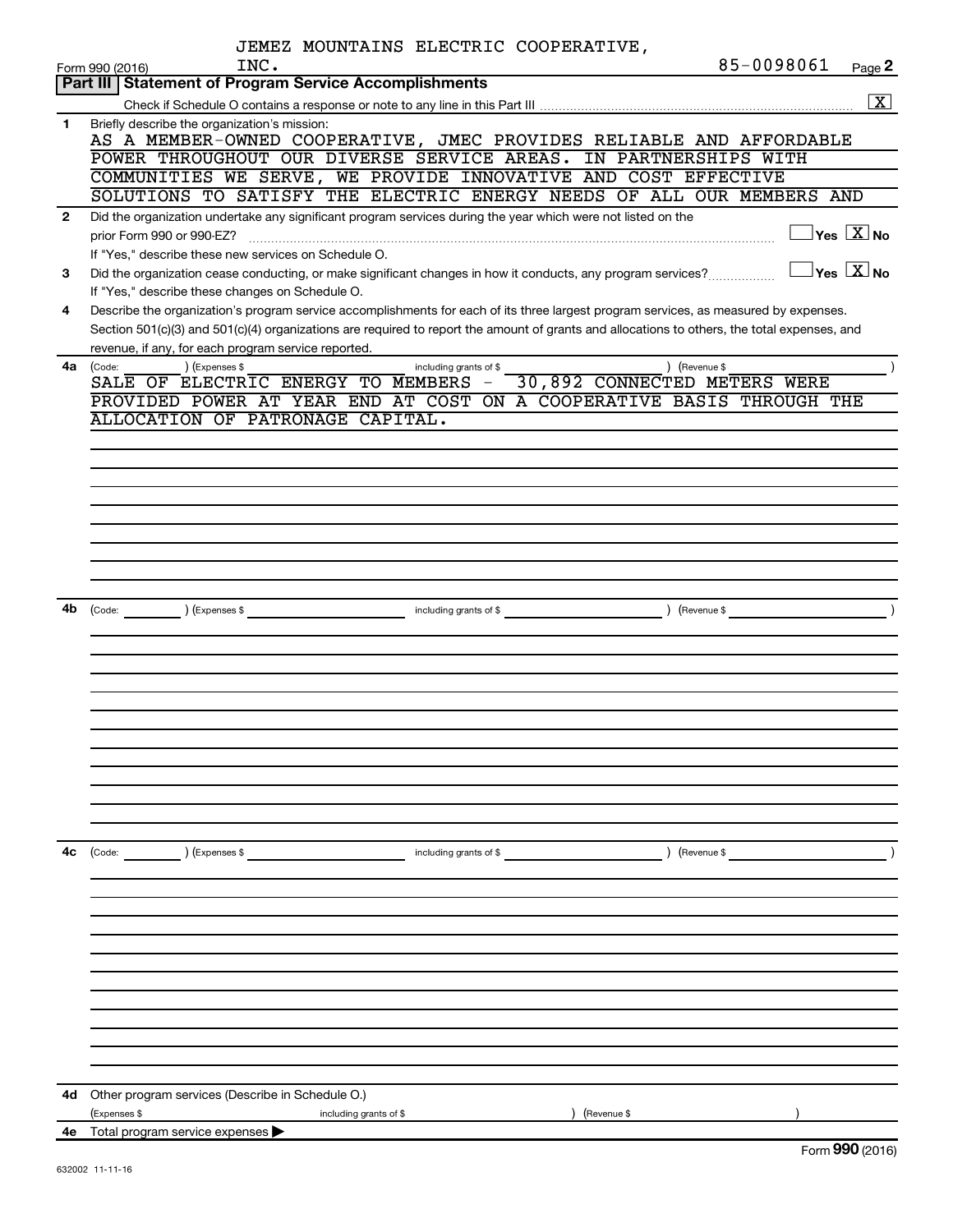|                | JEMEZ MOUNTAINS ELECTRIC COOPERATIVE,                                                                                                                                |                                             |
|----------------|----------------------------------------------------------------------------------------------------------------------------------------------------------------------|---------------------------------------------|
|                | INC.<br>Form 990 (2016)<br>Part III   Statement of Program Service Accomplishments                                                                                   | 85-0098061<br>Page 2                        |
|                |                                                                                                                                                                      | $\boxed{\text{X}}$                          |
| 1              | Briefly describe the organization's mission:                                                                                                                         |                                             |
|                | AS A MEMBER-OWNED COOPERATIVE, JMEC PROVIDES RELIABLE AND AFFORDABLE                                                                                                 |                                             |
|                | POWER THROUGHOUT OUR DIVERSE SERVICE AREAS. IN PARTNERSHIPS WITH                                                                                                     |                                             |
|                | COMMUNITIES WE SERVE, WE PROVIDE INNOVATIVE AND COST EFFECTIVE                                                                                                       |                                             |
|                | SOLUTIONS TO SATISFY THE ELECTRIC ENERGY NEEDS OF ALL OUR MEMBERS AND                                                                                                |                                             |
| $\overline{2}$ | Did the organization undertake any significant program services during the year which were not listed on the                                                         |                                             |
|                |                                                                                                                                                                      | $\overline{\ }$ Yes $\overline{\ \rm X}$ No |
| 3              | If "Yes," describe these new services on Schedule O.<br>Did the organization cease conducting, or make significant changes in how it conducts, any program services? | $\Box$ Yes $\Box X$ No                      |
|                | If "Yes," describe these changes on Schedule O.                                                                                                                      |                                             |
| 4              | Describe the organization's program service accomplishments for each of its three largest program services, as measured by expenses.                                 |                                             |
|                | Section 501(c)(3) and 501(c)(4) organizations are required to report the amount of grants and allocations to others, the total expenses, and                         |                                             |
|                | revenue, if any, for each program service reported.                                                                                                                  |                                             |
| 4a l           | ) (Expenses \$<br>) (Revenue \$<br>(Code:<br>including grants of \$                                                                                                  |                                             |
|                | SALE OF ELECTRIC ENERGY TO MEMBERS<br>30,892 CONNECTED METERS WERE                                                                                                   |                                             |
|                | PROVIDED POWER AT YEAR END AT COST ON A COOPERATIVE BASIS THROUGH THE<br>ALLOCATION OF PATRONAGE CAPITAL.                                                            |                                             |
|                |                                                                                                                                                                      |                                             |
|                |                                                                                                                                                                      |                                             |
|                |                                                                                                                                                                      |                                             |
|                |                                                                                                                                                                      |                                             |
|                |                                                                                                                                                                      |                                             |
|                |                                                                                                                                                                      |                                             |
|                |                                                                                                                                                                      |                                             |
|                |                                                                                                                                                                      |                                             |
| 4b             |                                                                                                                                                                      |                                             |
|                | (Code: ) (Expenses \$ contains a micluding grants of \$ code: ) (Revenue \$ code:                                                                                    |                                             |
|                |                                                                                                                                                                      |                                             |
|                |                                                                                                                                                                      |                                             |
|                |                                                                                                                                                                      |                                             |
|                |                                                                                                                                                                      |                                             |
|                |                                                                                                                                                                      |                                             |
|                |                                                                                                                                                                      |                                             |
|                |                                                                                                                                                                      |                                             |
|                |                                                                                                                                                                      |                                             |
|                |                                                                                                                                                                      |                                             |
|                |                                                                                                                                                                      |                                             |
| 4c             | $\left(\text{Code:}\right)$ $\left(\text{Expenses $}\right)$<br>including grants of \$                                                                               | $($ Revenue \$                              |
|                |                                                                                                                                                                      |                                             |
|                |                                                                                                                                                                      |                                             |
|                |                                                                                                                                                                      |                                             |
|                |                                                                                                                                                                      |                                             |
|                |                                                                                                                                                                      |                                             |
|                |                                                                                                                                                                      |                                             |
|                |                                                                                                                                                                      |                                             |
|                |                                                                                                                                                                      |                                             |
|                |                                                                                                                                                                      |                                             |
|                |                                                                                                                                                                      |                                             |
|                |                                                                                                                                                                      |                                             |
| 4d             | Other program services (Describe in Schedule O.)                                                                                                                     |                                             |
|                | ) (Revenue \$<br>(Expenses \$<br>including grants of \$                                                                                                              |                                             |
|                | 4e Total program service expenses                                                                                                                                    | Form 990 (2016)                             |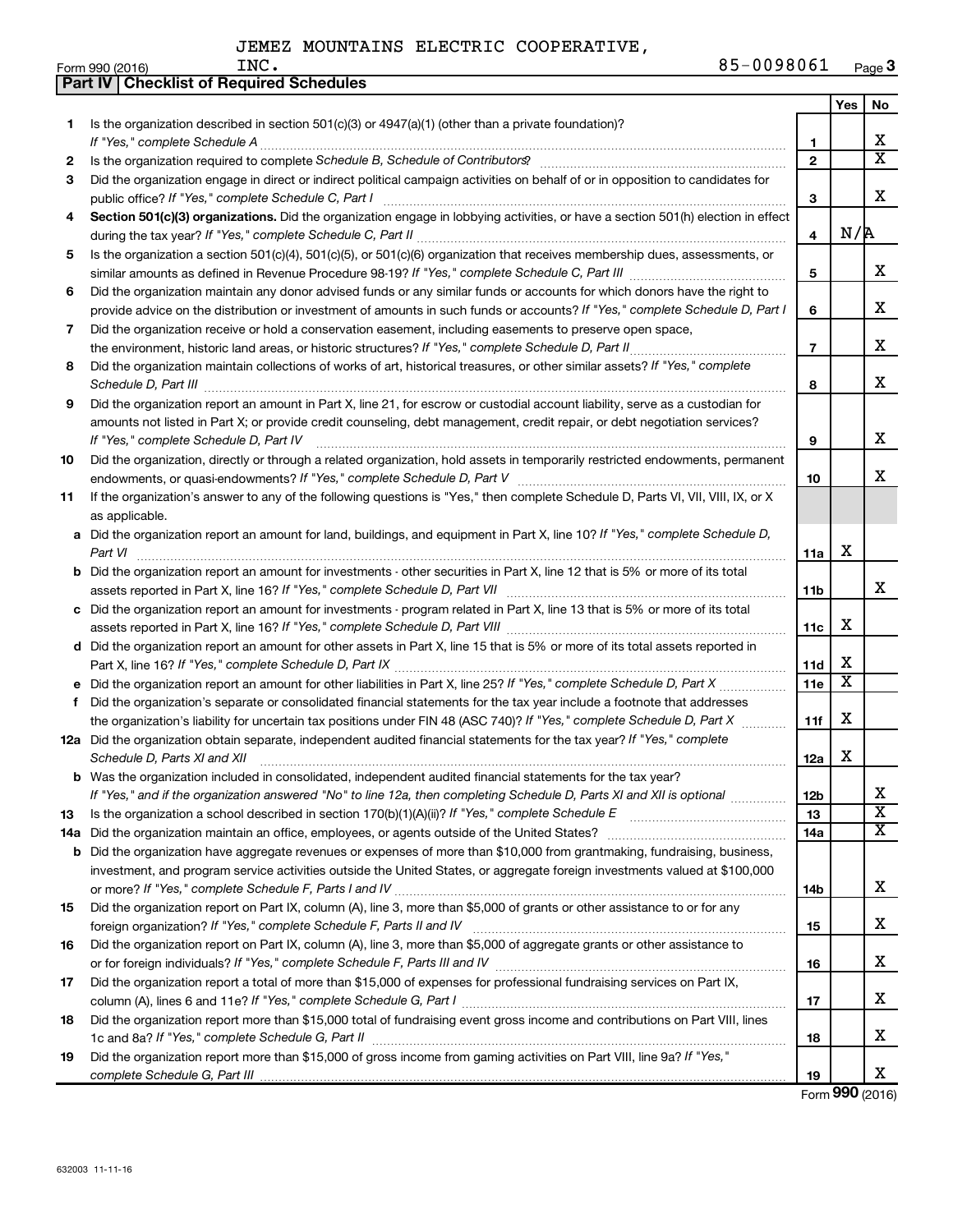|    | Part IV   Checklist of Required Schedules                                                                                            |                 |                         |                         |
|----|--------------------------------------------------------------------------------------------------------------------------------------|-----------------|-------------------------|-------------------------|
|    |                                                                                                                                      |                 | Yes                     | No                      |
| 1  | Is the organization described in section 501(c)(3) or $4947(a)(1)$ (other than a private foundation)?                                |                 |                         |                         |
|    |                                                                                                                                      | 1               |                         | x                       |
| 2  |                                                                                                                                      | $\overline{2}$  |                         | $\overline{\mathtt{x}}$ |
| 3  | Did the organization engage in direct or indirect political campaign activities on behalf of or in opposition to candidates for      |                 |                         |                         |
|    | public office? If "Yes," complete Schedule C, Part I                                                                                 | 3               |                         | x                       |
| 4  | Section 501(c)(3) organizations. Did the organization engage in lobbying activities, or have a section 501(h) election in effect     |                 |                         |                         |
|    |                                                                                                                                      | 4               | N/R                     |                         |
| 5  | Is the organization a section 501(c)(4), 501(c)(5), or 501(c)(6) organization that receives membership dues, assessments, or         |                 |                         |                         |
|    |                                                                                                                                      | 5               |                         | x                       |
| 6  | Did the organization maintain any donor advised funds or any similar funds or accounts for which donors have the right to            |                 |                         |                         |
|    | provide advice on the distribution or investment of amounts in such funds or accounts? If "Yes," complete Schedule D, Part I         | 6               |                         | х                       |
| 7  |                                                                                                                                      |                 |                         |                         |
|    | Did the organization receive or hold a conservation easement, including easements to preserve open space,                            | $\overline{7}$  |                         | х                       |
|    | the environment, historic land areas, or historic structures? If "Yes," complete Schedule D, Part II                                 |                 |                         |                         |
| 8  | Did the organization maintain collections of works of art, historical treasures, or other similar assets? If "Yes," complete         |                 |                         | x                       |
|    |                                                                                                                                      | 8               |                         |                         |
| 9  | Did the organization report an amount in Part X, line 21, for escrow or custodial account liability, serve as a custodian for        |                 |                         |                         |
|    | amounts not listed in Part X; or provide credit counseling, debt management, credit repair, or debt negotiation services?            |                 |                         |                         |
|    | If "Yes," complete Schedule D, Part IV                                                                                               | 9               |                         | x                       |
| 10 | Did the organization, directly or through a related organization, hold assets in temporarily restricted endowments, permanent        |                 |                         |                         |
|    |                                                                                                                                      | 10              |                         | x                       |
| 11 | If the organization's answer to any of the following questions is "Yes," then complete Schedule D, Parts VI, VII, VIII, IX, or X     |                 |                         |                         |
|    | as applicable.                                                                                                                       |                 |                         |                         |
|    | a Did the organization report an amount for land, buildings, and equipment in Part X, line 10? If "Yes," complete Schedule D,        |                 |                         |                         |
|    | Part VI                                                                                                                              | 11a             | х                       |                         |
|    | <b>b</b> Did the organization report an amount for investments - other securities in Part X, line 12 that is 5% or more of its total |                 |                         |                         |
|    |                                                                                                                                      | 11 <sub>b</sub> |                         | x                       |
|    | c Did the organization report an amount for investments - program related in Part X, line 13 that is 5% or more of its total         |                 |                         |                         |
|    |                                                                                                                                      | 11c             | х                       |                         |
|    | d Did the organization report an amount for other assets in Part X, line 15 that is 5% or more of its total assets reported in       |                 |                         |                         |
|    |                                                                                                                                      | 11d             | х                       |                         |
|    | e Did the organization report an amount for other liabilities in Part X, line 25? If "Yes," complete Schedule D, Part X              | 11e             | $\overline{\textbf{x}}$ |                         |
| f  | Did the organization's separate or consolidated financial statements for the tax year include a footnote that addresses              |                 |                         |                         |
|    | the organization's liability for uncertain tax positions under FIN 48 (ASC 740)? If "Yes," complete Schedule D, Part X               | 11f             | X                       |                         |
|    | 12a Did the organization obtain separate, independent audited financial statements for the tax year? If "Yes," complete              |                 |                         |                         |
|    | Schedule D, Parts XI and XII                                                                                                         | 12a             | X                       |                         |
|    | b Was the organization included in consolidated, independent audited financial statements for the tax year?                          |                 |                         |                         |
|    | If "Yes," and if the organization answered "No" to line 12a, then completing Schedule D, Parts XI and XII is optional                | 12b             |                         | x                       |
| 13 | Is the organization a school described in section 170(b)(1)(A)(ii)? If "Yes," complete Schedule E [[[[[[[[[[[                        | 13              |                         | $\overline{\textbf{x}}$ |
|    | 14a Did the organization maintain an office, employees, or agents outside of the United States?                                      | 14a             |                         | $\overline{\text{X}}$   |
|    | <b>b</b> Did the organization have aggregate revenues or expenses of more than \$10,000 from grantmaking, fundraising, business,     |                 |                         |                         |
|    | investment, and program service activities outside the United States, or aggregate foreign investments valued at \$100,000           |                 |                         |                         |
|    |                                                                                                                                      | 14b             |                         | x                       |
| 15 | Did the organization report on Part IX, column (A), line 3, more than \$5,000 of grants or other assistance to or for any            |                 |                         |                         |
|    |                                                                                                                                      | 15              |                         | x                       |
| 16 | Did the organization report on Part IX, column (A), line 3, more than \$5,000 of aggregate grants or other assistance to             |                 |                         |                         |
|    |                                                                                                                                      | 16              |                         | х                       |
| 17 | Did the organization report a total of more than \$15,000 of expenses for professional fundraising services on Part IX,              |                 |                         |                         |
|    |                                                                                                                                      | 17              |                         | х                       |
| 18 | Did the organization report more than \$15,000 total of fundraising event gross income and contributions on Part VIII, lines         |                 |                         |                         |
|    |                                                                                                                                      | 18              |                         | x                       |
| 19 | Did the organization report more than \$15,000 of gross income from gaming activities on Part VIII, line 9a? If "Yes,"               |                 |                         |                         |
|    |                                                                                                                                      | 19              |                         | х                       |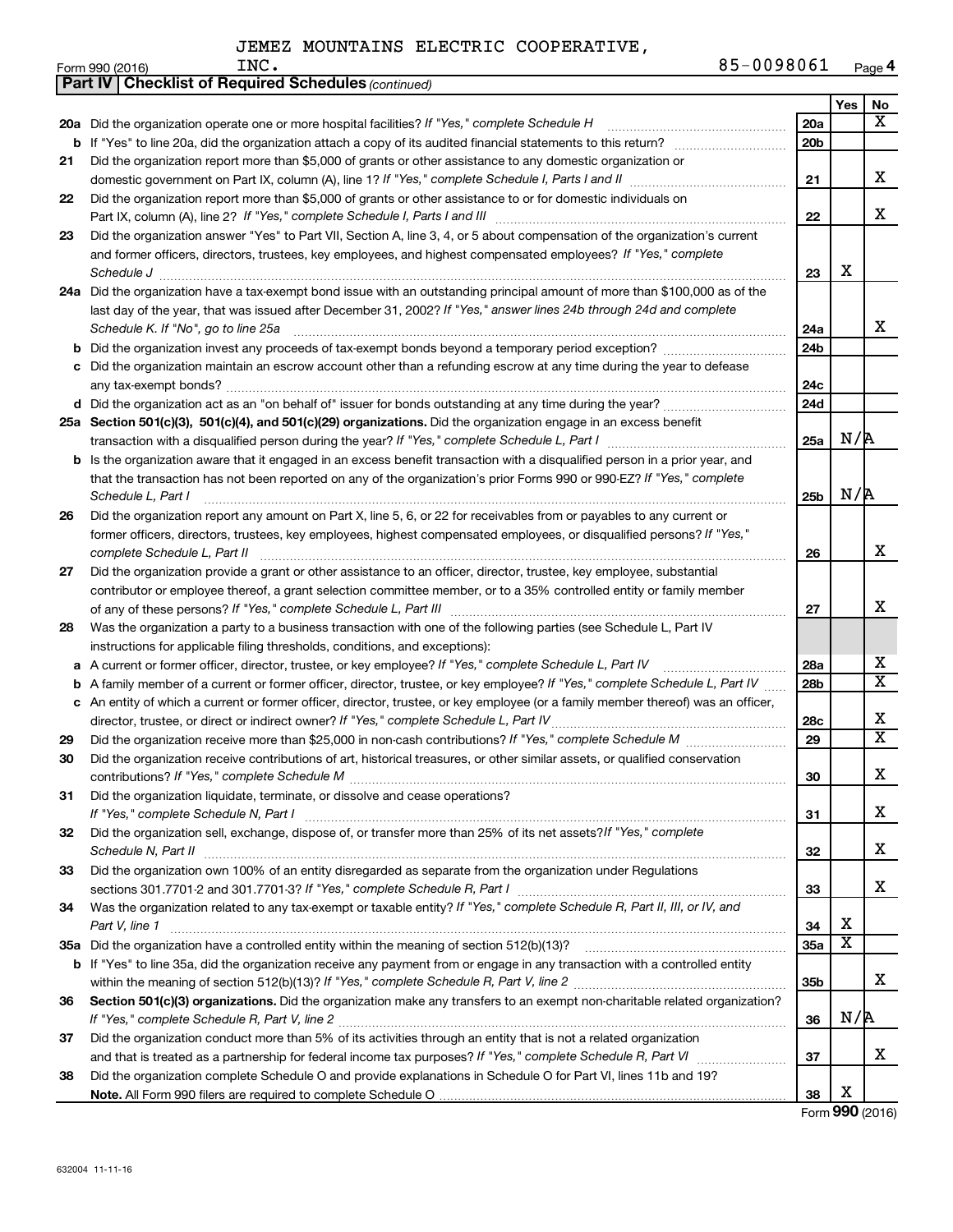|    | <b>Part IV   Checklist of Required Schedules (continued)</b>                                                                      |                 |                         |                         |
|----|-----------------------------------------------------------------------------------------------------------------------------------|-----------------|-------------------------|-------------------------|
|    |                                                                                                                                   |                 | Yes                     | No                      |
|    | 20a Did the organization operate one or more hospital facilities? If "Yes," complete Schedule H                                   | <b>20a</b>      |                         | x                       |
| b  | If "Yes" to line 20a, did the organization attach a copy of its audited financial statements to this return?                      | 20 <sub>b</sub> |                         |                         |
| 21 | Did the organization report more than \$5,000 of grants or other assistance to any domestic organization or                       |                 |                         |                         |
|    |                                                                                                                                   | 21              |                         | х                       |
| 22 | Did the organization report more than \$5,000 of grants or other assistance to or for domestic individuals on                     |                 |                         |                         |
|    | Part IX, column (A), line 2? If "Yes," complete Schedule I, Parts I and III [11]] [11]] [11] [11] [11] [11] [1                    | 22              |                         | x                       |
| 23 | Did the organization answer "Yes" to Part VII, Section A, line 3, 4, or 5 about compensation of the organization's current        |                 |                         |                         |
|    | and former officers, directors, trustees, key employees, and highest compensated employees? If "Yes," complete                    |                 |                         |                         |
|    | Schedule J <b>Execute Schedule J Execute Schedule J</b>                                                                           | 23              | X                       |                         |
|    | 24a Did the organization have a tax-exempt bond issue with an outstanding principal amount of more than \$100,000 as of the       |                 |                         |                         |
|    | last day of the year, that was issued after December 31, 2002? If "Yes," answer lines 24b through 24d and complete                |                 |                         |                         |
|    | Schedule K. If "No", go to line 25a                                                                                               | 24a             |                         | x                       |
| b  |                                                                                                                                   | 24 <sub>b</sub> |                         |                         |
|    | Did the organization maintain an escrow account other than a refunding escrow at any time during the year to defease              |                 |                         |                         |
|    |                                                                                                                                   | 24c             |                         |                         |
|    |                                                                                                                                   | 24 <sub>d</sub> |                         |                         |
|    | 25a Section 501(c)(3), 501(c)(4), and 501(c)(29) organizations. Did the organization engage in an excess benefit                  |                 |                         |                         |
|    |                                                                                                                                   | 25a             | N/R                     |                         |
| b  | Is the organization aware that it engaged in an excess benefit transaction with a disqualified person in a prior year, and        |                 |                         |                         |
|    | that the transaction has not been reported on any of the organization's prior Forms 990 or 990-EZ? If "Yes," complete             |                 |                         |                         |
|    | Schedule L, Part I                                                                                                                | 25 <sub>b</sub> | N/R                     |                         |
| 26 | Did the organization report any amount on Part X, line 5, 6, or 22 for receivables from or payables to any current or             |                 |                         |                         |
|    | former officers, directors, trustees, key employees, highest compensated employees, or disqualified persons? If "Yes,"            |                 |                         |                         |
|    | complete Schedule L, Part II                                                                                                      | 26              |                         | X                       |
| 27 | Did the organization provide a grant or other assistance to an officer, director, trustee, key employee, substantial              |                 |                         |                         |
|    | contributor or employee thereof, a grant selection committee member, or to a 35% controlled entity or family member               |                 |                         |                         |
|    |                                                                                                                                   | 27              |                         | X                       |
| 28 | Was the organization a party to a business transaction with one of the following parties (see Schedule L, Part IV                 |                 |                         |                         |
|    | instructions for applicable filing thresholds, conditions, and exceptions):                                                       |                 |                         |                         |
| а  | A current or former officer, director, trustee, or key employee? If "Yes," complete Schedule L, Part IV                           | 28a             |                         | х                       |
| b  | A family member of a current or former officer, director, trustee, or key employee? If "Yes," complete Schedule L, Part IV        | 28 <sub>b</sub> |                         | $\overline{\texttt{x}}$ |
|    | c An entity of which a current or former officer, director, trustee, or key employee (or a family member thereof) was an officer, |                 |                         |                         |
|    | director, trustee, or direct or indirect owner? If "Yes," complete Schedule L, Part IV                                            | 28c             |                         | х                       |
| 29 |                                                                                                                                   | 29              |                         | $\overline{\text{X}}$   |
| 30 | Did the organization receive contributions of art, historical treasures, or other similar assets, or qualified conservation       |                 |                         |                         |
|    |                                                                                                                                   | 30              |                         | Χ                       |
| 31 | Did the organization liquidate, terminate, or dissolve and cease operations?                                                      |                 |                         |                         |
|    |                                                                                                                                   | 31              |                         | х                       |
| 32 | Did the organization sell, exchange, dispose of, or transfer more than 25% of its net assets?/f "Yes," complete                   |                 |                         | х                       |
|    |                                                                                                                                   | 32              |                         |                         |
| 33 | Did the organization own 100% of an entity disregarded as separate from the organization under Regulations                        |                 |                         | х                       |
|    |                                                                                                                                   | 33              |                         |                         |
| 34 | Was the organization related to any tax-exempt or taxable entity? If "Yes," complete Schedule R, Part II, III, or IV, and         |                 | X                       |                         |
|    | Part V, line 1                                                                                                                    | 34              | $\overline{\mathbf{X}}$ |                         |
|    |                                                                                                                                   | 35a             |                         |                         |
| b  | If "Yes" to line 35a, did the organization receive any payment from or engage in any transaction with a controlled entity         |                 |                         | x                       |
|    |                                                                                                                                   | 35 <sub>b</sub> |                         |                         |
| 36 | Section 501(c)(3) organizations. Did the organization make any transfers to an exempt non-charitable related organization?        |                 | N/R                     |                         |
|    |                                                                                                                                   | 36              |                         |                         |
| 37 | Did the organization conduct more than 5% of its activities through an entity that is not a related organization                  |                 |                         | х                       |
|    |                                                                                                                                   | 37              |                         |                         |
| 38 | Did the organization complete Schedule O and provide explanations in Schedule O for Part VI, lines 11b and 19?                    | 38              | х                       |                         |
|    |                                                                                                                                   |                 |                         |                         |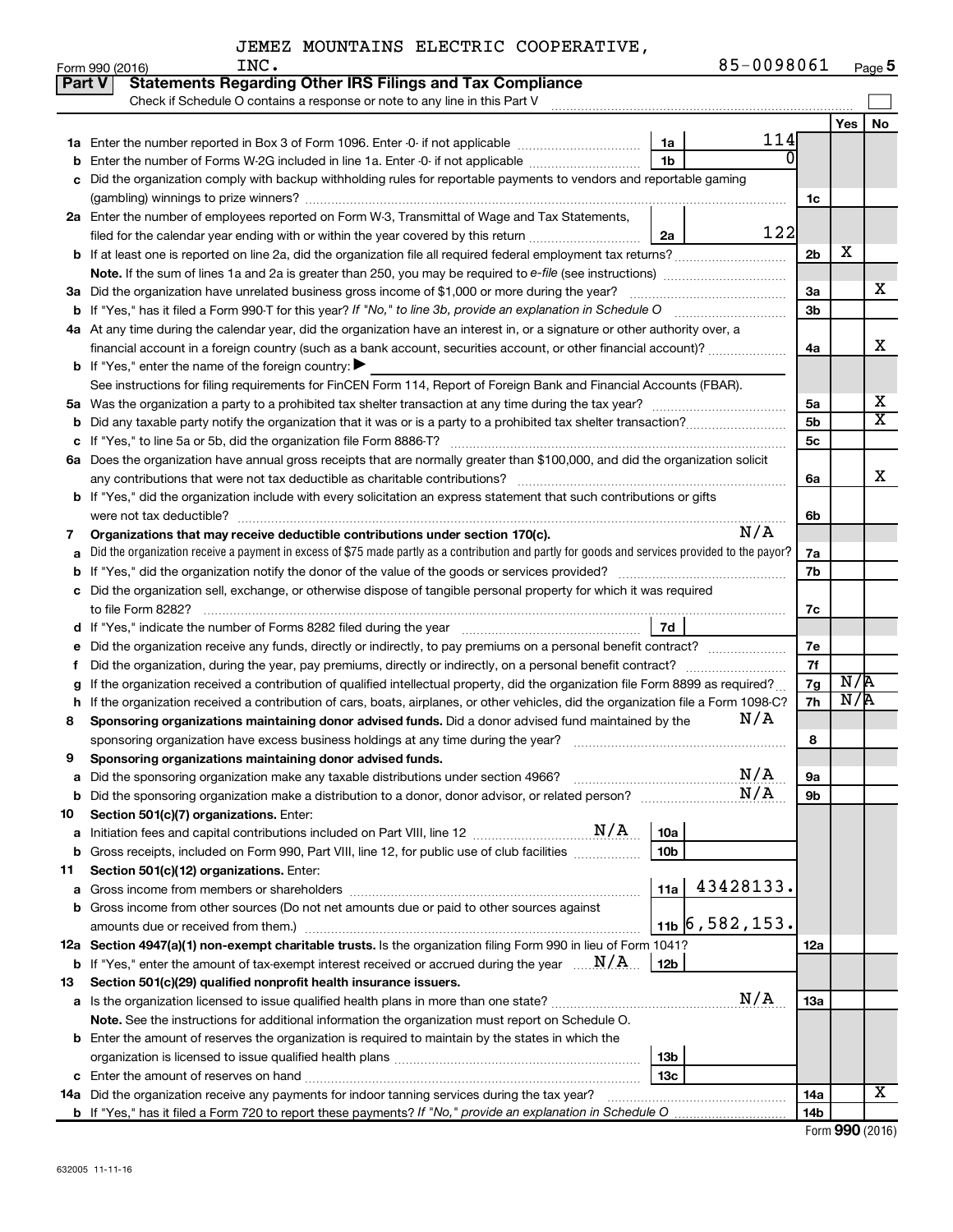| Part V | <b>Statements Regarding Other IRS Filings and Tax Compliance</b>                                                                                   |                |     |                       |
|--------|----------------------------------------------------------------------------------------------------------------------------------------------------|----------------|-----|-----------------------|
|        | Check if Schedule O contains a response or note to any line in this Part V                                                                         |                |     |                       |
|        |                                                                                                                                                    |                | Yes | No                    |
|        | 114<br>1a                                                                                                                                          |                |     |                       |
| b      | 0<br>1 <sub>b</sub><br>Enter the number of Forms W-2G included in line 1a. Enter -0- if not applicable                                             |                |     |                       |
| с      | Did the organization comply with backup withholding rules for reportable payments to vendors and reportable gaming                                 |                |     |                       |
|        |                                                                                                                                                    | 1c             |     |                       |
|        | 2a Enter the number of employees reported on Form W-3, Transmittal of Wage and Tax Statements,                                                     |                |     |                       |
|        | 122<br>filed for the calendar year ending with or within the year covered by this return<br>2a                                                     |                |     |                       |
|        |                                                                                                                                                    | 2 <sub>b</sub> | х   |                       |
|        | Note. If the sum of lines 1a and 2a is greater than 250, you may be required to e-file (see instructions) <i>marroummann</i>                       |                |     |                       |
|        | 3a Did the organization have unrelated business gross income of \$1,000 or more during the year?                                                   | 3a             |     | x                     |
|        | <b>b</b> If "Yes," has it filed a Form 990-T for this year? If "No," to line 3b, provide an explanation in Schedule O                              | 3 <sub>b</sub> |     |                       |
|        | 4a At any time during the calendar year, did the organization have an interest in, or a signature or other authority over, a                       |                |     |                       |
|        | financial account in a foreign country (such as a bank account, securities account, or other financial account)?                                   | 4a             |     | х                     |
|        | <b>b</b> If "Yes," enter the name of the foreign country: $\blacktriangleright$                                                                    |                |     |                       |
|        | See instructions for filing requirements for FinCEN Form 114, Report of Foreign Bank and Financial Accounts (FBAR).                                |                |     |                       |
|        |                                                                                                                                                    | 5a             |     | х                     |
|        | <b>b</b> Did any taxable party notify the organization that it was or is a party to a prohibited tax shelter transaction?                          | 5 <sub>b</sub> |     | $\overline{\text{X}}$ |
| с      | If "Yes," to line 5a or 5b, did the organization file Form 8886-T?                                                                                 | 5 <sub>c</sub> |     |                       |
|        | 6a Does the organization have annual gross receipts that are normally greater than \$100,000, and did the organization solicit                     |                |     |                       |
|        | any contributions that were not tax deductible as charitable contributions?                                                                        | 6а             |     | X                     |
|        | b If "Yes," did the organization include with every solicitation an express statement that such contributions or gifts                             |                |     |                       |
|        | were not tax deductible?                                                                                                                           | 6b             |     |                       |
| 7      | N/A<br>Organizations that may receive deductible contributions under section 170(c).                                                               |                |     |                       |
| а      | Did the organization receive a payment in excess of \$75 made partly as a contribution and partly for goods and services provided to the payor?    | 7a             |     |                       |
| b      |                                                                                                                                                    | 7b             |     |                       |
|        | c Did the organization sell, exchange, or otherwise dispose of tangible personal property for which it was required                                |                |     |                       |
|        | to file Form 8282?                                                                                                                                 | 7c             |     |                       |
|        | 7d<br>d If "Yes," indicate the number of Forms 8282 filed during the year manufactured intervent manufactured in                                   |                |     |                       |
| е      | Did the organization receive any funds, directly or indirectly, to pay premiums on a personal benefit contract?                                    | 7e             |     |                       |
| Ť.     | Did the organization, during the year, pay premiums, directly or indirectly, on a personal benefit contract?                                       | 7f             |     |                       |
| g      | If the organization received a contribution of qualified intellectual property, did the organization file Form 8899 as required?                   | 7g             | N/A |                       |
| h      | If the organization received a contribution of cars, boats, airplanes, or other vehicles, did the organization file a Form 1098-C?                 | 7h             | N/R |                       |
| 8      | N/A<br>Sponsoring organizations maintaining donor advised funds. Did a donor advised fund maintained by the                                        |                |     |                       |
|        | sponsoring organization have excess business holdings at any time during the year?                                                                 | 8              |     |                       |
| 9      | Sponsoring organizations maintaining donor advised funds.                                                                                          |                |     |                       |
| а      | N/A<br>Did the sponsoring organization make any taxable distributions under section 4966?                                                          | 9а             |     |                       |
| b      | N/A                                                                                                                                                | 9b             |     |                       |
| 10     | Section 501(c)(7) organizations. Enter:                                                                                                            |                |     |                       |
| а      | 10a                                                                                                                                                |                |     |                       |
| b      | 10 <sub>b</sub><br>Gross receipts, included on Form 990, Part VIII, line 12, for public use of club facilities                                     |                |     |                       |
| 11     | Section 501(c)(12) organizations. Enter:                                                                                                           |                |     |                       |
| а      | 43428133.<br>11a                                                                                                                                   |                |     |                       |
| b      | Gross income from other sources (Do not net amounts due or paid to other sources against                                                           |                |     |                       |
|        | $11b$ 6,582,153.<br>amounts due or received from them.)                                                                                            |                |     |                       |
|        | 12a Section 4947(a)(1) non-exempt charitable trusts. Is the organization filing Form 990 in lieu of Form 1041?                                     | 12a            |     |                       |
|        | <b>b</b> If "Yes," enter the amount of tax-exempt interest received or accrued during the year $\ldots \mathbf{N}/\mathbf{A}$ .<br>12 <sub>b</sub> |                |     |                       |
| 13     | Section 501(c)(29) qualified nonprofit health insurance issuers.                                                                                   |                |     |                       |
|        | N/A                                                                                                                                                | 1За            |     |                       |
|        | Note. See the instructions for additional information the organization must report on Schedule O.                                                  |                |     |                       |
|        | <b>b</b> Enter the amount of reserves the organization is required to maintain by the states in which the                                          |                |     |                       |
|        | 13 <sub>b</sub>                                                                                                                                    |                |     |                       |
|        | 13с                                                                                                                                                |                |     |                       |
|        | 14a Did the organization receive any payments for indoor tanning services during the tax year?                                                     | 14a            |     | X                     |
|        |                                                                                                                                                    | 14b            |     |                       |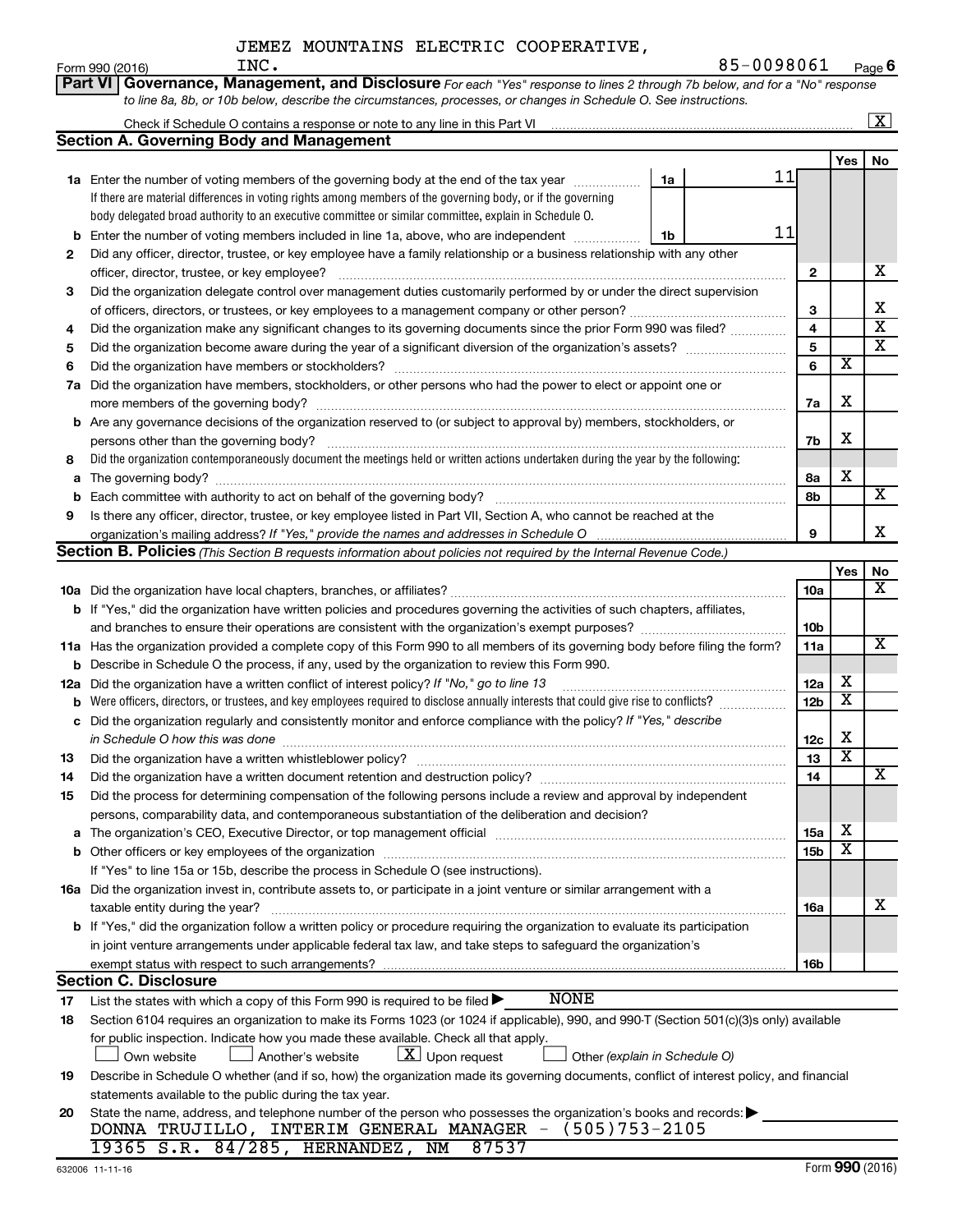|     | INC.<br>Form 990 (2016)                                                                                                                   |    | 85-0098061 |            |                         | Page 6                  |
|-----|-------------------------------------------------------------------------------------------------------------------------------------------|----|------------|------------|-------------------------|-------------------------|
|     | Governance, Management, and Disclosure For each "Yes" response to lines 2 through 7b below, and for a "No" response<br><b>Part VI</b>     |    |            |            |                         |                         |
|     | to line 8a, 8b, or 10b below, describe the circumstances, processes, or changes in Schedule O. See instructions.                          |    |            |            |                         |                         |
|     | Check if Schedule O contains a response or note to any line in this Part VI                                                               |    |            |            |                         | $\overline{\mathbf{X}}$ |
|     | Section A. Governing Body and Management                                                                                                  |    |            |            |                         |                         |
|     |                                                                                                                                           |    |            |            | Yes                     | No                      |
|     | <b>1a</b> Enter the number of voting members of the governing body at the end of the tax year                                             | 1a | 11         |            |                         |                         |
|     | If there are material differences in voting rights among members of the governing body, or if the governing                               |    |            |            |                         |                         |
|     | body delegated broad authority to an executive committee or similar committee, explain in Schedule O.                                     |    |            |            |                         |                         |
| b   | Enter the number of voting members included in line 1a, above, who are independent                                                        | 1b | 11         |            |                         |                         |
| 2   | Did any officer, director, trustee, or key employee have a family relationship or a business relationship with any other                  |    |            |            |                         |                         |
|     | officer, director, trustee, or key employee?                                                                                              |    |            | 2          |                         | х                       |
| 3   | Did the organization delegate control over management duties customarily performed by or under the direct supervision                     |    |            |            |                         |                         |
|     |                                                                                                                                           |    |            | 3          |                         | х                       |
| 4   | Did the organization make any significant changes to its governing documents since the prior Form 990 was filed?                          |    |            | 4          |                         | $\overline{\textbf{x}}$ |
| 5   |                                                                                                                                           |    |            | 5          |                         | $\overline{\textbf{x}}$ |
| 6   |                                                                                                                                           |    |            | 6          | $\overline{\textbf{x}}$ |                         |
|     | Did the organization have members, stockholders, or other persons who had the power to elect or appoint one or                            |    |            |            |                         |                         |
| 7a  |                                                                                                                                           |    |            |            | X                       |                         |
|     | more members of the governing body?                                                                                                       |    |            | 7a         |                         |                         |
|     | <b>b</b> Are any governance decisions of the organization reserved to (or subject to approval by) members, stockholders, or               |    |            |            | х                       |                         |
|     | persons other than the governing body?                                                                                                    |    |            | 7b         |                         |                         |
| 8   | Did the organization contemporaneously document the meetings held or written actions undertaken during the year by the following:         |    |            |            | X                       |                         |
| а   | The governing body?                                                                                                                       |    |            | 8а         |                         | X                       |
| b   |                                                                                                                                           |    |            | 8b         |                         |                         |
| 9   | Is there any officer, director, trustee, or key employee listed in Part VII, Section A, who cannot be reached at the                      |    |            | 9          |                         | X                       |
|     | Section B. Policies (This Section B requests information about policies not required by the Internal Revenue Code.)                       |    |            |            |                         |                         |
|     |                                                                                                                                           |    |            |            | Yes                     | No                      |
|     |                                                                                                                                           |    |            | 10a        |                         | х                       |
|     | <b>b</b> If "Yes," did the organization have written policies and procedures governing the activities of such chapters, affiliates,       |    |            |            |                         |                         |
|     | and branches to ensure their operations are consistent with the organization's exempt purposes? www.www.www.www.                          |    |            | 10b        |                         |                         |
|     | 11a Has the organization provided a complete copy of this Form 990 to all members of its governing body before filing the form?           |    |            | 11a        |                         | x                       |
|     | <b>b</b> Describe in Schedule O the process, if any, used by the organization to review this Form 990.                                    |    |            |            |                         |                         |
| 12a | Did the organization have a written conflict of interest policy? If "No," go to line 13                                                   |    |            | 12a        | х                       |                         |
| b   | Were officers, directors, or trustees, and key employees required to disclose annually interests that could give rise to conflicts?       |    |            | 12b        | X                       |                         |
| с   | Did the organization regularly and consistently monitor and enforce compliance with the policy? If "Yes," describe                        |    |            |            |                         |                         |
|     |                                                                                                                                           |    |            | 12c        | х                       |                         |
| 13  | Did the organization have a written whistleblower policy?                                                                                 |    |            | 13         | $\overline{\texttt{x}}$ |                         |
| 14  |                                                                                                                                           |    |            | 14         |                         | X                       |
| 15  | Did the process for determining compensation of the following persons include a review and approval by independent                        |    |            |            |                         |                         |
|     | persons, comparability data, and contemporaneous substantiation of the deliberation and decision?                                         |    |            |            |                         |                         |
| а   |                                                                                                                                           |    |            | 15a        | х                       |                         |
| b   |                                                                                                                                           |    |            | <b>15b</b> | X                       |                         |
|     | If "Yes" to line 15a or 15b, describe the process in Schedule O (see instructions).                                                       |    |            |            |                         |                         |
|     | 16a Did the organization invest in, contribute assets to, or participate in a joint venture or similar arrangement with a                 |    |            |            |                         |                         |
|     | taxable entity during the year?                                                                                                           |    |            | 16a        |                         | х                       |
|     | b If "Yes," did the organization follow a written policy or procedure requiring the organization to evaluate its participation            |    |            |            |                         |                         |
|     | in joint venture arrangements under applicable federal tax law, and take steps to safeguard the organization's                            |    |            |            |                         |                         |
|     | exempt status with respect to such arrangements?                                                                                          |    |            | 16b        |                         |                         |
|     | <b>Section C. Disclosure</b>                                                                                                              |    |            |            |                         |                         |
| 17  | <b>NONE</b><br>List the states with which a copy of this Form 990 is required to be filed $\blacktriangleright$                           |    |            |            |                         |                         |
| 18  | Section 6104 requires an organization to make its Forms 1023 (or 1024 if applicable), 990, and 990-T (Section 501(c)(3)s only) available  |    |            |            |                         |                         |
|     | for public inspection. Indicate how you made these available. Check all that apply.                                                       |    |            |            |                         |                         |
|     | $\lfloor \underline{X} \rfloor$ Upon request<br>Another's website<br>Other (explain in Schedule O)<br>Own website                         |    |            |            |                         |                         |
| 19  | Describe in Schedule O whether (and if so, how) the organization made its governing documents, conflict of interest policy, and financial |    |            |            |                         |                         |
|     | statements available to the public during the tax year.                                                                                   |    |            |            |                         |                         |
| 20  | State the name, address, and telephone number of the person who possesses the organization's books and records:                           |    |            |            |                         |                         |
|     | DONNA TRUJILLO, INTERIM GENERAL MANAGER - (505)753-2105                                                                                   |    |            |            |                         |                         |
|     | 19365 S.R. 84/285, HERNANDEZ, NM<br>87537                                                                                                 |    |            |            |                         |                         |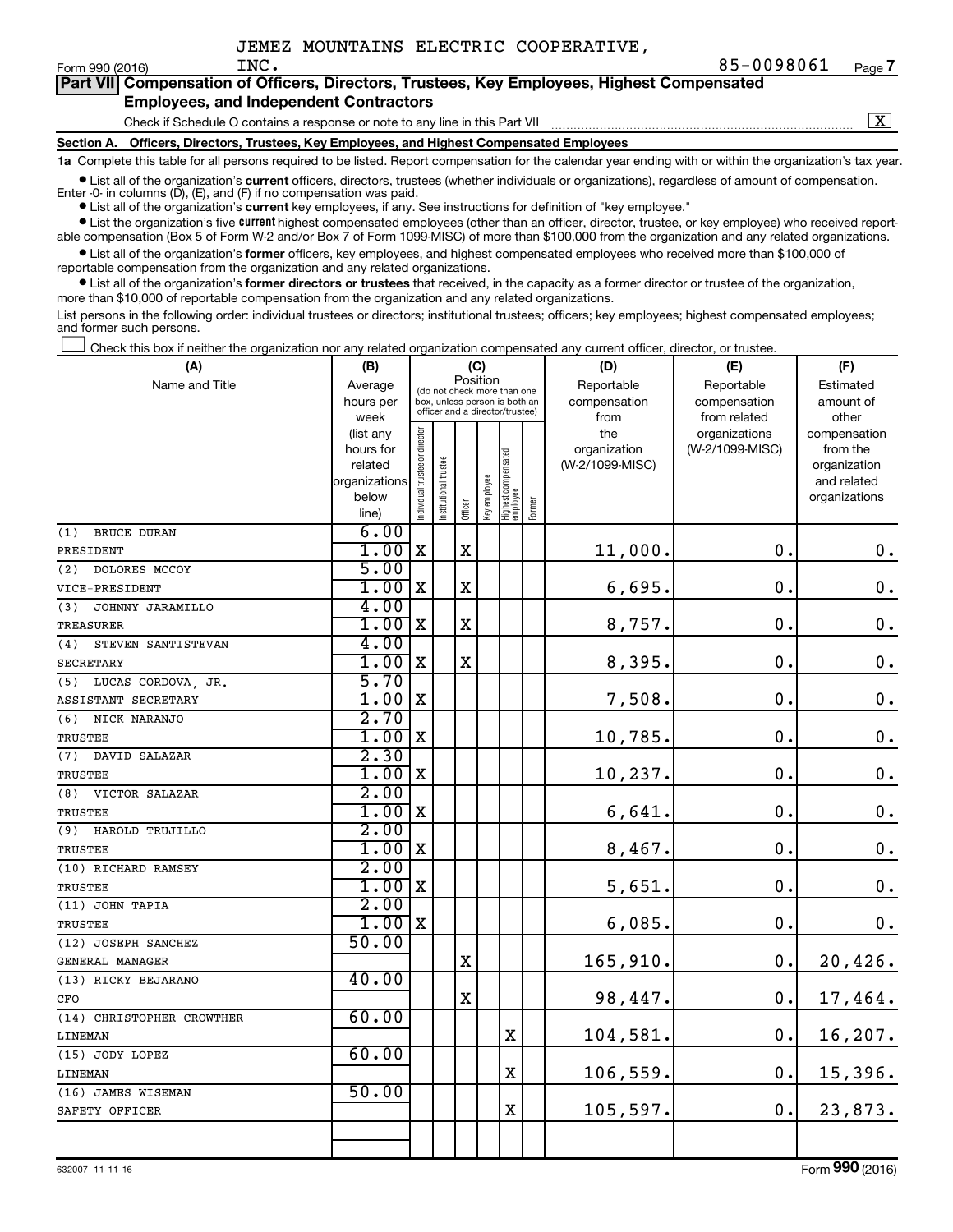$\boxed{\text{X}}$ 

|  |                                               |  | Part VII Compensation of Officers, Directors, Trustees, Key Employees, Highest Compensated |  |  |
|--|-----------------------------------------------|--|--------------------------------------------------------------------------------------------|--|--|
|  | <b>Employees, and Independent Contractors</b> |  |                                                                                            |  |  |

#### Check if Schedule O contains a response or note to any line in this Part VII

**Section A. Officers, Directors, Trustees, Key Employees, and Highest Compensated Employees**

**1a**  Complete this table for all persons required to be listed. Report compensation for the calendar year ending with or within the organization's tax year.

**•** List all of the organization's current officers, directors, trustees (whether individuals or organizations), regardless of amount of compensation. Enter -0- in columns  $(D)$ ,  $(E)$ , and  $(F)$  if no compensation was paid.

**•** List all of the organization's **current** key employees, if any. See instructions for definition of "key employee."

**•** List the organization's five current highest compensated employees (other than an officer, director, trustee, or key employee) who received reportable compensation (Box 5 of Form W-2 and/or Box 7 of Form 1099-MISC) of more than \$100,000 from the organization and any related organizations.

**•** List all of the organization's former officers, key employees, and highest compensated employees who received more than \$100,000 of reportable compensation from the organization and any related organizations.

**•** List all of the organization's former directors or trustees that received, in the capacity as a former director or trustee of the organization, more than \$10,000 of reportable compensation from the organization and any related organizations.

List persons in the following order: individual trustees or directors; institutional trustees; officers; key employees; highest compensated employees; and former such persons.

|  |  |  | Check this box if neither the organization nor any related organization compensated any current officer, director, or trustee. |  |  |
|--|--|--|--------------------------------------------------------------------------------------------------------------------------------|--|--|
|  |  |  |                                                                                                                                |  |  |

| (A)                       | (B)                    |                                         |                                                                  |             | (C)          |                                   |        | (D)             | (E)             | (F)                          |  |  |
|---------------------------|------------------------|-----------------------------------------|------------------------------------------------------------------|-------------|--------------|-----------------------------------|--------|-----------------|-----------------|------------------------------|--|--|
| Name and Title            | Average                | Position<br>(do not check more than one |                                                                  |             |              |                                   |        | Reportable      | Reportable      | Estimated                    |  |  |
|                           | hours per              |                                         | box, unless person is both an<br>officer and a director/trustee) |             |              |                                   |        | compensation    | compensation    | amount of                    |  |  |
|                           | week                   |                                         |                                                                  |             |              |                                   |        | from            | from related    | other                        |  |  |
|                           | (list any              |                                         |                                                                  |             |              |                                   |        | the             | organizations   | compensation                 |  |  |
|                           | hours for              |                                         |                                                                  |             |              |                                   |        | organization    | (W-2/1099-MISC) | from the                     |  |  |
|                           | related                |                                         | trustee                                                          |             |              |                                   |        | (W-2/1099-MISC) |                 | organization                 |  |  |
|                           | organizations<br>below |                                         |                                                                  |             |              |                                   |        |                 |                 | and related<br>organizations |  |  |
|                           | line)                  | ndividual trustee or director           | Institutional ti                                                 | Officer     | Key employee | Highest compensated<br>  employee | Former |                 |                 |                              |  |  |
| <b>BRUCE DURAN</b><br>(1) | 6.00                   |                                         |                                                                  |             |              |                                   |        |                 |                 |                              |  |  |
| PRESIDENT                 | 1.00                   | $\mathbf X$                             |                                                                  | $\mathbf X$ |              |                                   |        | 11,000.         | $\mathbf 0$ .   | $\boldsymbol{0}$ .           |  |  |
| (2)<br>DOLORES MCCOY      | 5.00                   |                                         |                                                                  |             |              |                                   |        |                 |                 |                              |  |  |
| VICE-PRESIDENT            | 1.00                   | X                                       |                                                                  | X           |              |                                   |        | 6,695.          | $\mathbf 0$ .   | $\mathbf 0$ .                |  |  |
| JOHNNY JARAMILLO<br>(3)   | 4.00                   |                                         |                                                                  |             |              |                                   |        |                 |                 |                              |  |  |
| <b>TREASURER</b>          | 1.00                   | $\mathbf X$                             |                                                                  | $\mathbf X$ |              |                                   |        | 8,757.          | 0.              | $\boldsymbol{0}$ .           |  |  |
| (4)<br>STEVEN SANTISTEVAN | 4.00                   |                                         |                                                                  |             |              |                                   |        |                 |                 |                              |  |  |
| <b>SECRETARY</b>          | 1.00                   | X                                       |                                                                  | $\mathbf X$ |              |                                   |        | 8,395.          | 0.              | $\boldsymbol{0}$ .           |  |  |
| LUCAS CORDOVA, JR.<br>(5) | 5.70                   |                                         |                                                                  |             |              |                                   |        |                 |                 |                              |  |  |
| ASSISTANT SECRETARY       | 1.00                   | X                                       |                                                                  |             |              |                                   |        | 7,508.          | $\mathbf 0$ .   | $\mathbf 0$ .                |  |  |
| NICK NARANJO<br>(6)       | 2.70                   |                                         |                                                                  |             |              |                                   |        |                 |                 |                              |  |  |
| <b>TRUSTEE</b>            | 1.00                   | X                                       |                                                                  |             |              |                                   |        | 10,785.         | $\mathbf 0$ .   | $\mathbf 0$ .                |  |  |
| (7) DAVID SALAZAR         | 2.30                   |                                         |                                                                  |             |              |                                   |        |                 |                 |                              |  |  |
| <b>TRUSTEE</b>            | 1.00x                  |                                         |                                                                  |             |              |                                   |        | 10,237.         | 0.              | $\mathbf 0$ .                |  |  |
| VICTOR SALAZAR<br>(8)     | 2.00                   |                                         |                                                                  |             |              |                                   |        |                 |                 |                              |  |  |
| <b>TRUSTEE</b>            | $1.00$ X               |                                         |                                                                  |             |              |                                   |        | 6,641.          | 0.              | $\mathbf 0$ .                |  |  |
| HAROLD TRUJILLO<br>(9)    | 2.00                   |                                         |                                                                  |             |              |                                   |        |                 |                 |                              |  |  |
| TRUSTEE                   | 1.00x                  |                                         |                                                                  |             |              |                                   |        | 8,467.          | 0.              | $\mathbf 0$ .                |  |  |
| (10) RICHARD RAMSEY       | 2.00                   |                                         |                                                                  |             |              |                                   |        |                 |                 |                              |  |  |
| TRUSTEE                   | $1.00$ X               |                                         |                                                                  |             |              |                                   |        | 5,651.          | 0.              | $\mathbf 0$ .                |  |  |
| (11) JOHN TAPIA           | 2.00                   |                                         |                                                                  |             |              |                                   |        |                 |                 |                              |  |  |
| TRUSTEE                   | $1.00$ X               |                                         |                                                                  |             |              |                                   |        | 6,085.          | 0.              | $0$ .                        |  |  |
| (12) JOSEPH SANCHEZ       | 50.00                  |                                         |                                                                  |             |              |                                   |        |                 |                 |                              |  |  |
| GENERAL MANAGER           |                        |                                         |                                                                  | X           |              |                                   |        | 165,910.        | 0.              | 20,426.                      |  |  |
| (13) RICKY BEJARANO       | 40.00                  |                                         |                                                                  |             |              |                                   |        |                 |                 |                              |  |  |
| CFO                       |                        |                                         |                                                                  | $\mathbf x$ |              |                                   |        | 98,447.         | 0.              | 17,464.                      |  |  |
| (14) CHRISTOPHER CROWTHER | 60.00                  |                                         |                                                                  |             |              |                                   |        |                 |                 |                              |  |  |
| LINEMAN                   |                        |                                         |                                                                  |             |              | X                                 |        | 104,581.        | 0.              | 16, 207.                     |  |  |
| (15) JODY LOPEZ           | 60.00                  |                                         |                                                                  |             |              |                                   |        |                 |                 |                              |  |  |
| LINEMAN                   |                        |                                         |                                                                  |             |              | $\mathbf x$                       |        | 106,559.        | $\mathbf 0$ .   | 15,396.                      |  |  |
| (16) JAMES WISEMAN        | 50.00                  |                                         |                                                                  |             |              | $\overline{\text{X}}$             |        |                 |                 |                              |  |  |
| SAFETY OFFICER            |                        |                                         |                                                                  |             |              |                                   |        | 105,597.        | 0.              | 23,873.                      |  |  |
|                           |                        |                                         |                                                                  |             |              |                                   |        |                 |                 |                              |  |  |
|                           |                        |                                         |                                                                  |             |              |                                   |        |                 |                 |                              |  |  |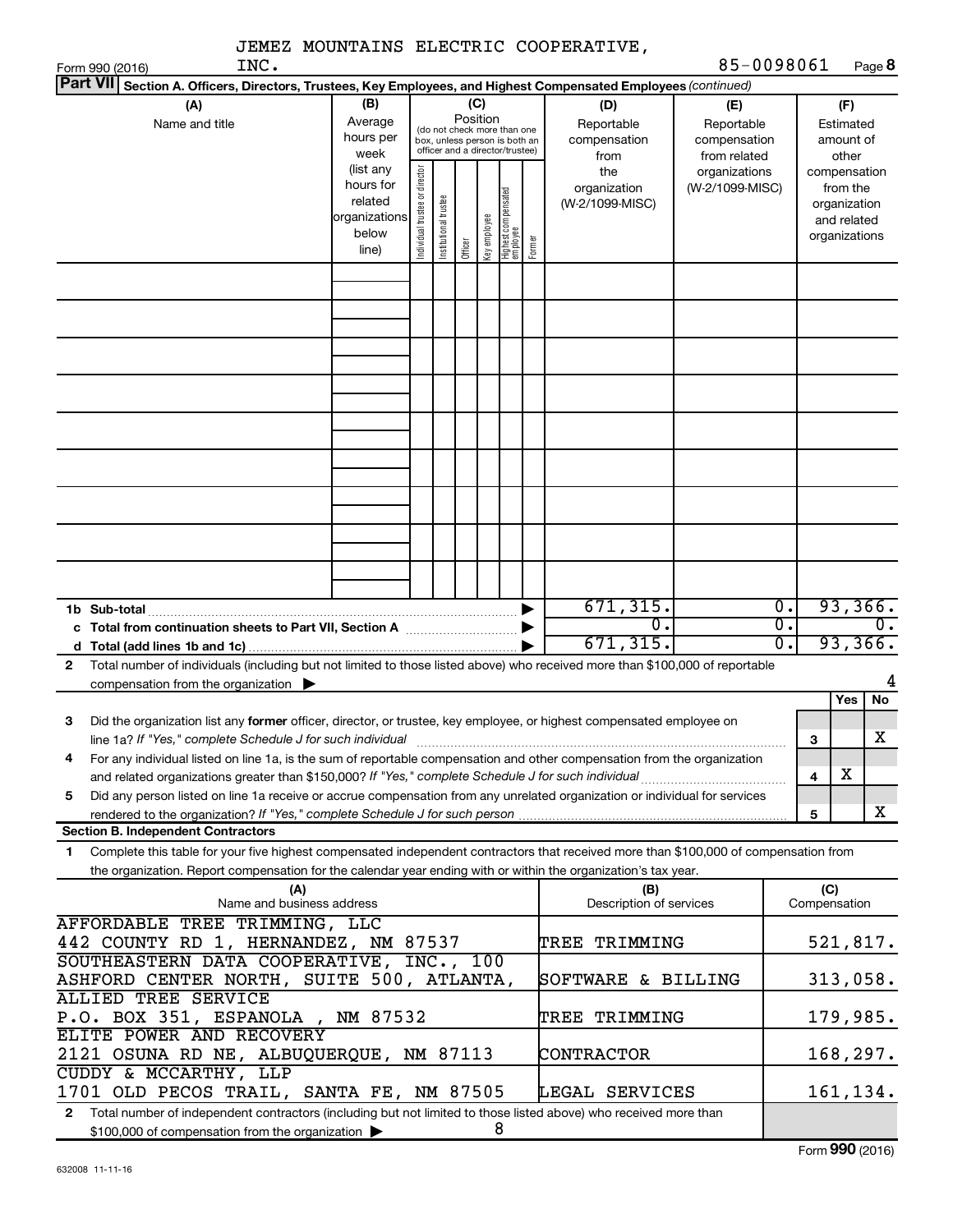|                                                                                                                                           |                      |                                |                       |                 |              |                                                                  |        | JEMEZ MOUNTAINS ELECTRIC COOPERATIVE, |                               |                  |                     |                             |
|-------------------------------------------------------------------------------------------------------------------------------------------|----------------------|--------------------------------|-----------------------|-----------------|--------------|------------------------------------------------------------------|--------|---------------------------------------|-------------------------------|------------------|---------------------|-----------------------------|
| INC.<br>Form 990 (2016)                                                                                                                   |                      |                                |                       |                 |              |                                                                  |        |                                       | 85-0098061                    |                  |                     | Page 8                      |
| Part VII Section A. Officers, Directors, Trustees, Key Employees, and Highest Compensated Employees (continued)                           |                      |                                |                       |                 |              |                                                                  |        |                                       |                               |                  |                     |                             |
| (A)                                                                                                                                       | (B)                  |                                |                       | (C)<br>Position |              |                                                                  |        | (D)                                   | (E)                           |                  |                     | (F)                         |
| Name and title                                                                                                                            | Average<br>hours per |                                |                       |                 |              | (do not check more than one                                      |        | Reportable                            | Reportable                    |                  |                     | Estimated                   |
|                                                                                                                                           | week                 |                                |                       |                 |              | box, unless person is both an<br>officer and a director/trustee) |        | compensation                          | compensation                  |                  |                     | amount of                   |
|                                                                                                                                           | (list any            |                                |                       |                 |              |                                                                  |        | from<br>the                           | from related<br>organizations |                  |                     | other<br>compensation       |
|                                                                                                                                           | hours for            |                                |                       |                 |              |                                                                  |        | organization                          | (W-2/1099-MISC)               |                  |                     | from the                    |
|                                                                                                                                           | related              |                                |                       |                 |              |                                                                  |        | (W-2/1099-MISC)                       |                               |                  |                     | organization                |
|                                                                                                                                           | organizations        | Individual trustee or director | Institutional trustee |                 |              | Highest compensated<br>employee                                  |        |                                       |                               |                  |                     | and related                 |
|                                                                                                                                           | below                |                                |                       |                 | Key employee |                                                                  |        |                                       |                               |                  |                     | organizations               |
|                                                                                                                                           | line)                |                                |                       | Officer         |              |                                                                  | Former |                                       |                               |                  |                     |                             |
|                                                                                                                                           |                      |                                |                       |                 |              |                                                                  |        |                                       |                               |                  |                     |                             |
|                                                                                                                                           |                      |                                |                       |                 |              |                                                                  |        |                                       |                               |                  |                     |                             |
|                                                                                                                                           |                      |                                |                       |                 |              |                                                                  |        |                                       |                               |                  |                     |                             |
|                                                                                                                                           |                      |                                |                       |                 |              |                                                                  |        |                                       |                               |                  |                     |                             |
|                                                                                                                                           |                      |                                |                       |                 |              |                                                                  |        |                                       |                               |                  |                     |                             |
|                                                                                                                                           |                      |                                |                       |                 |              |                                                                  |        |                                       |                               |                  |                     |                             |
|                                                                                                                                           |                      |                                |                       |                 |              |                                                                  |        |                                       |                               |                  |                     |                             |
|                                                                                                                                           |                      |                                |                       |                 |              |                                                                  |        |                                       |                               |                  |                     |                             |
|                                                                                                                                           |                      |                                |                       |                 |              |                                                                  |        |                                       |                               |                  |                     |                             |
|                                                                                                                                           |                      |                                |                       |                 |              |                                                                  |        |                                       |                               |                  |                     |                             |
|                                                                                                                                           |                      |                                |                       |                 |              |                                                                  |        |                                       |                               |                  |                     |                             |
|                                                                                                                                           |                      |                                |                       |                 |              |                                                                  |        |                                       |                               |                  |                     |                             |
|                                                                                                                                           |                      |                                |                       |                 |              |                                                                  |        |                                       |                               |                  |                     |                             |
|                                                                                                                                           |                      |                                |                       |                 |              |                                                                  |        |                                       |                               |                  |                     |                             |
|                                                                                                                                           |                      |                                |                       |                 |              |                                                                  |        |                                       |                               |                  |                     |                             |
| 1b Sub-total                                                                                                                              |                      |                                |                       |                 |              |                                                                  |        | 671, 315.                             |                               | $\overline{0}$ . |                     | 93,366.                     |
|                                                                                                                                           |                      |                                |                       |                 |              |                                                                  |        | $\overline{0}$ .                      |                               | $\overline{0}$ . |                     | $\overline{\mathfrak{0}}$ . |
|                                                                                                                                           |                      |                                |                       |                 |              |                                                                  |        | 671, 315.                             |                               | σ.               |                     | 93,366.                     |
| Total number of individuals (including but not limited to those listed above) who received more than \$100,000 of reportable<br>2         |                      |                                |                       |                 |              |                                                                  |        |                                       |                               |                  |                     |                             |
| compensation from the organization >                                                                                                      |                      |                                |                       |                 |              |                                                                  |        |                                       |                               |                  |                     |                             |
|                                                                                                                                           |                      |                                |                       |                 |              |                                                                  |        |                                       |                               |                  |                     | No<br>Yes                   |
| Did the organization list any former officer, director, or trustee, key employee, or highest compensated employee on<br>3                 |                      |                                |                       |                 |              |                                                                  |        |                                       |                               |                  |                     |                             |
| line 1a? If "Yes," complete Schedule J for such individual manufactured content content for the complete schedu                           |                      |                                |                       |                 |              |                                                                  |        |                                       |                               |                  | 3                   | X                           |
| For any individual listed on line 1a, is the sum of reportable compensation and other compensation from the organization<br>4             |                      |                                |                       |                 |              |                                                                  |        |                                       |                               |                  |                     | х                           |
| Did any person listed on line 1a receive or accrue compensation from any unrelated organization or individual for services<br>5           |                      |                                |                       |                 |              |                                                                  |        |                                       |                               |                  | 4                   |                             |
| rendered to the organization? If "Yes," complete Schedule J for such person manufaction contains and contained                            |                      |                                |                       |                 |              |                                                                  |        |                                       |                               |                  | 5                   | x                           |
| <b>Section B. Independent Contractors</b>                                                                                                 |                      |                                |                       |                 |              |                                                                  |        |                                       |                               |                  |                     |                             |
| Complete this table for your five highest compensated independent contractors that received more than \$100,000 of compensation from<br>1 |                      |                                |                       |                 |              |                                                                  |        |                                       |                               |                  |                     |                             |
| the organization. Report compensation for the calendar year ending with or within the organization's tax year.                            |                      |                                |                       |                 |              |                                                                  |        |                                       |                               |                  |                     |                             |
| (A)<br>Name and business address                                                                                                          |                      |                                |                       |                 |              |                                                                  |        | (B)<br>Description of services        |                               |                  | (C)<br>Compensation |                             |
| AFFORDABLE TREE TRIMMING, LLC                                                                                                             |                      |                                |                       |                 |              |                                                                  |        |                                       |                               |                  |                     |                             |
| 442 COUNTY RD 1, HERNANDEZ, NM 87537                                                                                                      |                      |                                |                       |                 |              |                                                                  |        | <b>TREE TRIMMING</b>                  |                               |                  |                     | 521,817.                    |
| SOUTHEASTERN DATA COOPERATIVE, INC., 100                                                                                                  |                      |                                |                       |                 |              |                                                                  |        |                                       |                               |                  |                     |                             |
| ASHFORD CENTER NORTH, SUITE 500, ATLANTA,                                                                                                 |                      |                                |                       |                 |              |                                                                  |        | SOFTWARE & BILLING                    |                               |                  |                     | 313,058.                    |
| <b>ALLIED TREE SERVICE</b>                                                                                                                |                      |                                |                       |                 |              |                                                                  |        |                                       |                               |                  |                     |                             |
| P.O. BOX 351, ESPANOLA, NM 87532                                                                                                          |                      |                                |                       |                 |              |                                                                  |        | <b>TREE TRIMMING</b>                  |                               |                  |                     | 179,985.                    |
| ELITE POWER AND RECOVERY                                                                                                                  |                      |                                |                       |                 |              |                                                                  |        |                                       |                               |                  |                     |                             |
| 2121 OSUNA RD NE, ALBUQUERQUE, NM 87113<br>CUDDY & MCCARTHY, LLP                                                                          |                      |                                |                       |                 |              |                                                                  |        | CONTRACTOR                            |                               |                  |                     | 168,297.                    |
| 1701 OLD PECOS TRAIL, SANTA FE, NM 87505                                                                                                  |                      |                                |                       |                 |              |                                                                  |        | LEGAL SERVICES                        |                               |                  |                     | 161,134.                    |
| Total number of independent contractors (including but not limited to those listed above) who received more than<br>$\mathbf{2}$          |                      |                                |                       |                 |              |                                                                  |        |                                       |                               |                  |                     |                             |
| \$100,000 of compensation from the organization                                                                                           |                      |                                |                       |                 |              | 8                                                                |        |                                       |                               |                  |                     |                             |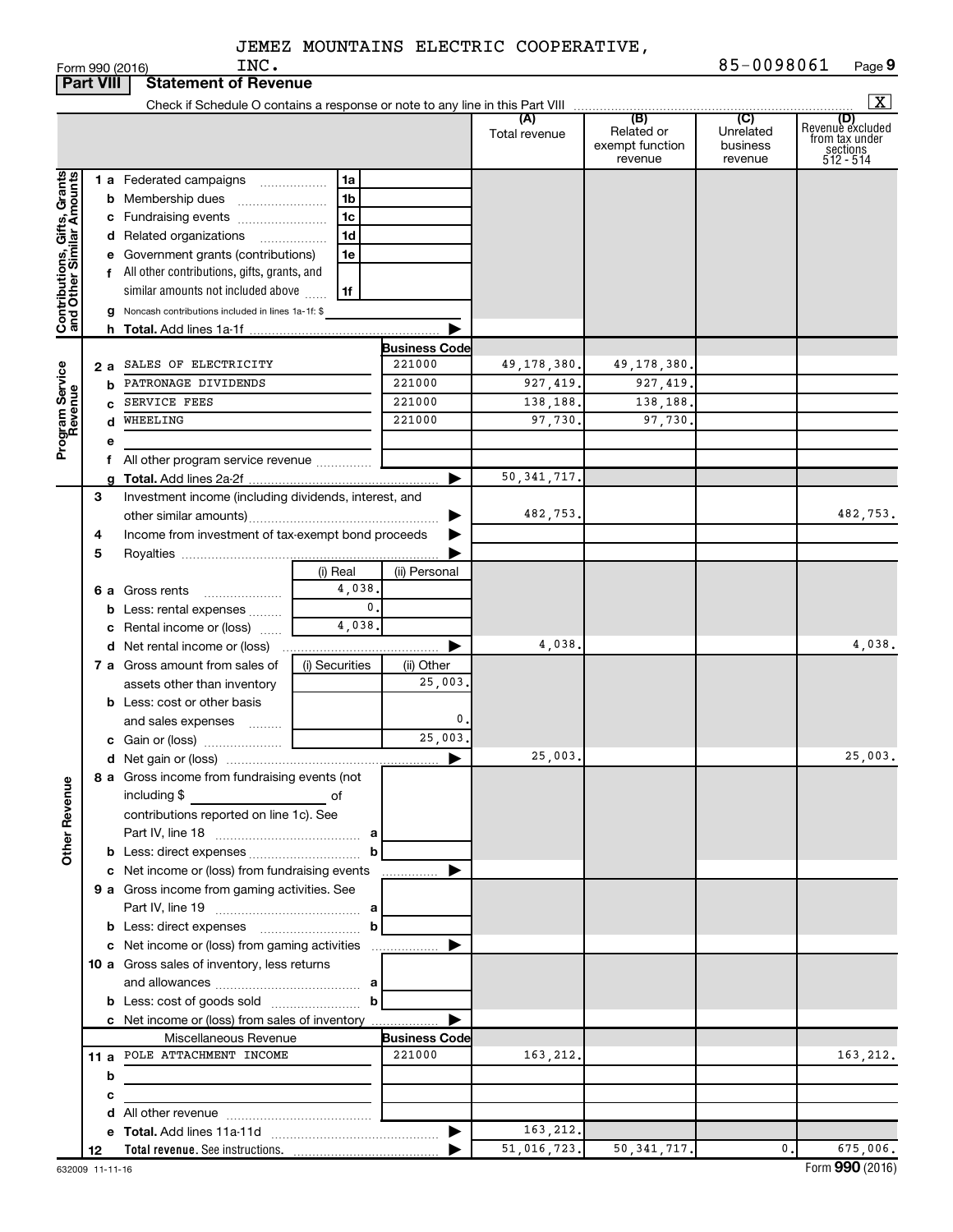|                                                           | <b>Part VIII</b> | <b>Statement of Revenue</b>                                   |                |        |                      |               |                                          |                                  |                                                                    |
|-----------------------------------------------------------|------------------|---------------------------------------------------------------|----------------|--------|----------------------|---------------|------------------------------------------|----------------------------------|--------------------------------------------------------------------|
|                                                           |                  |                                                               |                |        |                      |               |                                          |                                  | $\mathbf{X}$                                                       |
|                                                           |                  |                                                               |                |        |                      | Total revenue | Related or<br>exempt function<br>revenue | Unrelated<br>business<br>revenue | (D)<br>Revenue excluded<br>from tax under<br>sections<br>512 - 514 |
|                                                           |                  | <b>1 a</b> Federated campaigns                                | 1a             |        |                      |               |                                          |                                  |                                                                    |
|                                                           |                  | <b>b</b> Membership dues                                      | 1b             |        |                      |               |                                          |                                  |                                                                    |
|                                                           |                  | c Fundraising events                                          | 1c             |        |                      |               |                                          |                                  |                                                                    |
|                                                           |                  | d Related organizations<br>.                                  | 1d             |        |                      |               |                                          |                                  |                                                                    |
| Contributions, Gifts, Grants<br>and Other Similar Amounts |                  | e Government grants (contributions)                           | 1e             |        |                      |               |                                          |                                  |                                                                    |
|                                                           |                  | f All other contributions, gifts, grants, and                 |                |        |                      |               |                                          |                                  |                                                                    |
|                                                           |                  | similar amounts not included above                            | 1f             |        |                      |               |                                          |                                  |                                                                    |
|                                                           |                  | g Noncash contributions included in lines 1a-1f: \$           |                |        |                      |               |                                          |                                  |                                                                    |
|                                                           |                  |                                                               |                |        |                      |               |                                          |                                  |                                                                    |
|                                                           |                  |                                                               |                |        | <b>Business Code</b> |               |                                          |                                  |                                                                    |
|                                                           | 2а               | SALES OF ELECTRICITY                                          |                |        | 221000               | 49, 178, 380. | 49,178,380.                              |                                  |                                                                    |
| Program Service<br>Revenue                                | b                | PATRONAGE DIVIDENDS                                           |                |        | 221000               | 927, 419.     | 927, 419.                                |                                  |                                                                    |
|                                                           | c                | SERVICE FEES                                                  |                |        | 221000               | 138,188.      | 138,188.                                 |                                  |                                                                    |
|                                                           | d                | WHEELING                                                      |                |        | 221000               | 97,730.       | 97,730                                   |                                  |                                                                    |
|                                                           | е                |                                                               |                |        |                      |               |                                          |                                  |                                                                    |
|                                                           |                  | All other program service revenue                             |                |        |                      |               |                                          |                                  |                                                                    |
|                                                           |                  |                                                               |                |        | ►                    | 50, 341, 717. |                                          |                                  |                                                                    |
|                                                           | 3                | Investment income (including dividends, interest, and         |                |        |                      |               |                                          |                                  | 482,753.                                                           |
|                                                           |                  |                                                               |                |        |                      | 482,753.      |                                          |                                  |                                                                    |
|                                                           | 4                | Income from investment of tax-exempt bond proceeds            |                |        |                      |               |                                          |                                  |                                                                    |
|                                                           | 5                |                                                               | (i) Real       |        | (ii) Personal        |               |                                          |                                  |                                                                    |
|                                                           |                  | <b>6 a</b> Gross rents                                        |                | 4,038. |                      |               |                                          |                                  |                                                                    |
|                                                           |                  | <b>b</b> Less: rental expenses                                |                | 0.     |                      |               |                                          |                                  |                                                                    |
|                                                           |                  | c Rental income or (loss)                                     |                | 4,038. |                      |               |                                          |                                  |                                                                    |
|                                                           |                  | <b>d</b> Net rental income or (loss)                          |                |        |                      | 4,038.        |                                          |                                  | 4,038.                                                             |
|                                                           |                  | 7 a Gross amount from sales of                                | (i) Securities |        | (ii) Other           |               |                                          |                                  |                                                                    |
|                                                           |                  | assets other than inventory                                   |                |        | 25,003.              |               |                                          |                                  |                                                                    |
|                                                           |                  | <b>b</b> Less: cost or other basis                            |                |        |                      |               |                                          |                                  |                                                                    |
|                                                           |                  | and sales expenses                                            |                |        | 0.                   |               |                                          |                                  |                                                                    |
|                                                           |                  |                                                               |                |        | 25,003.              |               |                                          |                                  |                                                                    |
|                                                           |                  |                                                               |                |        | ▶                    | 25,003.       |                                          |                                  | 25,003.                                                            |
| <b>Other Revenue</b>                                      |                  | 8 a Gross income from fundraising events (not<br>including \$ | of             |        |                      |               |                                          |                                  |                                                                    |
|                                                           |                  | contributions reported on line 1c). See                       |                |        |                      |               |                                          |                                  |                                                                    |
|                                                           |                  |                                                               |                |        |                      |               |                                          |                                  |                                                                    |
|                                                           |                  |                                                               |                |        |                      |               |                                          |                                  |                                                                    |
|                                                           |                  | c Net income or (loss) from fundraising events                |                |        | .                    |               |                                          |                                  |                                                                    |
|                                                           |                  | 9 a Gross income from gaming activities. See                  |                |        |                      |               |                                          |                                  |                                                                    |
|                                                           |                  |                                                               |                |        |                      |               |                                          |                                  |                                                                    |
|                                                           |                  | <b>b</b> Less: direct expenses <b>contained</b> b             |                |        |                      |               |                                          |                                  |                                                                    |
|                                                           |                  |                                                               |                |        |                      |               |                                          |                                  |                                                                    |
|                                                           |                  | 10 a Gross sales of inventory, less returns                   |                |        |                      |               |                                          |                                  |                                                                    |
|                                                           |                  |                                                               |                |        |                      |               |                                          |                                  |                                                                    |
|                                                           |                  |                                                               |                |        |                      |               |                                          |                                  |                                                                    |
|                                                           |                  | c Net income or (loss) from sales of inventory                |                |        |                      |               |                                          |                                  |                                                                    |
|                                                           |                  | Miscellaneous Revenue                                         |                |        | <b>Business Code</b> |               |                                          |                                  |                                                                    |
|                                                           |                  | 11 a POLE ATTACHMENT INCOME                                   |                |        | 221000               | 163,212.      |                                          |                                  | 163,212.                                                           |
|                                                           | b                |                                                               |                |        |                      |               |                                          |                                  |                                                                    |
|                                                           | с                | the control of the control of the control of                  |                |        |                      |               |                                          |                                  |                                                                    |
|                                                           |                  |                                                               |                |        |                      |               |                                          |                                  |                                                                    |
|                                                           |                  |                                                               |                |        |                      | 163, 212.     |                                          |                                  |                                                                    |
|                                                           | 12               |                                                               |                |        |                      | 51,016,723.   | 50, 341, 717.                            | 0.                               | 675,006.                                                           |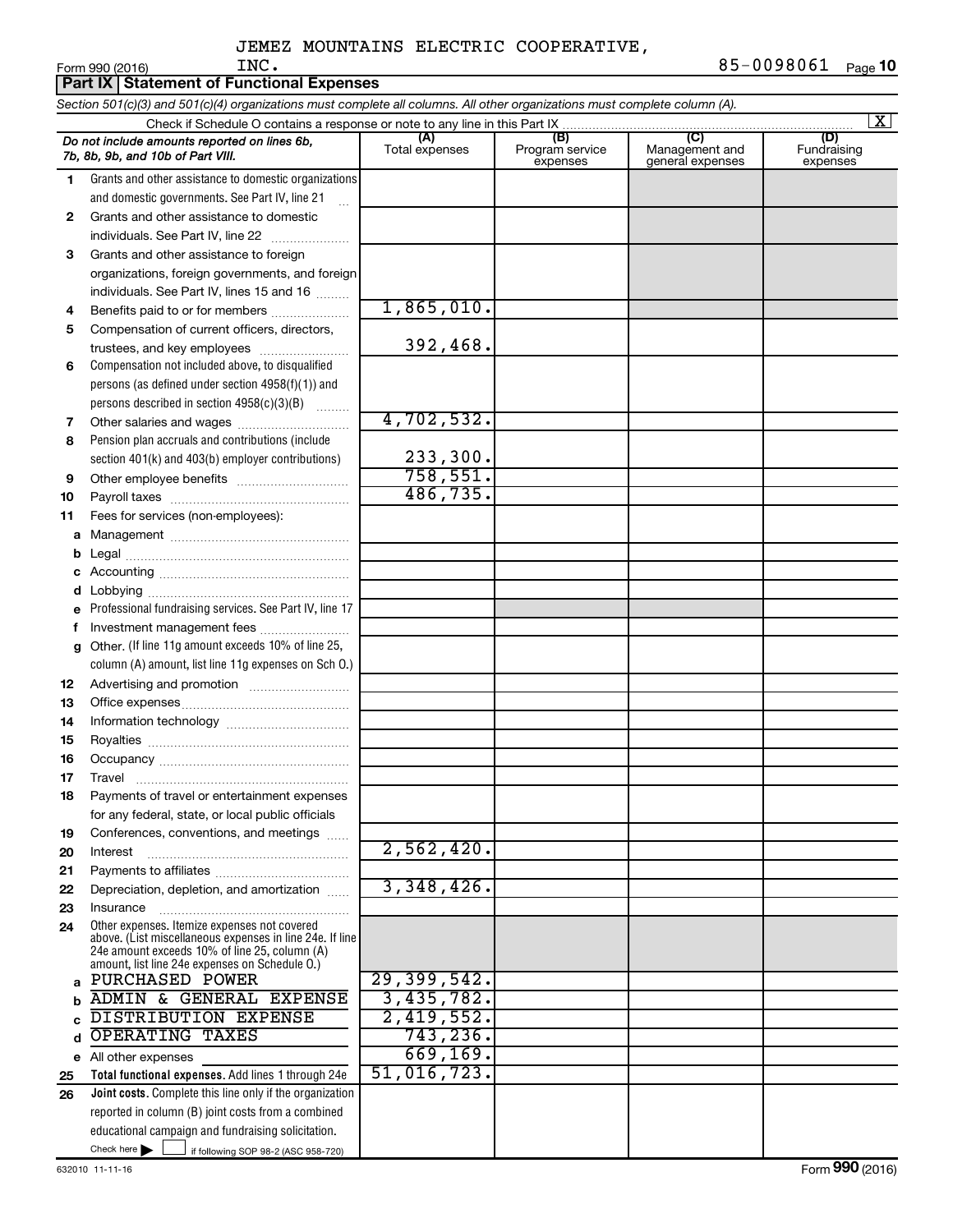|    | Form 990 (2016)<br>INC.                                                                                                    |                          |                             |                                    | 82-009800T<br>Page 1           |
|----|----------------------------------------------------------------------------------------------------------------------------|--------------------------|-----------------------------|------------------------------------|--------------------------------|
|    | <b>Part IX Statement of Functional Expenses</b>                                                                            |                          |                             |                                    |                                |
|    | Section 501(c)(3) and 501(c)(4) organizations must complete all columns. All other organizations must complete column (A). |                          |                             |                                    |                                |
|    | Check if Schedule O contains a response or note to any line in this Part IX.                                               | (A)                      | (B)                         | (C)                                | $\overline{\mathbf{X}}$<br>(D) |
|    | Do not include amounts reported on lines 6b,<br>7b, 8b, 9b, and 10b of Part VIII.                                          | Total expenses           | Program service<br>expenses | Management and<br>general expenses | Fundraising<br>expenses        |
| 1  | Grants and other assistance to domestic organizations                                                                      |                          |                             |                                    |                                |
|    | and domestic governments. See Part IV, line 21                                                                             |                          |                             |                                    |                                |
| 2  | Grants and other assistance to domestic                                                                                    |                          |                             |                                    |                                |
|    | individuals. See Part IV, line 22                                                                                          |                          |                             |                                    |                                |
| 3  | Grants and other assistance to foreign                                                                                     |                          |                             |                                    |                                |
|    | organizations, foreign governments, and foreign                                                                            |                          |                             |                                    |                                |
|    | individuals. See Part IV, lines 15 and 16                                                                                  |                          |                             |                                    |                                |
| 4  | Benefits paid to or for members                                                                                            | 1,865,010.               |                             |                                    |                                |
| 5  | Compensation of current officers, directors,                                                                               |                          |                             |                                    |                                |
|    | trustees, and key employees                                                                                                | 392,468.                 |                             |                                    |                                |
| 6  | Compensation not included above, to disqualified                                                                           |                          |                             |                                    |                                |
|    | persons (as defined under section 4958(f)(1)) and<br>persons described in section 4958(c)(3)(B)                            |                          |                             |                                    |                                |
| 7  |                                                                                                                            | 4,702,532.               |                             |                                    |                                |
| 8  | Pension plan accruals and contributions (include                                                                           |                          |                             |                                    |                                |
|    | section 401(k) and 403(b) employer contributions)                                                                          | 233,300.                 |                             |                                    |                                |
| 9  |                                                                                                                            | 758,551.                 |                             |                                    |                                |
| 10 |                                                                                                                            | 486, 735.                |                             |                                    |                                |
| 11 | Fees for services (non-employees):                                                                                         |                          |                             |                                    |                                |
| a  |                                                                                                                            |                          |                             |                                    |                                |
| b  |                                                                                                                            |                          |                             |                                    |                                |
| с  |                                                                                                                            |                          |                             |                                    |                                |
| d  |                                                                                                                            |                          |                             |                                    |                                |
| e  | Professional fundraising services. See Part IV, line 17                                                                    |                          |                             |                                    |                                |
| f  | Investment management fees                                                                                                 |                          |                             |                                    |                                |
| g  | Other. (If line 11g amount exceeds 10% of line 25,                                                                         |                          |                             |                                    |                                |
|    | column (A) amount, list line 11g expenses on Sch O.)                                                                       |                          |                             |                                    |                                |
| 12 |                                                                                                                            |                          |                             |                                    |                                |
| 13 |                                                                                                                            |                          |                             |                                    |                                |
| 14 |                                                                                                                            |                          |                             |                                    |                                |
| 15 |                                                                                                                            |                          |                             |                                    |                                |
| 16 | Occupancv                                                                                                                  |                          |                             |                                    |                                |
| 17 | Travel                                                                                                                     |                          |                             |                                    |                                |
| 18 | Payments of travel or entertainment expenses                                                                               |                          |                             |                                    |                                |
| 19 | for any federal, state, or local public officials<br>Conferences, conventions, and meetings                                |                          |                             |                                    |                                |
| 20 | Interest                                                                                                                   | 2,562,420.               |                             |                                    |                                |
| 21 |                                                                                                                            |                          |                             |                                    |                                |
| 22 | Depreciation, depletion, and amortization                                                                                  | 3,348,426.               |                             |                                    |                                |
| 23 | Insurance                                                                                                                  |                          |                             |                                    |                                |
| 24 | Other expenses. Itemize expenses not covered<br>above. (List miscellaneous expenses in line 24e. If line                   |                          |                             |                                    |                                |
|    | 24e amount exceeds 10% of line 25, column (A)<br>amount, list line 24e expenses on Schedule O.)                            |                          |                             |                                    |                                |
| a  | <b>PURCHASED POWER</b>                                                                                                     | 29,399,542.              |                             |                                    |                                |
| b  | ADMIN & GENERAL EXPENSE                                                                                                    | 3,435,782.               |                             |                                    |                                |
|    | DISTRIBUTION EXPENSE                                                                                                       | 2,419,552.               |                             |                                    |                                |
| d  | OPERATING TAXES                                                                                                            | 743, 236.                |                             |                                    |                                |
| е  | All other expenses                                                                                                         | 669, 169.<br>51,016,723. |                             |                                    |                                |
| 25 | Total functional expenses. Add lines 1 through 24e                                                                         |                          |                             |                                    |                                |
| 26 | Joint costs. Complete this line only if the organization<br>reported in column (B) joint costs from a combined             |                          |                             |                                    |                                |
|    | educational campaign and fundraising solicitation.                                                                         |                          |                             |                                    |                                |
|    | Check here $\blacktriangleright$<br>if following SOP 98-2 (ASC 958-720)                                                    |                          |                             |                                    |                                |
|    |                                                                                                                            |                          |                             |                                    |                                |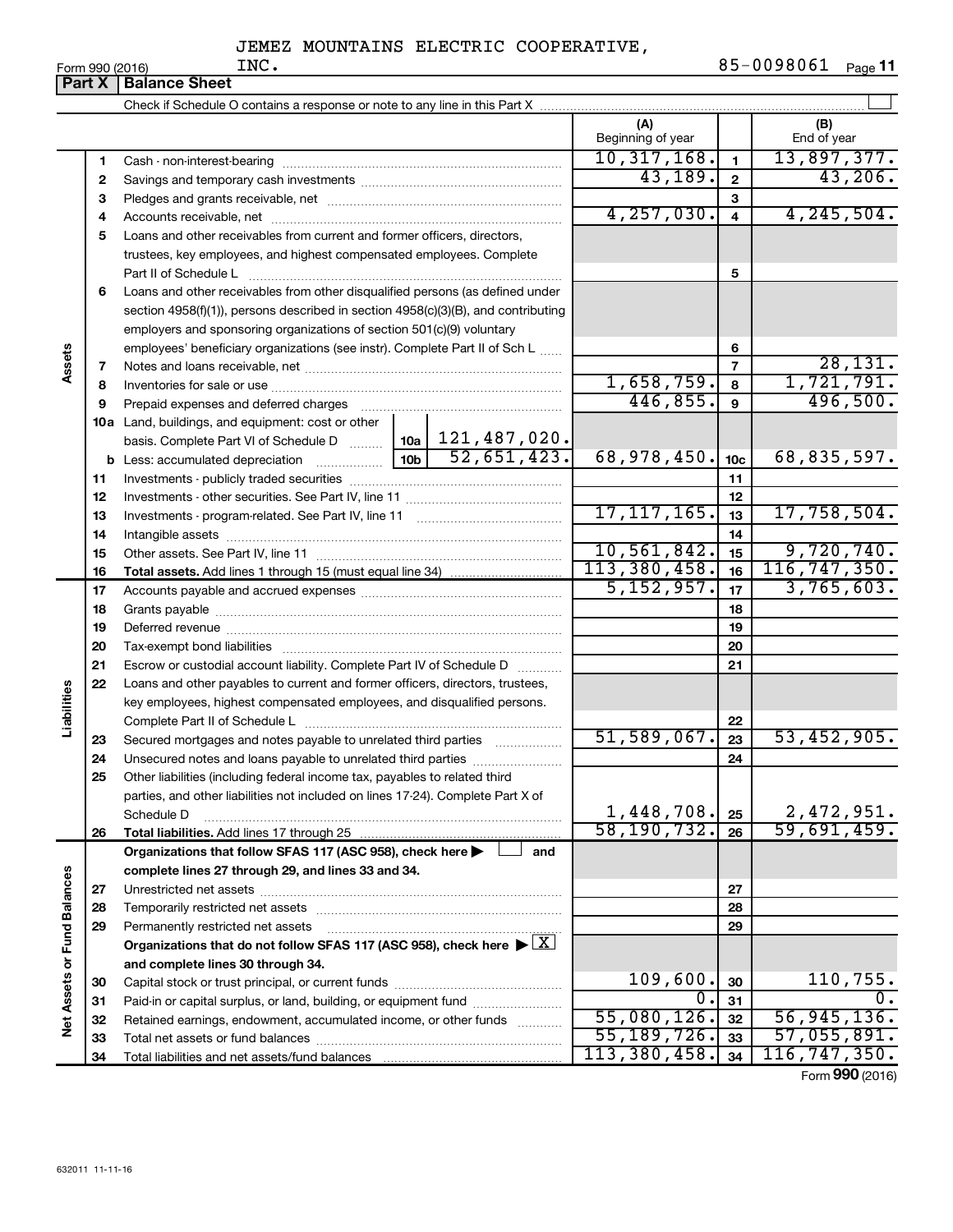|                             | Part $X$ | <b>Balance Sheet</b>                                                                                                           |             |                          |                         |                    |
|-----------------------------|----------|--------------------------------------------------------------------------------------------------------------------------------|-------------|--------------------------|-------------------------|--------------------|
|                             |          |                                                                                                                                |             |                          |                         |                    |
|                             |          |                                                                                                                                |             | (A)<br>Beginning of year |                         | (B)<br>End of year |
|                             | 1        |                                                                                                                                |             | 10, 317, 168.            | $\mathbf{1}$            | 13,897,377.        |
|                             | 2        |                                                                                                                                |             | 43,189.                  | $\mathbf{2}$            | 43,206.            |
|                             | З        |                                                                                                                                |             |                          | 3                       |                    |
|                             | 4        |                                                                                                                                |             | 4, 257, 030.             | $\overline{\mathbf{4}}$ | 4, 245, 504.       |
|                             | 5        | Loans and other receivables from current and former officers, directors,                                                       |             |                          |                         |                    |
|                             |          | trustees, key employees, and highest compensated employees. Complete                                                           |             |                          |                         |                    |
|                             |          | Part II of Schedule L                                                                                                          |             |                          | 5                       |                    |
|                             | 6        | Loans and other receivables from other disqualified persons (as defined under                                                  |             |                          |                         |                    |
|                             |          | section 4958(f)(1)), persons described in section 4958(c)(3)(B), and contributing                                              |             |                          |                         |                    |
|                             |          | employers and sponsoring organizations of section 501(c)(9) voluntary                                                          |             |                          |                         |                    |
|                             |          | employees' beneficiary organizations (see instr). Complete Part II of Sch L                                                    |             |                          | 6                       |                    |
| Assets                      | 7        |                                                                                                                                |             |                          | $\overline{7}$          | 28,131.            |
|                             | 8        |                                                                                                                                |             | 1,658,759.               | 8                       | 1,721,791.         |
|                             | 9        | Prepaid expenses and deferred charges                                                                                          |             | 446,855.                 | $\mathbf{9}$            | 496,500.           |
|                             |          | 10a Land, buildings, and equipment: cost or other                                                                              |             |                          |                         |                    |
|                             |          | basis. Complete Part VI of Schedule D    10a   121, 487, 020.                                                                  |             |                          |                         |                    |
|                             |          |                                                                                                                                | 52,651,423. | 68,978,450.              | 10 <sub>c</sub>         | 68,835,597.        |
|                             | 11       |                                                                                                                                |             |                          | 11                      |                    |
|                             | 12       |                                                                                                                                |             |                          | 12                      |                    |
|                             | 13       |                                                                                                                                |             | 17, 117, 165.            | 13                      | 17,758,504.        |
|                             | 14       |                                                                                                                                |             |                          | 14                      |                    |
|                             | 15       |                                                                                                                                |             | 10, 561, 842.            | 15                      | 9,720,740.         |
|                             | 16       |                                                                                                                                |             | 113,380,458.             | 16                      | 116, 747, 350.     |
|                             | 17       |                                                                                                                                |             | 5, 152, 957.             | 17                      | 3,765,603.         |
|                             | 18       |                                                                                                                                |             |                          | 18                      |                    |
|                             | 19       |                                                                                                                                |             |                          | 19                      |                    |
|                             | 20       |                                                                                                                                |             |                          | 20                      |                    |
|                             | 21       | Escrow or custodial account liability. Complete Part IV of Schedule D                                                          |             |                          | 21                      |                    |
| Liabilities                 | 22       | Loans and other payables to current and former officers, directors, trustees,                                                  |             |                          |                         |                    |
|                             |          | key employees, highest compensated employees, and disqualified persons.                                                        |             |                          |                         |                    |
|                             |          |                                                                                                                                |             | 51,589,067.              | 22<br>23                | 53,452,905.        |
|                             | 23<br>24 | Secured mortgages and notes payable to unrelated third parties<br>Unsecured notes and loans payable to unrelated third parties |             |                          | 24                      |                    |
|                             | 25       | Other liabilities (including federal income tax, payables to related third                                                     |             |                          |                         |                    |
|                             |          | parties, and other liabilities not included on lines 17-24). Complete Part X of                                                |             |                          |                         |                    |
|                             |          | Schedule D                                                                                                                     |             | 1,448,708.               | 25                      | 2,472,951.         |
|                             | 26       | Total liabilities. Add lines 17 through 25                                                                                     |             | 58, 190, 732.            | 26                      | 59,691,459.        |
|                             |          | Organizations that follow SFAS 117 (ASC 958), check here                                                                       | and         |                          |                         |                    |
|                             |          | complete lines 27 through 29, and lines 33 and 34.                                                                             |             |                          |                         |                    |
|                             | 27       |                                                                                                                                |             |                          | 27                      |                    |
|                             | 28       | Temporarily restricted net assets                                                                                              |             |                          | 28                      |                    |
|                             | 29       | Permanently restricted net assets                                                                                              |             |                          | 29                      |                    |
|                             |          | Organizations that do not follow SFAS 117 (ASC 958), check here $\blacktriangleright \boxed{\text{X}}$                         |             |                          |                         |                    |
|                             |          | and complete lines 30 through 34.                                                                                              |             |                          |                         |                    |
|                             | 30       |                                                                                                                                |             | 109,600.                 | 30                      | 110,755.           |
| Net Assets or Fund Balances | 31       | Paid-in or capital surplus, or land, building, or equipment fund                                                               |             | 0.                       | 31                      | 0.                 |
|                             | 32       | Retained earnings, endowment, accumulated income, or other funds                                                               |             | 55,080,126.              | 32                      | 56, 945, 136.      |
|                             | 33       |                                                                                                                                |             | 55,189,726.              | 33                      | 57,055,891.        |
|                             | 34       |                                                                                                                                |             | 113,380,458.             | 34                      | 116, 747, 350.     |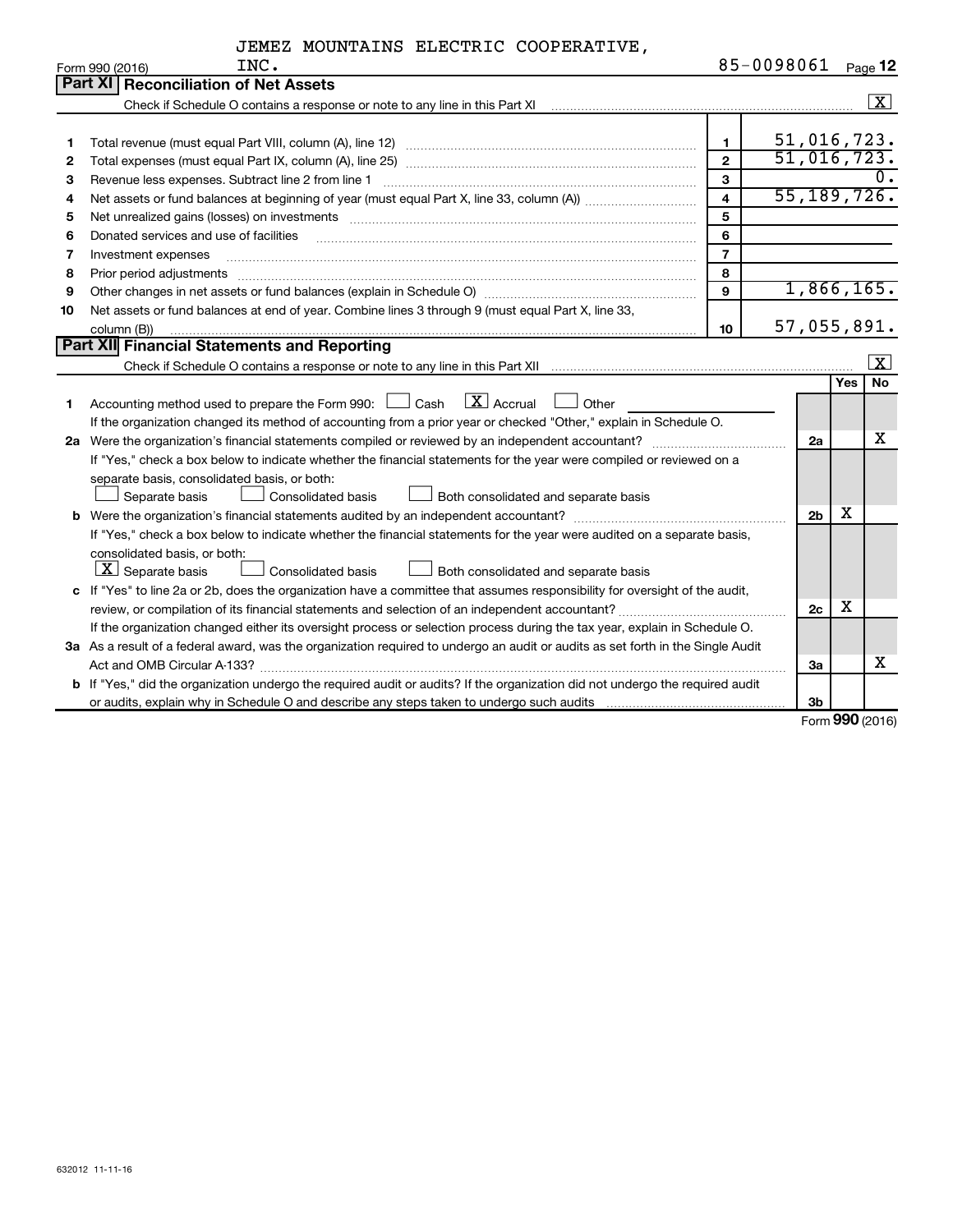| JEMEZ MOUNTAINS ELECTRIC COOPERATIVE, |  |  |  |  |
|---------------------------------------|--|--|--|--|
|---------------------------------------|--|--|--|--|

|    | INC.<br>Form 990 (2016)                                                                                                                                      | 85-0098061     |                |            | Page 12         |
|----|--------------------------------------------------------------------------------------------------------------------------------------------------------------|----------------|----------------|------------|-----------------|
|    | <b>Part XI Reconciliation of Net Assets</b>                                                                                                                  |                |                |            |                 |
|    | Check if Schedule O contains a response or note to any line in this Part XI [11] Check if Schedule O contains a response or note to any line in this Part XI |                |                |            | $\sqrt{X}$      |
|    |                                                                                                                                                              |                |                |            |                 |
| 1  |                                                                                                                                                              | $\mathbf{1}$   | 51,016,723.    |            |                 |
| 2  |                                                                                                                                                              | $\overline{2}$ | 51,016,723.    |            |                 |
| З  | Revenue less expenses. Subtract line 2 from line 1                                                                                                           | $\mathbf{3}$   |                |            |                 |
| 4  |                                                                                                                                                              | $\overline{4}$ | 55, 189, 726.  |            |                 |
| 5  |                                                                                                                                                              | 5              |                |            |                 |
| 6  | Donated services and use of facilities                                                                                                                       | 6              |                |            |                 |
| 7  | Investment expenses                                                                                                                                          | $\overline{7}$ |                |            |                 |
| 8  | Prior period adjustments www.communication.communication.communication.com/                                                                                  | 8              |                |            |                 |
| 9  |                                                                                                                                                              | 9              | 1,866,165.     |            |                 |
| 10 | Net assets or fund balances at end of year. Combine lines 3 through 9 (must equal Part X, line 33,                                                           |                |                |            |                 |
|    | column (B))                                                                                                                                                  | 10             | 57,055,891.    |            |                 |
|    | Part XII Financial Statements and Reporting                                                                                                                  |                |                |            |                 |
|    |                                                                                                                                                              |                |                |            | $\vert x \vert$ |
|    |                                                                                                                                                              |                |                | <b>Yes</b> | No              |
| 1  | $\boxed{\text{X}}$ Accrual<br>Accounting method used to prepare the Form 990: [130] Cash<br>$\Box$ Other                                                     |                |                |            |                 |
|    | If the organization changed its method of accounting from a prior year or checked "Other," explain in Schedule O.                                            |                |                |            |                 |
|    |                                                                                                                                                              |                | 2a             |            | х               |
|    | If "Yes," check a box below to indicate whether the financial statements for the year were compiled or reviewed on a                                         |                |                |            |                 |
|    | separate basis, consolidated basis, or both:                                                                                                                 |                |                |            |                 |
|    | Separate basis<br>Consolidated basis<br>Both consolidated and separate basis                                                                                 |                |                |            |                 |
|    |                                                                                                                                                              |                | 2 <sub>b</sub> | х          |                 |
|    | If "Yes," check a box below to indicate whether the financial statements for the year were audited on a separate basis,                                      |                |                |            |                 |
|    | consolidated basis, or both:                                                                                                                                 |                |                |            |                 |
|    | $ \mathbf{X} $ Separate basis<br>Consolidated basis<br>Both consolidated and separate basis                                                                  |                |                |            |                 |
|    | c If "Yes" to line 2a or 2b, does the organization have a committee that assumes responsibility for oversight of the audit,                                  |                |                |            |                 |
|    |                                                                                                                                                              |                | 2c             | х          |                 |
|    | If the organization changed either its oversight process or selection process during the tax year, explain in Schedule O.                                    |                |                |            |                 |
|    | 3a As a result of a federal award, was the organization required to undergo an audit or audits as set forth in the Single Audit                              |                |                |            |                 |
|    |                                                                                                                                                              |                | За             |            | x               |
|    | b If "Yes," did the organization undergo the required audit or audits? If the organization did not undergo the required audit                                |                |                |            |                 |
|    |                                                                                                                                                              |                | 3 <sub>b</sub> |            |                 |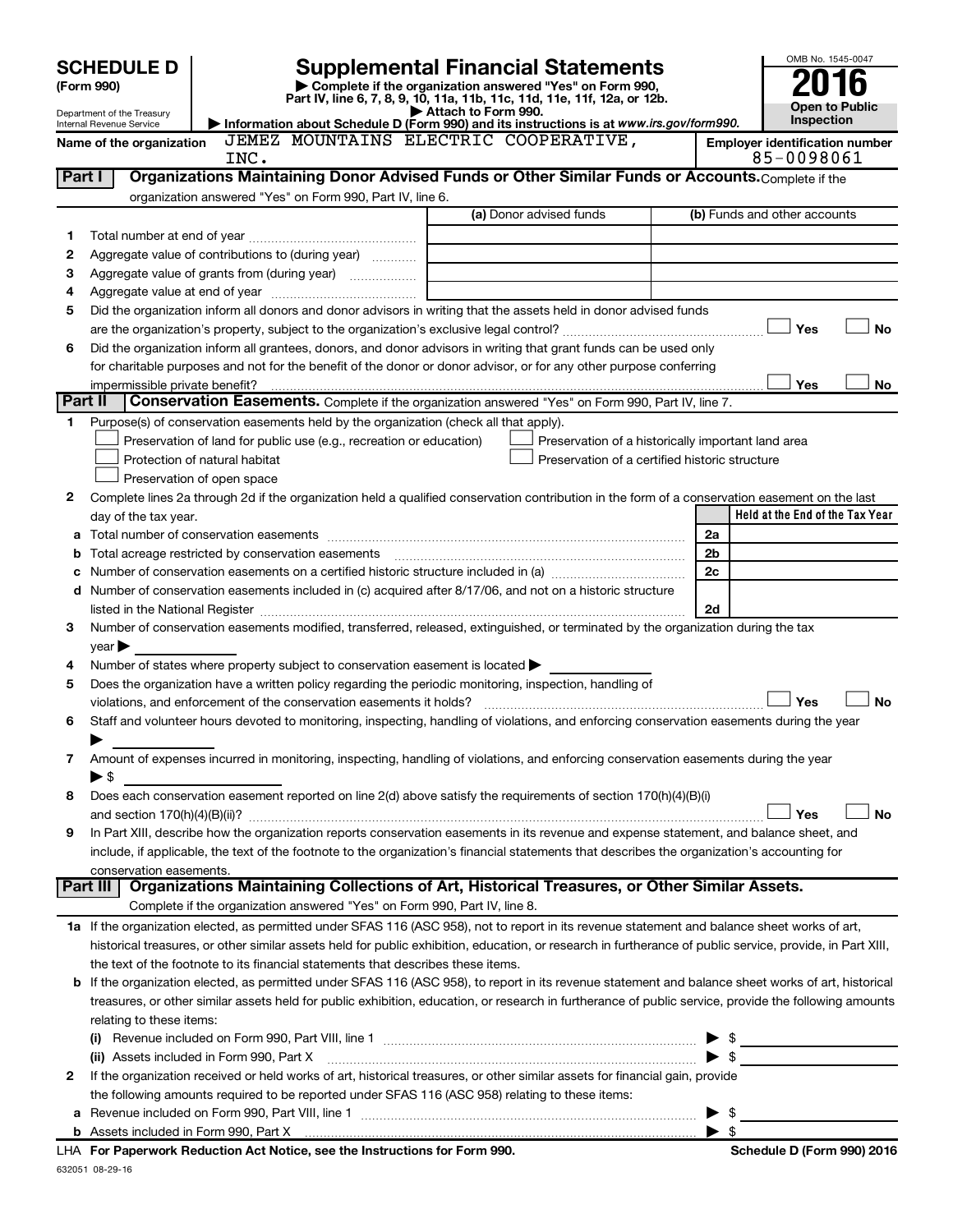|         | <b>SCHEDULE D</b>                                                                                                  |                                                                                                                                                            |                                                             |                                                                                                      |  |                         | OMB No. 1545-0047                          |
|---------|--------------------------------------------------------------------------------------------------------------------|------------------------------------------------------------------------------------------------------------------------------------------------------------|-------------------------------------------------------------|------------------------------------------------------------------------------------------------------|--|-------------------------|--------------------------------------------|
|         | <b>Supplemental Financial Statements</b><br>Complete if the organization answered "Yes" on Form 990,<br>(Form 990) |                                                                                                                                                            |                                                             |                                                                                                      |  |                         |                                            |
|         | Part IV, line 6, 7, 8, 9, 10, 11a, 11b, 11c, 11d, 11e, 11f, 12a, or 12b.                                           |                                                                                                                                                            |                                                             |                                                                                                      |  |                         |                                            |
|         | Department of the Treasury<br>Internal Revenue Service                                                             | Information about Schedule D (Form 990) and its instructions is at www.irs.gov/form990.                                                                    | Attach to Form 990.                                         |                                                                                                      |  |                         | <b>Open to Public</b><br><b>Inspection</b> |
|         | Name of the organization                                                                                           | JEMEZ MOUNTAINS ELECTRIC COOPERATIVE,                                                                                                                      |                                                             |                                                                                                      |  |                         | <b>Employer identification number</b>      |
|         |                                                                                                                    | INC.                                                                                                                                                       |                                                             |                                                                                                      |  |                         | 85-0098061                                 |
| Part I  |                                                                                                                    | Organizations Maintaining Donor Advised Funds or Other Similar Funds or Accounts. Complete if the                                                          |                                                             |                                                                                                      |  |                         |                                            |
|         |                                                                                                                    | organization answered "Yes" on Form 990, Part IV, line 6.                                                                                                  |                                                             |                                                                                                      |  |                         |                                            |
|         |                                                                                                                    |                                                                                                                                                            |                                                             | (a) Donor advised funds                                                                              |  |                         | (b) Funds and other accounts               |
| 1       |                                                                                                                    |                                                                                                                                                            |                                                             |                                                                                                      |  |                         |                                            |
| 2       |                                                                                                                    | Aggregate value of contributions to (during year)                                                                                                          |                                                             |                                                                                                      |  |                         |                                            |
| 3       |                                                                                                                    |                                                                                                                                                            | the control of the control of the control of the control of |                                                                                                      |  |                         |                                            |
| 4       |                                                                                                                    |                                                                                                                                                            |                                                             |                                                                                                      |  |                         |                                            |
| 5       |                                                                                                                    | Did the organization inform all donors and donor advisors in writing that the assets held in donor advised funds                                           |                                                             |                                                                                                      |  |                         |                                            |
|         |                                                                                                                    |                                                                                                                                                            |                                                             |                                                                                                      |  |                         | <b>No</b><br>Yes                           |
| 6       |                                                                                                                    | Did the organization inform all grantees, donors, and donor advisors in writing that grant funds can be used only                                          |                                                             |                                                                                                      |  |                         |                                            |
|         |                                                                                                                    | for charitable purposes and not for the benefit of the donor or donor advisor, or for any other purpose conferring                                         |                                                             |                                                                                                      |  |                         |                                            |
|         | impermissible private benefit?                                                                                     |                                                                                                                                                            |                                                             |                                                                                                      |  |                         | Yes<br>No                                  |
| Part II |                                                                                                                    | Conservation Easements. Complete if the organization answered "Yes" on Form 990, Part IV, line 7.                                                          |                                                             |                                                                                                      |  |                         |                                            |
| 1       |                                                                                                                    | Purpose(s) of conservation easements held by the organization (check all that apply).                                                                      |                                                             |                                                                                                      |  |                         |                                            |
|         |                                                                                                                    | Preservation of land for public use (e.g., recreation or education)<br>Protection of natural habitat                                                       |                                                             | Preservation of a historically important land area<br>Preservation of a certified historic structure |  |                         |                                            |
|         |                                                                                                                    | Preservation of open space                                                                                                                                 |                                                             |                                                                                                      |  |                         |                                            |
| 2       |                                                                                                                    | Complete lines 2a through 2d if the organization held a qualified conservation contribution in the form of a conservation easement on the last             |                                                             |                                                                                                      |  |                         |                                            |
|         | day of the tax year.                                                                                               |                                                                                                                                                            |                                                             |                                                                                                      |  |                         | Held at the End of the Tax Year            |
|         |                                                                                                                    |                                                                                                                                                            |                                                             |                                                                                                      |  | 2a                      |                                            |
| b       |                                                                                                                    |                                                                                                                                                            |                                                             |                                                                                                      |  | 2b                      |                                            |
|         |                                                                                                                    |                                                                                                                                                            |                                                             |                                                                                                      |  | 2c                      |                                            |
|         |                                                                                                                    | d Number of conservation easements included in (c) acquired after 8/17/06, and not on a historic structure                                                 |                                                             |                                                                                                      |  |                         |                                            |
|         |                                                                                                                    |                                                                                                                                                            |                                                             |                                                                                                      |  | 2d                      |                                            |
| 3       |                                                                                                                    | Number of conservation easements modified, transferred, released, extinguished, or terminated by the organization during the tax                           |                                                             |                                                                                                      |  |                         |                                            |
|         | $year \triangleright$                                                                                              |                                                                                                                                                            |                                                             |                                                                                                      |  |                         |                                            |
| 4       |                                                                                                                    | Number of states where property subject to conservation easement is located $\blacktriangleright$                                                          |                                                             |                                                                                                      |  |                         |                                            |
| 5       |                                                                                                                    | Does the organization have a written policy regarding the periodic monitoring, inspection, handling of                                                     |                                                             |                                                                                                      |  |                         |                                            |
|         |                                                                                                                    | violations, and enforcement of the conservation easements it holds?                                                                                        |                                                             |                                                                                                      |  |                         | <b>No</b><br>Yes                           |
| 6       |                                                                                                                    | Staff and volunteer hours devoted to monitoring, inspecting, handling of violations, and enforcing conservation easements during the year                  |                                                             |                                                                                                      |  |                         |                                            |
|         |                                                                                                                    |                                                                                                                                                            |                                                             |                                                                                                      |  |                         |                                            |
| 7       |                                                                                                                    | Amount of expenses incurred in monitoring, inspecting, handling of violations, and enforcing conservation easements during the year                        |                                                             |                                                                                                      |  |                         |                                            |
|         | ► \$                                                                                                               |                                                                                                                                                            |                                                             |                                                                                                      |  |                         |                                            |
| 8       |                                                                                                                    | Does each conservation easement reported on line 2(d) above satisfy the requirements of section 170(h)(4)(B)(i)                                            |                                                             |                                                                                                      |  |                         | <b>No</b>                                  |
|         |                                                                                                                    | In Part XIII, describe how the organization reports conservation easements in its revenue and expense statement, and balance sheet, and                    |                                                             |                                                                                                      |  |                         | Yes                                        |
| 9       |                                                                                                                    | include, if applicable, the text of the footnote to the organization's financial statements that describes the organization's accounting for               |                                                             |                                                                                                      |  |                         |                                            |
|         | conservation easements.                                                                                            |                                                                                                                                                            |                                                             |                                                                                                      |  |                         |                                            |
|         | Part III                                                                                                           | Organizations Maintaining Collections of Art, Historical Treasures, or Other Similar Assets.                                                               |                                                             |                                                                                                      |  |                         |                                            |
|         |                                                                                                                    | Complete if the organization answered "Yes" on Form 990, Part IV, line 8.                                                                                  |                                                             |                                                                                                      |  |                         |                                            |
|         |                                                                                                                    | 1a If the organization elected, as permitted under SFAS 116 (ASC 958), not to report in its revenue statement and balance sheet works of art,              |                                                             |                                                                                                      |  |                         |                                            |
|         |                                                                                                                    | historical treasures, or other similar assets held for public exhibition, education, or research in furtherance of public service, provide, in Part XIII,  |                                                             |                                                                                                      |  |                         |                                            |
|         |                                                                                                                    | the text of the footnote to its financial statements that describes these items.                                                                           |                                                             |                                                                                                      |  |                         |                                            |
|         |                                                                                                                    | <b>b</b> If the organization elected, as permitted under SFAS 116 (ASC 958), to report in its revenue statement and balance sheet works of art, historical |                                                             |                                                                                                      |  |                         |                                            |
|         |                                                                                                                    | treasures, or other similar assets held for public exhibition, education, or research in furtherance of public service, provide the following amounts      |                                                             |                                                                                                      |  |                         |                                            |
|         | relating to these items:                                                                                           |                                                                                                                                                            |                                                             |                                                                                                      |  |                         |                                            |
|         |                                                                                                                    |                                                                                                                                                            |                                                             |                                                                                                      |  |                         | $\frac{1}{2}$                              |
|         |                                                                                                                    | (ii) Assets included in Form 990, Part X                                                                                                                   |                                                             |                                                                                                      |  |                         |                                            |
| 2       |                                                                                                                    | If the organization received or held works of art, historical treasures, or other similar assets for financial gain, provide                               |                                                             |                                                                                                      |  |                         |                                            |
|         |                                                                                                                    | the following amounts required to be reported under SFAS 116 (ASC 958) relating to these items:                                                            |                                                             |                                                                                                      |  |                         |                                            |
|         |                                                                                                                    |                                                                                                                                                            |                                                             |                                                                                                      |  |                         | $\frac{1}{2}$                              |
|         |                                                                                                                    |                                                                                                                                                            |                                                             |                                                                                                      |  | $\blacktriangleright$ s |                                            |

| LHA For Paperwork Reduction Act Notice, see the Instructions for Form 990. |
|----------------------------------------------------------------------------|
| 632051 08-29-16                                                            |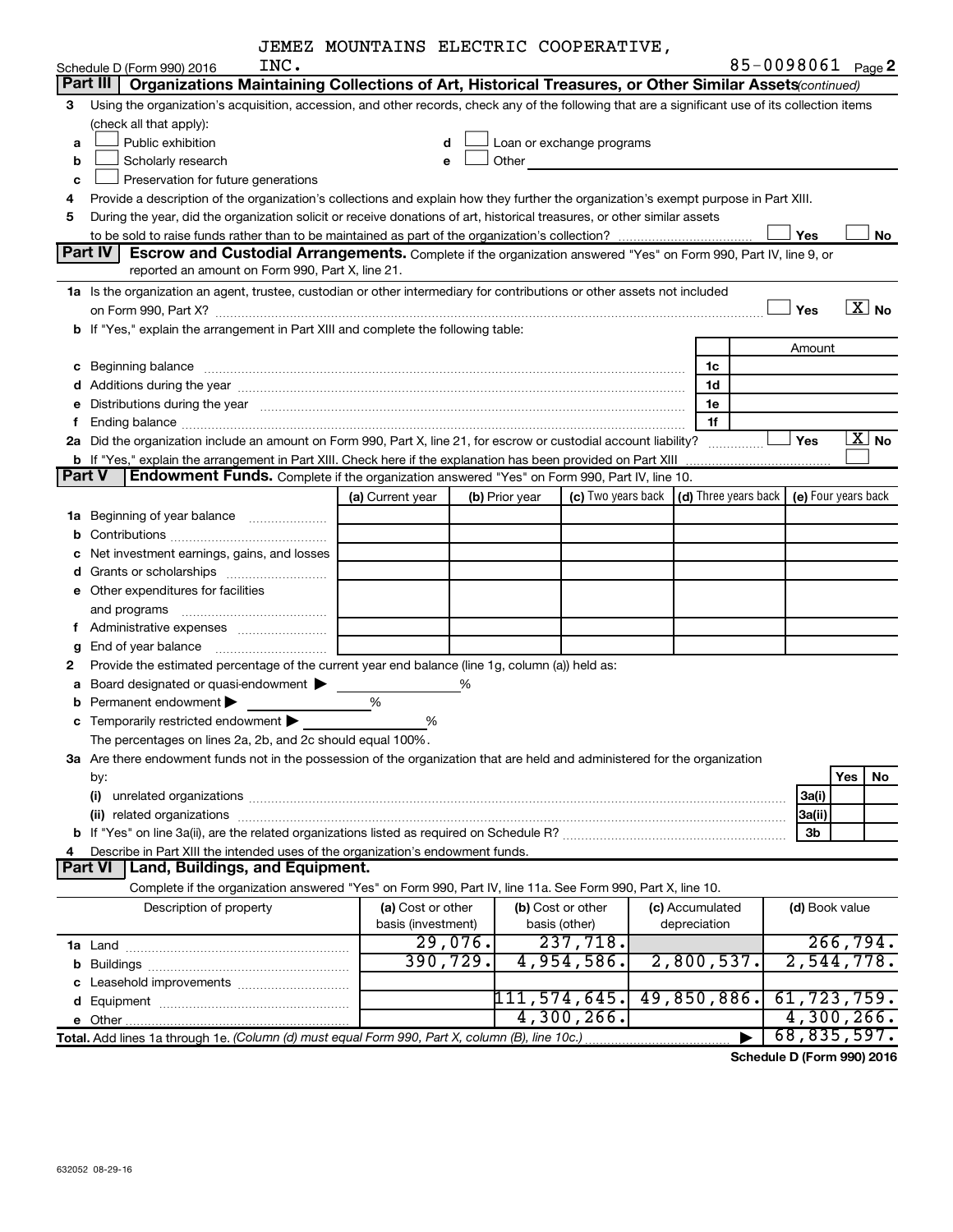|  |  |  | JEMEZ MOUNTAINS ELECTRIC COOPERATIVE, |
|--|--|--|---------------------------------------|
|--|--|--|---------------------------------------|

|               | INC.<br>Schedule D (Form 990) 2016                                                                                                                                                                                             |                    |         |                   |                                                                                                                                                                                                                               |                      |                | 85-0098061 Page 2     |
|---------------|--------------------------------------------------------------------------------------------------------------------------------------------------------------------------------------------------------------------------------|--------------------|---------|-------------------|-------------------------------------------------------------------------------------------------------------------------------------------------------------------------------------------------------------------------------|----------------------|----------------|-----------------------|
|               | Part III<br>Organizations Maintaining Collections of Art, Historical Treasures, or Other Similar Assets (continued)                                                                                                            |                    |         |                   |                                                                                                                                                                                                                               |                      |                |                       |
| З             | Using the organization's acquisition, accession, and other records, check any of the following that are a significant use of its collection items                                                                              |                    |         |                   |                                                                                                                                                                                                                               |                      |                |                       |
|               | (check all that apply):                                                                                                                                                                                                        |                    |         |                   |                                                                                                                                                                                                                               |                      |                |                       |
| a             | Public exhibition                                                                                                                                                                                                              |                    |         |                   | Loan or exchange programs                                                                                                                                                                                                     |                      |                |                       |
| b             | Scholarly research                                                                                                                                                                                                             | e                  |         |                   | Other and the contract of the contract of the contract of the contract of the contract of the contract of the contract of the contract of the contract of the contract of the contract of the contract of the contract of the |                      |                |                       |
| с             | Preservation for future generations                                                                                                                                                                                            |                    |         |                   |                                                                                                                                                                                                                               |                      |                |                       |
| 4             | Provide a description of the organization's collections and explain how they further the organization's exempt purpose in Part XIII.                                                                                           |                    |         |                   |                                                                                                                                                                                                                               |                      |                |                       |
| 5             | During the year, did the organization solicit or receive donations of art, historical treasures, or other similar assets                                                                                                       |                    |         |                   |                                                                                                                                                                                                                               |                      |                |                       |
|               |                                                                                                                                                                                                                                |                    |         |                   |                                                                                                                                                                                                                               |                      | Yes            | No                    |
|               | Part IV<br>Escrow and Custodial Arrangements. Complete if the organization answered "Yes" on Form 990, Part IV, line 9, or                                                                                                     |                    |         |                   |                                                                                                                                                                                                                               |                      |                |                       |
|               | reported an amount on Form 990, Part X, line 21.                                                                                                                                                                               |                    |         |                   |                                                                                                                                                                                                                               |                      |                |                       |
|               | 1a Is the organization an agent, trustee, custodian or other intermediary for contributions or other assets not included                                                                                                       |                    |         |                   |                                                                                                                                                                                                                               |                      |                |                       |
|               |                                                                                                                                                                                                                                |                    |         |                   |                                                                                                                                                                                                                               |                      | Yes            | $\overline{X}$ No     |
|               | b If "Yes," explain the arrangement in Part XIII and complete the following table:                                                                                                                                             |                    |         |                   |                                                                                                                                                                                                                               |                      |                |                       |
|               |                                                                                                                                                                                                                                |                    |         |                   |                                                                                                                                                                                                                               |                      | Amount         |                       |
|               | c Beginning balance measurements and the contract of the contract of the contract of the contract of the contract of the contract of the contract of the contract of the contract of the contract of the contract of the contr |                    |         |                   |                                                                                                                                                                                                                               | 1c                   |                |                       |
| d             | Additions during the year manufactured and an account of the year and year and year and year and year and year                                                                                                                 |                    |         |                   |                                                                                                                                                                                                                               | 1d                   |                |                       |
| е             | Distributions during the year manufactured and an account of the year manufactured and the year manufactured and the year manufactured and the year manufactured and the year manufactured and the year manufactured and the y |                    |         |                   |                                                                                                                                                                                                                               | 1e                   |                |                       |
| f.            |                                                                                                                                                                                                                                |                    |         |                   |                                                                                                                                                                                                                               | 1f                   |                |                       |
|               | 2a Did the organization include an amount on Form 990, Part X, line 21, for escrow or custodial account liability?                                                                                                             |                    |         |                   |                                                                                                                                                                                                                               |                      | Yes            | $\boxed{\text{X}}$ No |
|               |                                                                                                                                                                                                                                |                    |         |                   |                                                                                                                                                                                                                               |                      |                |                       |
| <b>Part V</b> | Endowment Funds. Complete if the organization answered "Yes" on Form 990, Part IV, line 10.                                                                                                                                    |                    |         |                   |                                                                                                                                                                                                                               |                      |                |                       |
|               |                                                                                                                                                                                                                                | (a) Current year   |         | (b) Prior year    | (c) Two years back                                                                                                                                                                                                            | (d) Three years back |                | (e) Four years back   |
|               | <b>1a</b> Beginning of year balance                                                                                                                                                                                            |                    |         |                   |                                                                                                                                                                                                                               |                      |                |                       |
| b             |                                                                                                                                                                                                                                |                    |         |                   |                                                                                                                                                                                                                               |                      |                |                       |
| с             | Net investment earnings, gains, and losses                                                                                                                                                                                     |                    |         |                   |                                                                                                                                                                                                                               |                      |                |                       |
| d             | Grants or scholarships <i>manually contained</i>                                                                                                                                                                               |                    |         |                   |                                                                                                                                                                                                                               |                      |                |                       |
|               | e Other expenditures for facilities                                                                                                                                                                                            |                    |         |                   |                                                                                                                                                                                                                               |                      |                |                       |
|               | and programs                                                                                                                                                                                                                   |                    |         |                   |                                                                                                                                                                                                                               |                      |                |                       |
| Ť.            |                                                                                                                                                                                                                                |                    |         |                   |                                                                                                                                                                                                                               |                      |                |                       |
| g             |                                                                                                                                                                                                                                |                    |         |                   |                                                                                                                                                                                                                               |                      |                |                       |
| 2             | Provide the estimated percentage of the current year end balance (line 1g, column (a)) held as:                                                                                                                                |                    |         |                   |                                                                                                                                                                                                                               |                      |                |                       |
| а             | Board designated or quasi-endowment                                                                                                                                                                                            |                    | %       |                   |                                                                                                                                                                                                                               |                      |                |                       |
| b             | Permanent endowment                                                                                                                                                                                                            | %                  |         |                   |                                                                                                                                                                                                                               |                      |                |                       |
|               | c Temporarily restricted endowment                                                                                                                                                                                             | %                  |         |                   |                                                                                                                                                                                                                               |                      |                |                       |
|               | The percentages on lines 2a, 2b, and 2c should equal 100%.                                                                                                                                                                     |                    |         |                   |                                                                                                                                                                                                                               |                      |                |                       |
|               | 3a Are there endowment funds not in the possession of the organization that are held and administered for the organization                                                                                                     |                    |         |                   |                                                                                                                                                                                                                               |                      |                |                       |
|               | by:                                                                                                                                                                                                                            |                    |         |                   |                                                                                                                                                                                                                               |                      |                | Yes<br>No             |
|               | (i)                                                                                                                                                                                                                            |                    |         |                   |                                                                                                                                                                                                                               |                      | 3a(i)          |                       |
|               | (ii) related organizations contract to the contract of the contract of the contract of the contract of the contract of the contract of the contract of the contract of the contract of the contract of the contract of the con |                    |         |                   |                                                                                                                                                                                                                               |                      | 3a(ii)         |                       |
|               |                                                                                                                                                                                                                                |                    |         |                   |                                                                                                                                                                                                                               |                      | 3b             |                       |
| 4             | Describe in Part XIII the intended uses of the organization's endowment funds.                                                                                                                                                 |                    |         |                   |                                                                                                                                                                                                                               |                      |                |                       |
|               | Land, Buildings, and Equipment.<br><b>Part VI</b>                                                                                                                                                                              |                    |         |                   |                                                                                                                                                                                                                               |                      |                |                       |
|               | Complete if the organization answered "Yes" on Form 990, Part IV, line 11a. See Form 990, Part X, line 10.                                                                                                                     |                    |         |                   |                                                                                                                                                                                                                               |                      |                |                       |
|               | Description of property                                                                                                                                                                                                        | (a) Cost or other  |         | (b) Cost or other |                                                                                                                                                                                                                               | (c) Accumulated      | (d) Book value |                       |
|               |                                                                                                                                                                                                                                | basis (investment) |         | basis (other)     |                                                                                                                                                                                                                               | depreciation         |                |                       |
|               |                                                                                                                                                                                                                                |                    | 29,076. |                   | 237,718.                                                                                                                                                                                                                      |                      |                | 266,794.              |
|               |                                                                                                                                                                                                                                | 390, 729.          |         |                   | 4,954,586.                                                                                                                                                                                                                    | 2,800,537.           |                | 2,544,778.            |
|               |                                                                                                                                                                                                                                |                    |         |                   |                                                                                                                                                                                                                               |                      |                |                       |
|               |                                                                                                                                                                                                                                |                    |         | 111, 574, 645.    |                                                                                                                                                                                                                               | 49,850,886.          |                | 61,723,759.           |
|               |                                                                                                                                                                                                                                |                    |         |                   | 4,300,266.                                                                                                                                                                                                                    |                      |                | $4,300,266$ .         |
|               | Total. Add lines 1a through 1e. (Column (d) must equal Form 990, Part X, column (B), line 10c.)                                                                                                                                |                    |         |                   |                                                                                                                                                                                                                               |                      |                | 68,835,597.           |

**Schedule D (Form 990) 2016**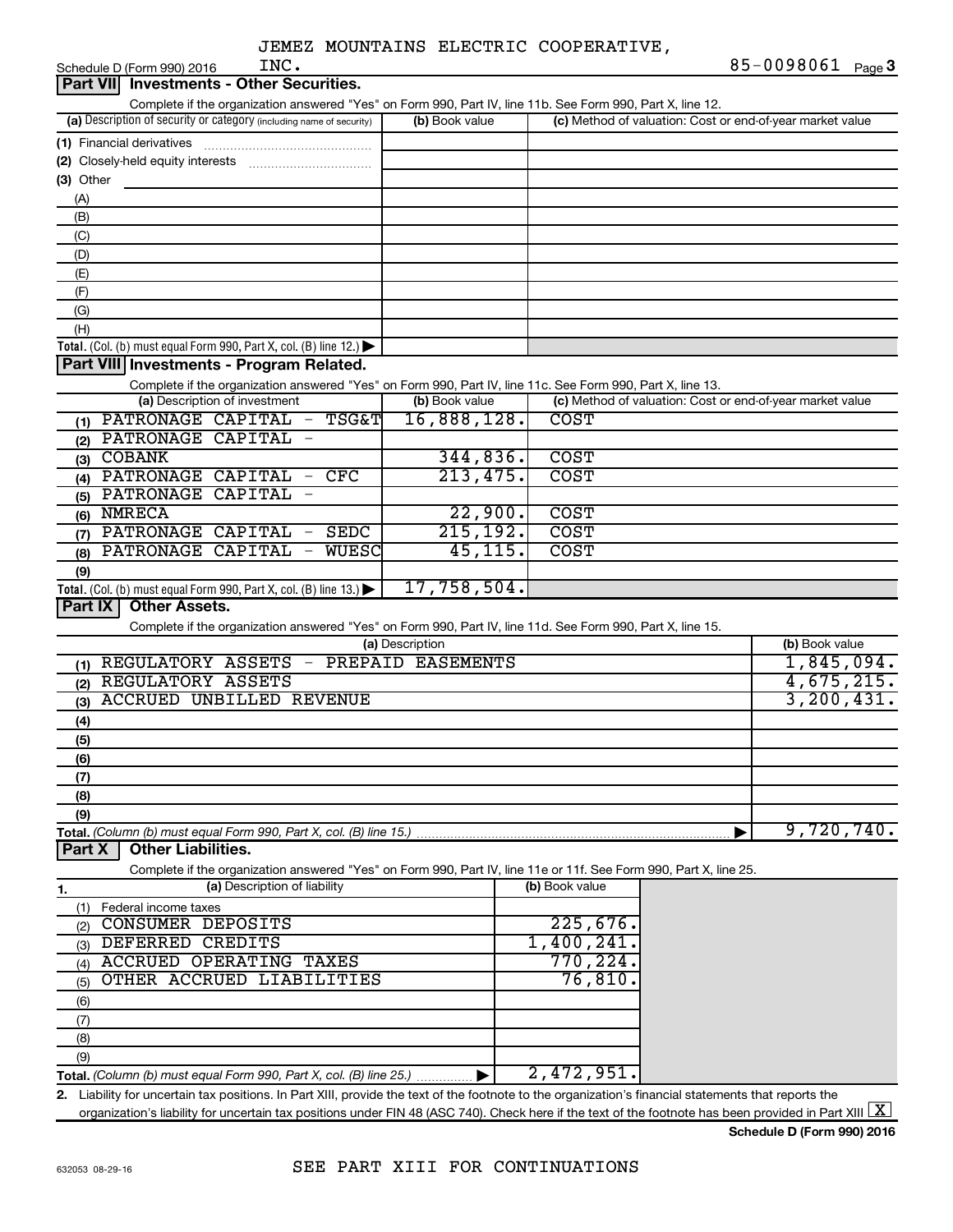| INC.<br>Schedule D (Form 990) 2016                                                                                                                   |                 |                                                           | 85-0098061<br>Page $3$ |
|------------------------------------------------------------------------------------------------------------------------------------------------------|-----------------|-----------------------------------------------------------|------------------------|
| <b>Investments - Other Securities.</b><br><b>Part VIII</b>                                                                                           |                 |                                                           |                        |
| Complete if the organization answered "Yes" on Form 990, Part IV, line 11b. See Form 990, Part X, line 12.                                           |                 |                                                           |                        |
| (a) Description of security or category (including name of security)                                                                                 | (b) Book value  | (c) Method of valuation: Cost or end-of-year market value |                        |
|                                                                                                                                                      |                 |                                                           |                        |
|                                                                                                                                                      |                 |                                                           |                        |
| (3) Other                                                                                                                                            |                 |                                                           |                        |
| (A)                                                                                                                                                  |                 |                                                           |                        |
| (B)                                                                                                                                                  |                 |                                                           |                        |
| (C)                                                                                                                                                  |                 |                                                           |                        |
| (D)                                                                                                                                                  |                 |                                                           |                        |
| (E)                                                                                                                                                  |                 |                                                           |                        |
| (F)                                                                                                                                                  |                 |                                                           |                        |
| (G)                                                                                                                                                  |                 |                                                           |                        |
| (H)                                                                                                                                                  |                 |                                                           |                        |
| Total. (Col. (b) must equal Form 990, Part X, col. (B) line 12.) $\blacktriangleright$                                                               |                 |                                                           |                        |
| Part VIII Investments - Program Related.                                                                                                             |                 |                                                           |                        |
| Complete if the organization answered "Yes" on Form 990, Part IV, line 11c. See Form 990, Part X, line 13.                                           |                 |                                                           |                        |
| (a) Description of investment                                                                                                                        | (b) Book value  | (c) Method of valuation: Cost or end-of-year market value |                        |
| PATRONAGE CAPITAL - TSG&T<br>(1)                                                                                                                     | 16,888,128.     | <b>COST</b>                                               |                        |
| PATRONAGE CAPITAL<br>(2)                                                                                                                             |                 |                                                           |                        |
| <b>COBANK</b><br>(3)                                                                                                                                 | 344,836.        | <b>COST</b>                                               |                        |
| PATRONAGE CAPITAL<br>$-$ CFC<br>(4)<br><b>CAPITAL</b>                                                                                                | 213,475.        | <b>COST</b>                                               |                        |
| PATRONAGE<br>(5)                                                                                                                                     |                 |                                                           |                        |
| $(6)$ NMRECA                                                                                                                                         | 22,900.         | <b>COST</b>                                               |                        |
| PATRONAGE CAPITAL<br><b>SEDC</b><br>$\overline{\phantom{m}}$<br>(7)                                                                                  | 215, 192.       | <b>COST</b>                                               |                        |
| CAPITAL<br><b>WUESC</b><br>PATRONAGE<br>(8)                                                                                                          | 45, 115.        | <b>COST</b>                                               |                        |
| (9)                                                                                                                                                  | 17,758,504.     |                                                           |                        |
| Total. (Col. (b) must equal Form 990, Part X, col. (B) line 13.) $\blacktriangleright$<br><b>Other Assets.</b><br>Part IX                            |                 |                                                           |                        |
|                                                                                                                                                      |                 |                                                           |                        |
| Complete if the organization answered "Yes" on Form 990, Part IV, line 11d. See Form 990, Part X, line 15.                                           | (a) Description |                                                           | (b) Book value         |
| (1) REGULATORY ASSETS - PREPAID EASEMENTS                                                                                                            |                 |                                                           | 1,845,094.             |
| REGULATORY ASSETS<br>(2)                                                                                                                             |                 |                                                           | 4,675,215.             |
| ACCRUED UNBILLED REVENUE<br>(3)                                                                                                                      |                 |                                                           | 3, 200, 431.           |
|                                                                                                                                                      |                 |                                                           |                        |
| (4)<br>(5)                                                                                                                                           |                 |                                                           |                        |
| (6)                                                                                                                                                  |                 |                                                           |                        |
| (7)                                                                                                                                                  |                 |                                                           |                        |
| (8)                                                                                                                                                  |                 |                                                           |                        |
| (9)                                                                                                                                                  |                 |                                                           |                        |
| Total. (Column (b) must equal Form 990, Part X, col. (B) line 15.)                                                                                   |                 |                                                           | 9,720,740.             |
| <b>Other Liabilities.</b><br>Part X                                                                                                                  |                 |                                                           |                        |
| Complete if the organization answered "Yes" on Form 990, Part IV, line 11e or 11f. See Form 990, Part X, line 25.                                    |                 |                                                           |                        |
| (a) Description of liability<br>1.                                                                                                                   |                 | (b) Book value                                            |                        |
| (1) Federal income taxes                                                                                                                             |                 |                                                           |                        |
| CONSUMER DEPOSITS<br>(2)                                                                                                                             |                 | 225,676.                                                  |                        |
| DEFERRED CREDITS<br>(3)                                                                                                                              |                 | 1,400,241.                                                |                        |
| <b>ACCRUED OPERATING TAXES</b><br>(4)                                                                                                                |                 | 770, 224                                                  |                        |
| OTHER ACCRUED LIABILITIES<br>(5)                                                                                                                     |                 | 76,810                                                    |                        |
| (6)                                                                                                                                                  |                 |                                                           |                        |
| (7)                                                                                                                                                  |                 |                                                           |                        |
| (8)                                                                                                                                                  |                 |                                                           |                        |
| (9)                                                                                                                                                  |                 |                                                           |                        |
| <b>Total.</b> (Column (b) must equal Form 990, Part X, col. (B) line 25.) $\ldots$                                                                   |                 | 2,472,951                                                 |                        |
| 2. Liability for uncertain tax positions. In Part XIII, provide the text of the footnote to the organization's financial statements that reports the |                 |                                                           |                        |

**2.** Liability for uncertain tax positions. In Part XIII, provide the text of the footnote to the organization's financial statements that reports the organization's liability for uncertain tax positions under FIN 48 (ASC 740). Check here if the text of the footnote has been provided in Part XIII  $\boxed{\text{X}}$ 

**Schedule D (Form 990) 2016**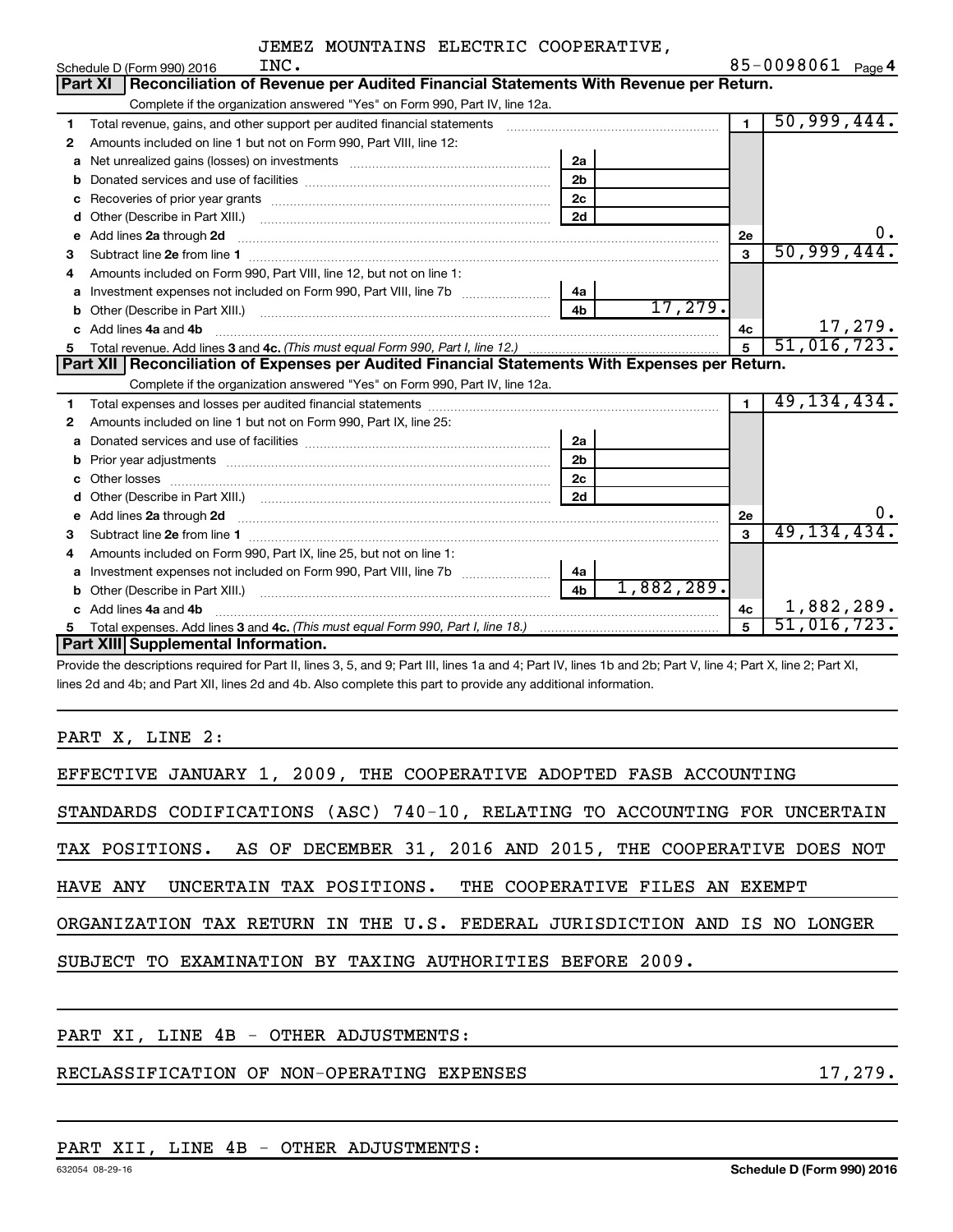|    | INC.<br>Schedule D (Form 990) 2016                                                                                                                                                                                                 |                | 85-0098061 $_{Page 4}$ |
|----|------------------------------------------------------------------------------------------------------------------------------------------------------------------------------------------------------------------------------------|----------------|------------------------|
|    | Reconciliation of Revenue per Audited Financial Statements With Revenue per Return.<br>Part XI                                                                                                                                     |                |                        |
|    | Complete if the organization answered "Yes" on Form 990, Part IV, line 12a.                                                                                                                                                        |                |                        |
| 1  |                                                                                                                                                                                                                                    | $\overline{1}$ | 50,999,444.            |
| 2  | Amounts included on line 1 but not on Form 990, Part VIII, line 12:                                                                                                                                                                |                |                        |
| a  | 2a                                                                                                                                                                                                                                 |                |                        |
| b  | 2 <sub>b</sub>                                                                                                                                                                                                                     |                |                        |
| с  | 2c                                                                                                                                                                                                                                 |                |                        |
| d  | 2d                                                                                                                                                                                                                                 |                |                        |
| е  | Add lines 2a through 2d <b>manufactures</b> in the contract of the contract of the contract of the contract of the contract of the contract of the contract of the contract of the contract of the contract of the contract of the | 2e             | Ο.                     |
| 3  |                                                                                                                                                                                                                                    | 3              | 50,999,444.            |
|    | Amounts included on Form 990, Part VIII, line 12, but not on line 1:                                                                                                                                                               |                |                        |
| a  | Investment expenses not included on Form 990, Part VIII, line 7b<br>4a                                                                                                                                                             |                |                        |
| b  | 17,279.<br>4 <sub>h</sub>                                                                                                                                                                                                          |                |                        |
| C. | Add lines 4a and 4b                                                                                                                                                                                                                | 4с             | 17,279.                |
| 5  |                                                                                                                                                                                                                                    | $\overline{5}$ | 51,016,723.            |
|    | Part XII   Reconciliation of Expenses per Audited Financial Statements With Expenses per Return.                                                                                                                                   |                |                        |
|    | Complete if the organization answered "Yes" on Form 990, Part IV, line 12a.                                                                                                                                                        |                |                        |
| 1  |                                                                                                                                                                                                                                    | $\blacksquare$ | 49, 134, 434.          |
| 2  | Amounts included on line 1 but not on Form 990, Part IX, line 25:                                                                                                                                                                  |                |                        |
| a  | 2a                                                                                                                                                                                                                                 |                |                        |
| b  | 2 <sub>b</sub>                                                                                                                                                                                                                     |                |                        |
| c  | 2 <sub>c</sub>                                                                                                                                                                                                                     |                |                        |
|    | 2d                                                                                                                                                                                                                                 |                |                        |
| е  | Add lines 2a through 2d <b>[10]</b> Communication and the contract of the contract of the contract of the contract of the contract of the contract of the contract of the contract of the contract of the contract of the contract | 2е             | Ο.                     |
| 3  |                                                                                                                                                                                                                                    | $\mathbf{R}$   | 49, 134, 434.          |
| 4  | Amounts included on Form 990, Part IX, line 25, but not on line 1:                                                                                                                                                                 |                |                        |
| a  | 4a                                                                                                                                                                                                                                 |                |                        |
|    | 1,882,289.<br>4 <sub>b</sub><br>Other (Describe in Part XIII.) (2000) (2000) (2000) (2010) (2010) (2010) (2010) (2010) (2010) (2010) (2010) (20                                                                                    |                |                        |
|    | Add lines 4a and 4b                                                                                                                                                                                                                | 4c             | 1,882,289.             |
| 5  |                                                                                                                                                                                                                                    | 5              | 51,016,723.            |
|    | Part XIII Supplemental Information.                                                                                                                                                                                                |                |                        |

Provide the descriptions required for Part II, lines 3, 5, and 9; Part III, lines 1a and 4; Part IV, lines 1b and 2b; Part V, line 4; Part X, line 2; Part XI, lines 2d and 4b; and Part XII, lines 2d and 4b. Also complete this part to provide any additional information.

PART X, LINE 2:

| EFFECTIVE JANUARY 1, 2009, THE COOPERATIVE ADOPTED FASB ACCOUNTING         |
|----------------------------------------------------------------------------|
| STANDARDS CODIFICATIONS (ASC) 740-10, RELATING TO ACCOUNTING FOR UNCERTAIN |
| TAX POSITIONS. AS OF DECEMBER 31, 2016 AND 2015, THE COOPERATIVE DOES NOT  |
| HAVE ANY UNCERTAIN TAX POSITIONS. THE COOPERATIVE FILES AN EXEMPT          |
| ORGANIZATION TAX RETURN IN THE U.S. FEDERAL JURISDICTION AND IS NO LONGER  |
| SUBJECT TO EXAMINATION BY TAXING AUTHORITIES BEFORE 2009.                  |
|                                                                            |

PART XI, LINE 4B - OTHER ADJUSTMENTS:

## RECLASSIFICATION OF NON-OPERATING EXPENSES 17,279.

#### PART XII, LINE 4B - OTHER ADJUSTMENTS: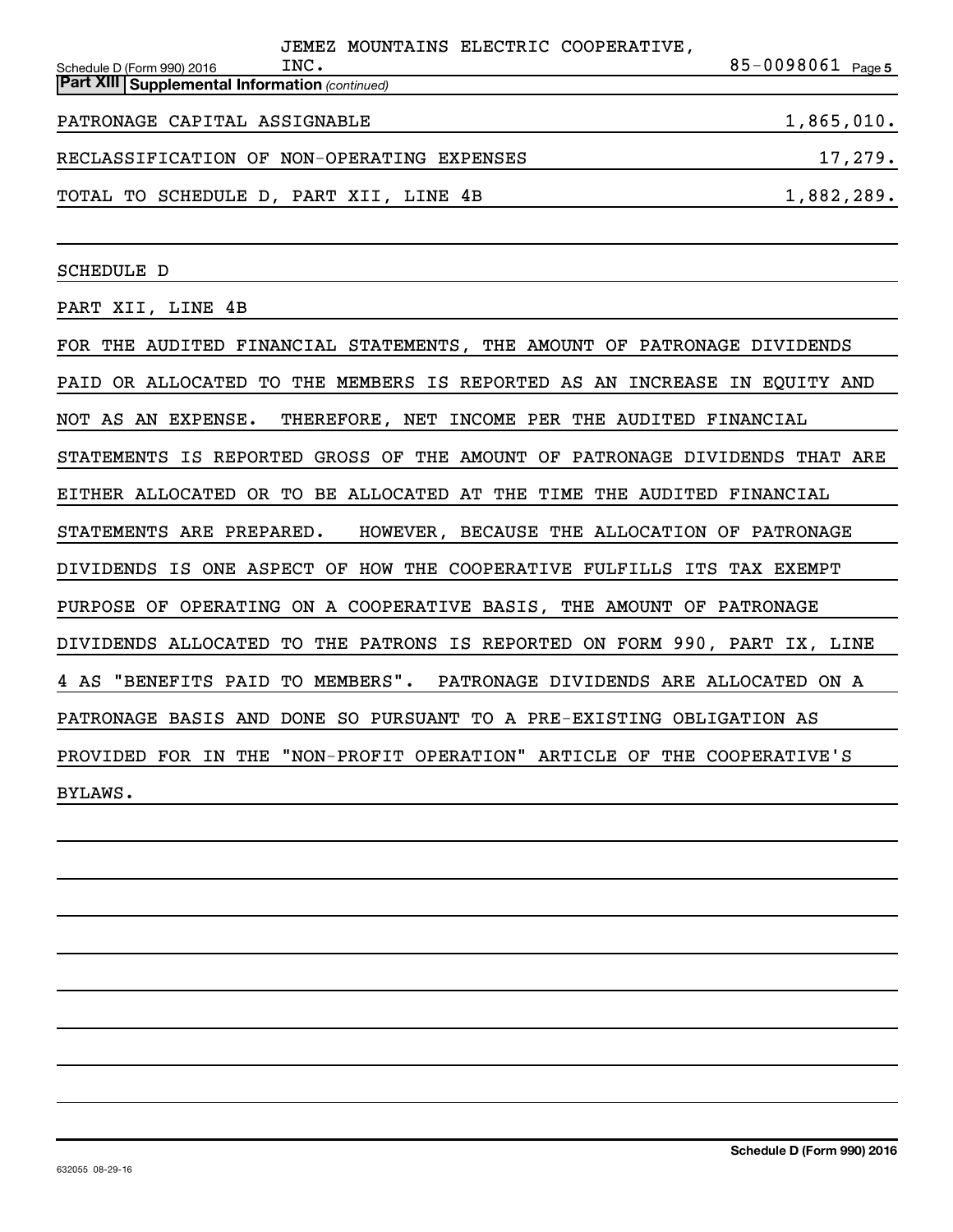|                                                       | JEMEZ MOUNTAINS ELECTRIC COOPERATIVE,      |                       |
|-------------------------------------------------------|--------------------------------------------|-----------------------|
| Schedule D (Form 990) 2016                            | INC.                                       | $85 - 0098061$ Page 5 |
| <b>Part XIII Supplemental Information (continued)</b> |                                            |                       |
| PATRONAGE CAPITAL ASSIGNABLE                          |                                            | 1,865,010.            |
|                                                       | RECLASSIFICATION OF NON-OPERATING EXPENSES | 17,279.               |
|                                                       | TOTAL TO SCHEDULE D, PART XII, LINE 4B     | 1,882,289.            |

SCHEDULE D

PART XII, LINE 4B

FOR THE AUDITED FINANCIAL STATEMENTS, THE AMOUNT OF PATRONAGE DIVIDENDS PAID OR ALLOCATED TO THE MEMBERS IS REPORTED AS AN INCREASE IN EQUITY AND NOT AS AN EXPENSE. THEREFORE, NET INCOME PER THE AUDITED FINANCIAL STATEMENTS IS REPORTED GROSS OF THE AMOUNT OF PATRONAGE DIVIDENDS THAT ARE EITHER ALLOCATED OR TO BE ALLOCATED AT THE TIME THE AUDITED FINANCIAL STATEMENTS ARE PREPARED. HOWEVER, BECAUSE THE ALLOCATION OF PATRONAGE DIVIDENDS IS ONE ASPECT OF HOW THE COOPERATIVE FULFILLS ITS TAX EXEMPT PURPOSE OF OPERATING ON A COOPERATIVE BASIS, THE AMOUNT OF PATRONAGE DIVIDENDS ALLOCATED TO THE PATRONS IS REPORTED ON FORM 990, PART IX, LINE 4 AS "BENEFITS PAID TO MEMBERS". PATRONAGE DIVIDENDS ARE ALLOCATED ON A PATRONAGE BASIS AND DONE SO PURSUANT TO A PRE-EXISTING OBLIGATION AS PROVIDED FOR IN THE "NON-PROFIT OPERATION" ARTICLE OF THE COOPERATIVE'S BYLAWS.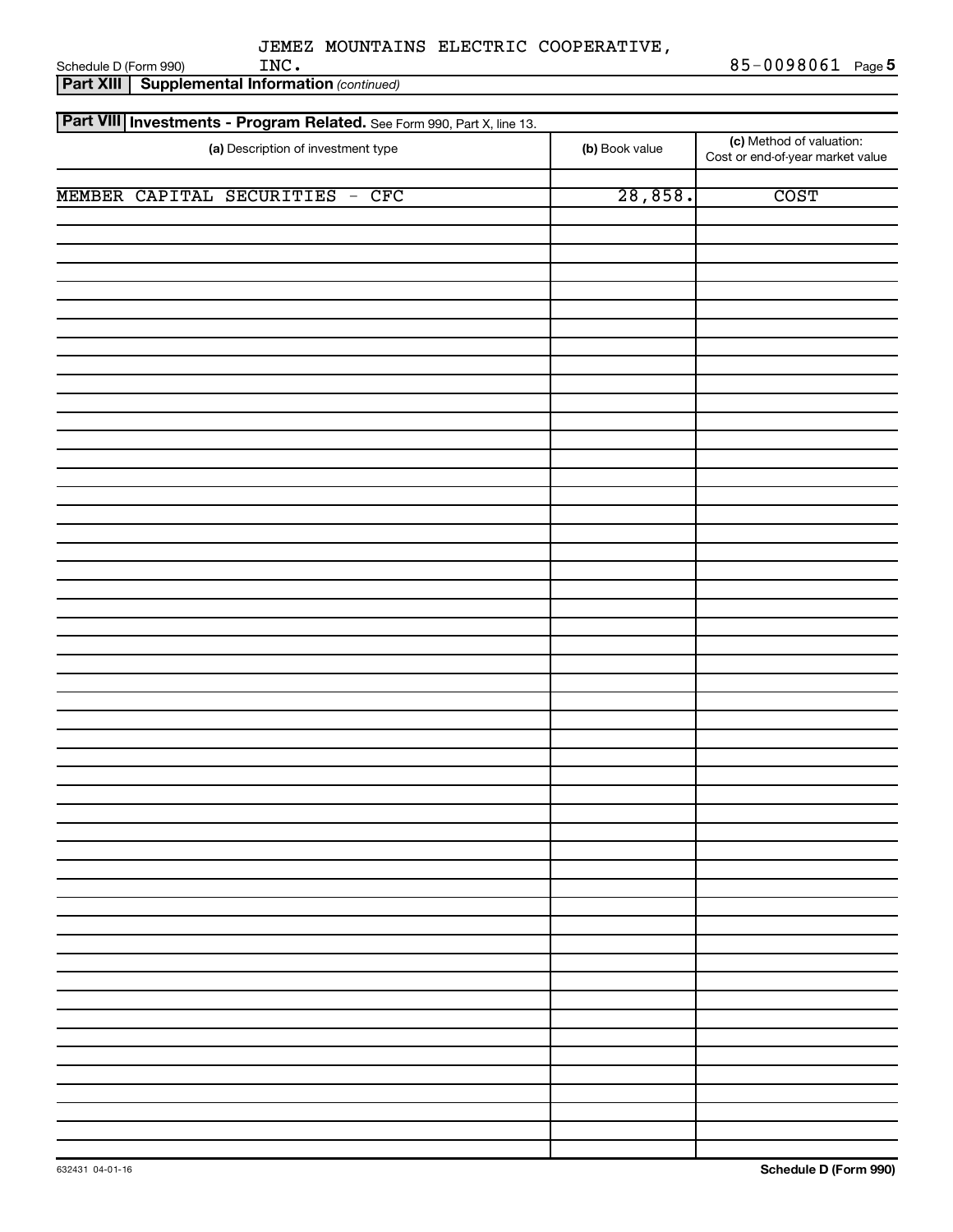**Part XIII | Supplemental Information** (continued) Schedule D (Form 990)  $\text{INC.}}$ 

Part VIII | Investments - Program Related. See Form 990, Part X, line 13.

| (a) Description of investment type | (b) Book value | (c) Method of valuation:<br>Cost or end-of-year market value |
|------------------------------------|----------------|--------------------------------------------------------------|
| MEMBER CAPITAL SECURITIES - CFC    | 28,858.        | <b>COST</b>                                                  |
|                                    |                |                                                              |
|                                    |                |                                                              |
|                                    |                |                                                              |
|                                    |                |                                                              |
|                                    |                |                                                              |
|                                    |                |                                                              |
|                                    |                |                                                              |
|                                    |                |                                                              |
|                                    |                |                                                              |
|                                    |                |                                                              |
|                                    |                |                                                              |
|                                    |                |                                                              |
|                                    |                |                                                              |
|                                    |                |                                                              |
|                                    |                |                                                              |
|                                    |                |                                                              |
|                                    |                |                                                              |
|                                    |                |                                                              |
|                                    |                |                                                              |
|                                    |                |                                                              |
|                                    |                |                                                              |
|                                    |                |                                                              |
|                                    |                |                                                              |
|                                    |                |                                                              |
|                                    |                |                                                              |
|                                    |                |                                                              |
|                                    |                |                                                              |
|                                    |                |                                                              |
|                                    |                |                                                              |
|                                    |                |                                                              |
|                                    |                |                                                              |
|                                    |                |                                                              |
|                                    |                |                                                              |
|                                    |                |                                                              |
|                                    |                |                                                              |
|                                    |                | $\sim$<br>$\sim$ $\sim$                                      |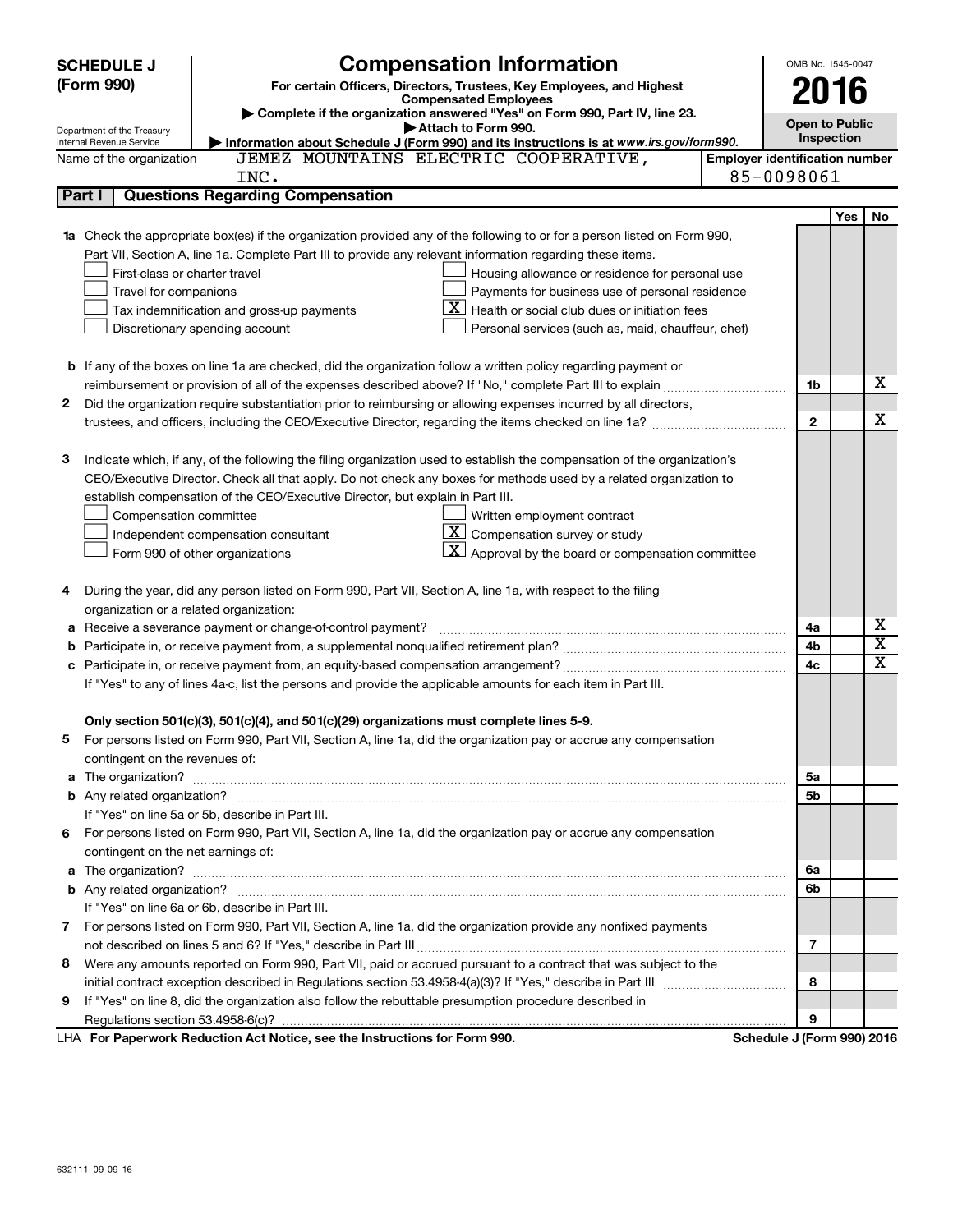|        | <b>SCHEDULE J</b>                  | <b>Compensation Information</b>                                                                                                                                                                                                                 |                                       | OMB No. 1545-0047     |     |                         |
|--------|------------------------------------|-------------------------------------------------------------------------------------------------------------------------------------------------------------------------------------------------------------------------------------------------|---------------------------------------|-----------------------|-----|-------------------------|
|        | (Form 990)                         | For certain Officers, Directors, Trustees, Key Employees, and Highest                                                                                                                                                                           |                                       | 2016                  |     |                         |
|        |                                    | <b>Compensated Employees</b><br>Complete if the organization answered "Yes" on Form 990, Part IV, line 23.                                                                                                                                      |                                       |                       |     |                         |
|        | Department of the Treasury         | Attach to Form 990.                                                                                                                                                                                                                             |                                       | <b>Open to Public</b> |     |                         |
|        | Internal Revenue Service           | Information about Schedule J (Form 990) and its instructions is at www.irs.gov/form990.                                                                                                                                                         |                                       | Inspection            |     |                         |
|        | Name of the organization           | JEMEZ MOUNTAINS ELECTRIC COOPERATIVE,                                                                                                                                                                                                           | <b>Employer identification number</b> |                       |     |                         |
|        |                                    | INC.                                                                                                                                                                                                                                            | 85-0098061                            |                       |     |                         |
| Part I |                                    | <b>Questions Regarding Compensation</b>                                                                                                                                                                                                         |                                       |                       |     |                         |
|        |                                    |                                                                                                                                                                                                                                                 |                                       |                       | Yes | No                      |
|        |                                    | <b>1a</b> Check the appropriate box(es) if the organization provided any of the following to or for a person listed on Form 990,                                                                                                                |                                       |                       |     |                         |
|        |                                    | Part VII, Section A, line 1a. Complete Part III to provide any relevant information regarding these items.                                                                                                                                      |                                       |                       |     |                         |
|        | First-class or charter travel      | Housing allowance or residence for personal use                                                                                                                                                                                                 |                                       |                       |     |                         |
|        | Travel for companions              | Payments for business use of personal residence                                                                                                                                                                                                 |                                       |                       |     |                         |
|        |                                    | $\mathbf{X}$ Health or social club dues or initiation fees<br>Tax indemnification and gross-up payments                                                                                                                                         |                                       |                       |     |                         |
|        |                                    | Discretionary spending account<br>Personal services (such as, maid, chauffeur, chef)                                                                                                                                                            |                                       |                       |     |                         |
|        |                                    |                                                                                                                                                                                                                                                 |                                       |                       |     |                         |
|        |                                    | <b>b</b> If any of the boxes on line 1a are checked, did the organization follow a written policy regarding payment or                                                                                                                          |                                       |                       |     | х                       |
|        |                                    |                                                                                                                                                                                                                                                 |                                       | 1b                    |     |                         |
| 2      |                                    | Did the organization require substantiation prior to reimbursing or allowing expenses incurred by all directors,                                                                                                                                |                                       | $\mathbf{2}$          |     | х                       |
|        |                                    |                                                                                                                                                                                                                                                 |                                       |                       |     |                         |
| 3      |                                    |                                                                                                                                                                                                                                                 |                                       |                       |     |                         |
|        |                                    | Indicate which, if any, of the following the filing organization used to establish the compensation of the organization's<br>CEO/Executive Director. Check all that apply. Do not check any boxes for methods used by a related organization to |                                       |                       |     |                         |
|        |                                    | establish compensation of the CEO/Executive Director, but explain in Part III.                                                                                                                                                                  |                                       |                       |     |                         |
|        | Compensation committee             | Written employment contract                                                                                                                                                                                                                     |                                       |                       |     |                         |
|        |                                    | $\underline{\mathbf{X}}$ Compensation survey or study<br>Independent compensation consultant                                                                                                                                                    |                                       |                       |     |                         |
|        |                                    | $\lfloor \underline{X} \rfloor$ Approval by the board or compensation committee<br>Form 990 of other organizations                                                                                                                              |                                       |                       |     |                         |
|        |                                    |                                                                                                                                                                                                                                                 |                                       |                       |     |                         |
| 4      |                                    | During the year, did any person listed on Form 990, Part VII, Section A, line 1a, with respect to the filing                                                                                                                                    |                                       |                       |     |                         |
|        |                                    | organization or a related organization:                                                                                                                                                                                                         |                                       |                       |     |                         |
| а      |                                    | Receive a severance payment or change-of-control payment?                                                                                                                                                                                       |                                       | 4a                    |     | х                       |
| b      |                                    |                                                                                                                                                                                                                                                 |                                       | 4b                    |     | $\overline{\texttt{x}}$ |
|        |                                    |                                                                                                                                                                                                                                                 |                                       | 4c                    |     | X                       |
|        |                                    | If "Yes" to any of lines 4a-c, list the persons and provide the applicable amounts for each item in Part III.                                                                                                                                   |                                       |                       |     |                         |
|        |                                    |                                                                                                                                                                                                                                                 |                                       |                       |     |                         |
|        |                                    | Only section 501(c)(3), 501(c)(4), and 501(c)(29) organizations must complete lines 5-9.                                                                                                                                                        |                                       |                       |     |                         |
|        |                                    | For persons listed on Form 990, Part VII, Section A, line 1a, did the organization pay or accrue any compensation                                                                                                                               |                                       |                       |     |                         |
|        | contingent on the revenues of:     |                                                                                                                                                                                                                                                 |                                       |                       |     |                         |
|        |                                    | a The organization? <b>contracts</b> and contracts are contracted and contract and contract and contract and contract and contract and contract and contract and contract and contract and contract and contract and contract and c             |                                       | 5a                    |     |                         |
|        |                                    |                                                                                                                                                                                                                                                 |                                       | 5b                    |     |                         |
|        |                                    | If "Yes" on line 5a or 5b, describe in Part III.                                                                                                                                                                                                |                                       |                       |     |                         |
|        |                                    | 6 For persons listed on Form 990, Part VII, Section A, line 1a, did the organization pay or accrue any compensation                                                                                                                             |                                       |                       |     |                         |
|        | contingent on the net earnings of: |                                                                                                                                                                                                                                                 |                                       |                       |     |                         |
|        |                                    |                                                                                                                                                                                                                                                 |                                       | 6а                    |     |                         |
|        |                                    |                                                                                                                                                                                                                                                 |                                       | 6b                    |     |                         |
|        |                                    | If "Yes" on line 6a or 6b, describe in Part III.                                                                                                                                                                                                |                                       |                       |     |                         |
|        |                                    | 7 For persons listed on Form 990, Part VII, Section A, line 1a, did the organization provide any nonfixed payments                                                                                                                              |                                       |                       |     |                         |
|        |                                    |                                                                                                                                                                                                                                                 |                                       | 7                     |     |                         |
| 8      |                                    | Were any amounts reported on Form 990, Part VII, paid or accrued pursuant to a contract that was subject to the                                                                                                                                 |                                       |                       |     |                         |
|        |                                    |                                                                                                                                                                                                                                                 |                                       | 8                     |     |                         |
| 9      |                                    | If "Yes" on line 8, did the organization also follow the rebuttable presumption procedure described in                                                                                                                                          |                                       |                       |     |                         |
|        |                                    |                                                                                                                                                                                                                                                 |                                       | 9                     |     |                         |
|        |                                    | LHA For Paperwork Reduction Act Notice, see the Instructions for Form 990.                                                                                                                                                                      | Schedule J (Form 990) 2016            |                       |     |                         |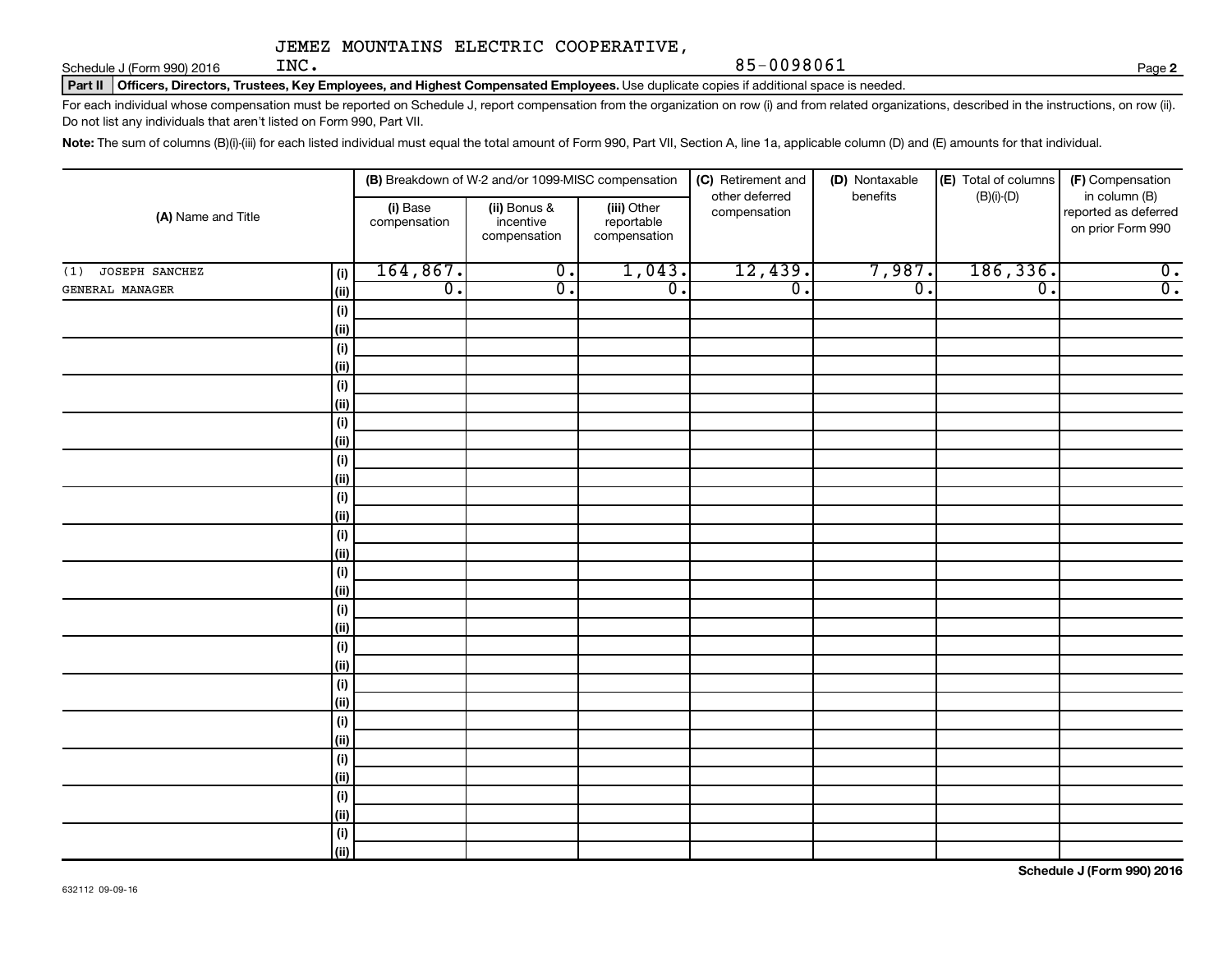Schedule J (Form 990) 2016  $\qquad \qquad \text{INC.}$ 

Part II | Officers, Directors, Trustees, Key Employees, and Highest Compensated Employees. Use duplicate copies if additional space is needed.

For each individual whose compensation must be reported on Schedule J, report compensation from the organization on row (i) and from related organizations, described in the instructions, on row (ii). Do not list any individuals that aren't listed on Form 990, Part VII.

Note: The sum of columns (B)(i)-(iii) for each listed individual must equal the total amount of Form 990, Part VII, Section A, line 1a, applicable column (D) and (E) amounts for that individual.

|                       |                     |                          | (B) Breakdown of W-2 and/or 1099-MISC compensation |                                           | (C) Retirement and             | (D) Nontaxable              | (E) Total of columns<br>(F) Compensation |                                                            |  |
|-----------------------|---------------------|--------------------------|----------------------------------------------------|-------------------------------------------|--------------------------------|-----------------------------|------------------------------------------|------------------------------------------------------------|--|
| (A) Name and Title    |                     | (i) Base<br>compensation | (ii) Bonus &<br>incentive<br>compensation          | (iii) Other<br>reportable<br>compensation | other deferred<br>compensation | benefits                    | $(B)(i)-(D)$                             | in column (B)<br>reported as deferred<br>on prior Form 990 |  |
| JOSEPH SANCHEZ<br>(1) | (i)                 | 164, 867.                | $\overline{0}$ .                                   | 1,043.                                    | 12,439.                        | 7,987.                      | 186, 336.                                | $\overline{0}$ .                                           |  |
| GENERAL MANAGER       | (ii)                | $\overline{0}$ .         | $\overline{\mathfrak{o}}$ .                        | $\overline{0}$ .                          | $\overline{0}$ .               | $\overline{\mathfrak{o}}$ . | $\overline{\mathfrak{o}}$ .              | $\overline{0}$ .                                           |  |
|                       | (i)                 |                          |                                                    |                                           |                                |                             |                                          |                                                            |  |
|                       | $\vert$ (ii)        |                          |                                                    |                                           |                                |                             |                                          |                                                            |  |
|                       | (i)                 |                          |                                                    |                                           |                                |                             |                                          |                                                            |  |
|                       | $\vert$ (ii)        |                          |                                                    |                                           |                                |                             |                                          |                                                            |  |
|                       | (i)                 |                          |                                                    |                                           |                                |                             |                                          |                                                            |  |
|                       | $\vert$ (ii)        |                          |                                                    |                                           |                                |                             |                                          |                                                            |  |
|                       | (i)                 |                          |                                                    |                                           |                                |                             |                                          |                                                            |  |
|                       | $\vert$ (ii)<br>(i) |                          |                                                    |                                           |                                |                             |                                          |                                                            |  |
|                       | $\vert$ (ii)        |                          |                                                    |                                           |                                |                             |                                          |                                                            |  |
|                       | (i)                 |                          |                                                    |                                           |                                |                             |                                          |                                                            |  |
|                       | $\vert$ (ii)        |                          |                                                    |                                           |                                |                             |                                          |                                                            |  |
|                       | (i)                 |                          |                                                    |                                           |                                |                             |                                          |                                                            |  |
|                       | $\vert$ (ii)        |                          |                                                    |                                           |                                |                             |                                          |                                                            |  |
|                       | (i)                 |                          |                                                    |                                           |                                |                             |                                          |                                                            |  |
|                       | $\vert$ (ii)        |                          |                                                    |                                           |                                |                             |                                          |                                                            |  |
|                       | (i)                 |                          |                                                    |                                           |                                |                             |                                          |                                                            |  |
|                       | $\vert$ (ii)        |                          |                                                    |                                           |                                |                             |                                          |                                                            |  |
|                       | (i)                 |                          |                                                    |                                           |                                |                             |                                          |                                                            |  |
|                       | $\vert$ (ii)        |                          |                                                    |                                           |                                |                             |                                          |                                                            |  |
|                       | (i)<br>$\vert$ (ii) |                          |                                                    |                                           |                                |                             |                                          |                                                            |  |
|                       | (i)                 |                          |                                                    |                                           |                                |                             |                                          |                                                            |  |
|                       | $\vert$ (ii)        |                          |                                                    |                                           |                                |                             |                                          |                                                            |  |
|                       | (i)                 |                          |                                                    |                                           |                                |                             |                                          |                                                            |  |
|                       | $\vert$ (ii)        |                          |                                                    |                                           |                                |                             |                                          |                                                            |  |
|                       | (i)                 |                          |                                                    |                                           |                                |                             |                                          |                                                            |  |
|                       | $\vert$ (ii)        |                          |                                                    |                                           |                                |                             |                                          |                                                            |  |
|                       | (i)                 |                          |                                                    |                                           |                                |                             |                                          |                                                            |  |
|                       | (ii)                |                          |                                                    |                                           |                                |                             |                                          |                                                            |  |

**2**

INC. 85-0098061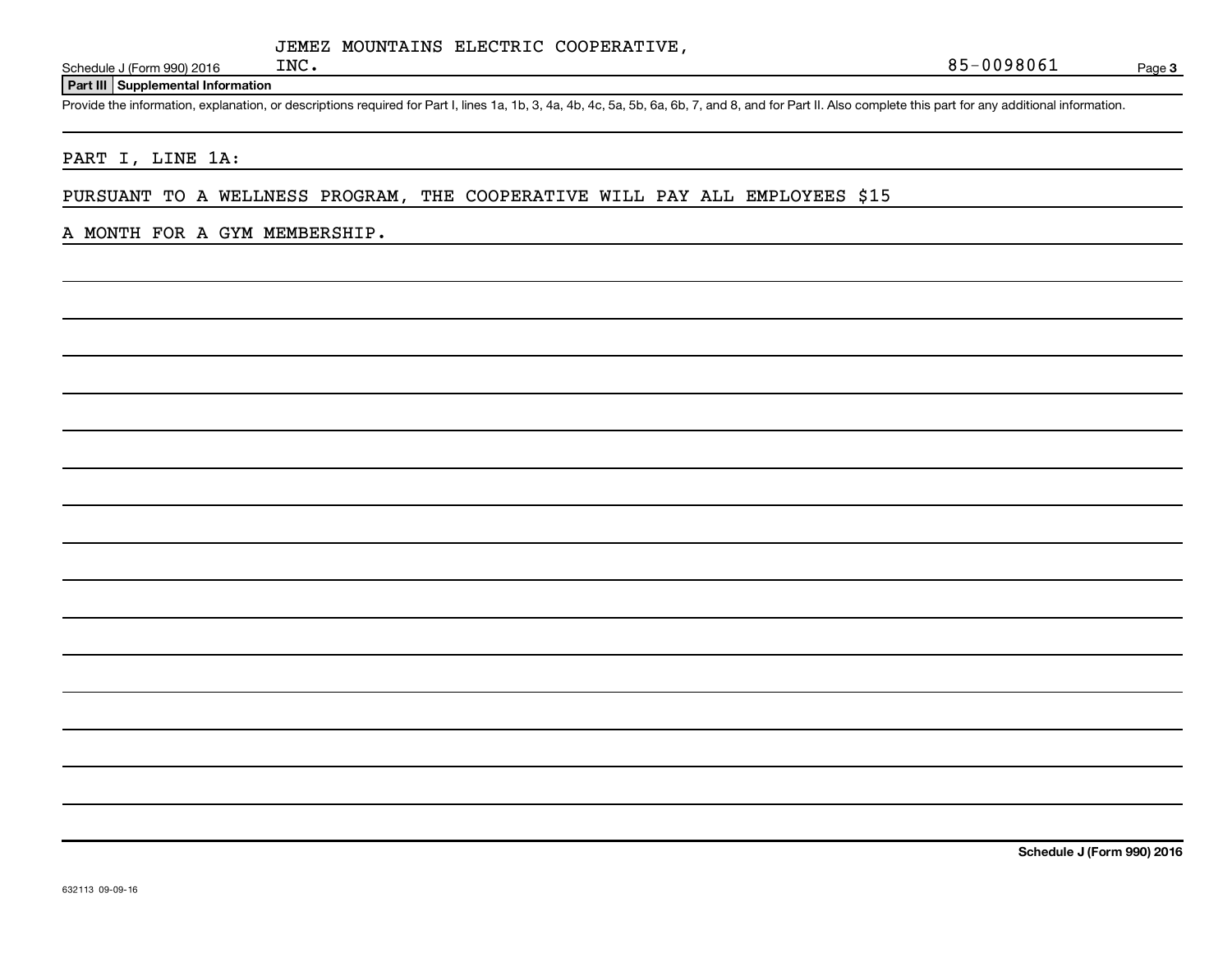Schedule J (Form 990) 2016  $INC$ .

**Part III Supplemental Information**

Provide the information, explanation, or descriptions required for Part I, lines 1a, 1b, 3, 4a, 4b, 4c, 5a, 5b, 6a, 6b, 7, and 8, and for Part II. Also complete this part for any additional information.

PART I, LINE 1A:

PURSUANT TO A WELLNESS PROGRAM, THE COOPERATIVE WILL PAY ALL EMPLOYEES \$15

#### A MONTH FOR A GYM MEMBERSHIP.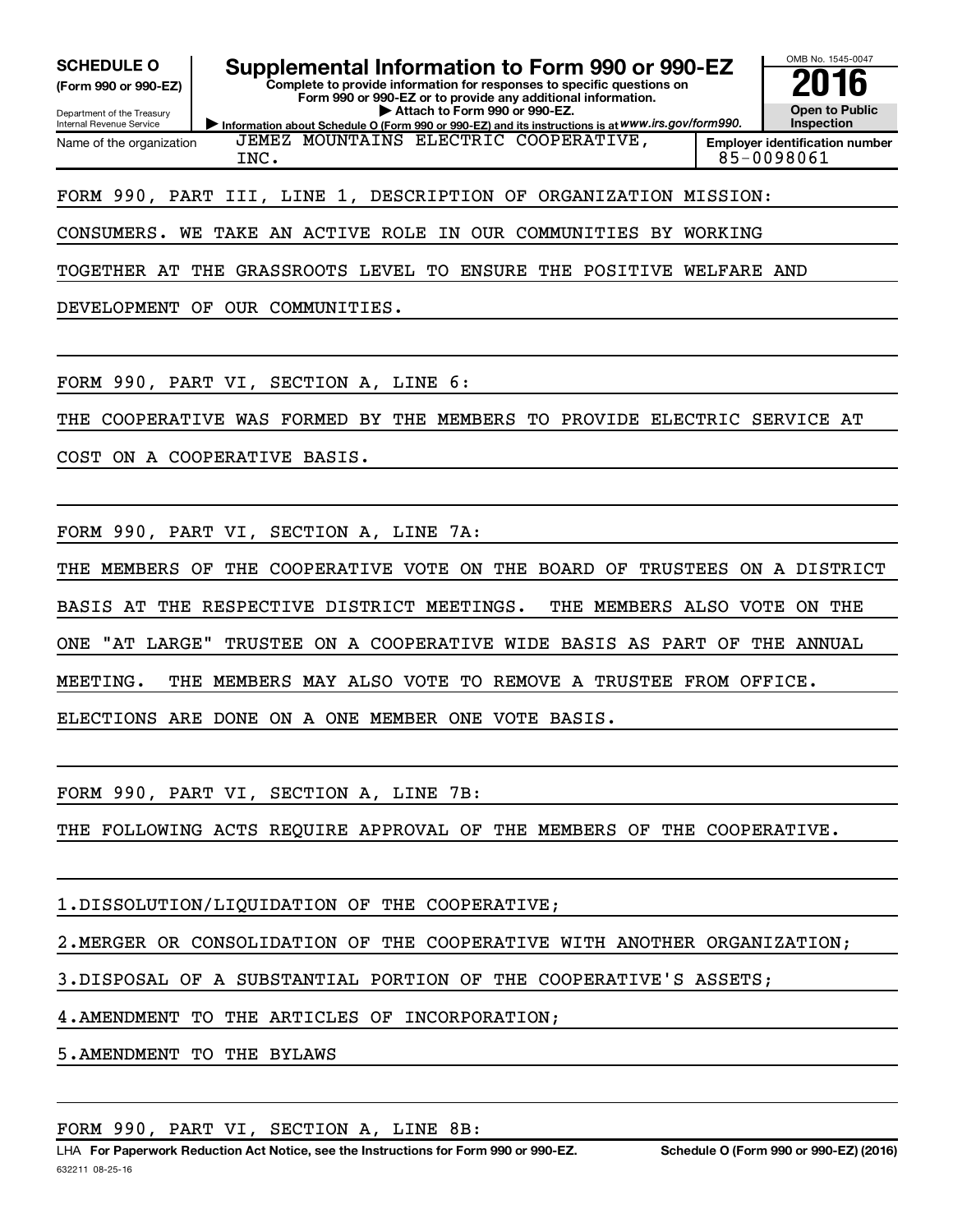| <b>SCHEDULE O</b><br>Supplemental Information to Form 990 or 990-EZ<br>Complete to provide information for responses to specific questions on<br>(Form 990 or 990-EZ)<br>Form 990 or 990-EZ or to provide any additional information.<br>Attach to Form 990 or 990-EZ.<br>Department of the Treasury<br>Information about Schedule O (Form 990 or 990-EZ) and its instructions is at WWW.irs.gov/form990.<br>Internal Revenue Service | OMB No. 1545-0047<br><b>Open to Public</b><br>Inspection |
|---------------------------------------------------------------------------------------------------------------------------------------------------------------------------------------------------------------------------------------------------------------------------------------------------------------------------------------------------------------------------------------------------------------------------------------|----------------------------------------------------------|
| JEMEZ MOUNTAINS ELECTRIC COOPERATIVE,<br>Name of the organization<br>INC.                                                                                                                                                                                                                                                                                                                                                             | <b>Employer identification number</b><br>85-0098061      |
| FORM 990, PART III, LINE 1,<br>DESCRIPTION OF<br>ORGANIZATION MISSION:<br>CONSUMERS.<br>WE<br>TAKE AN ACTIVE ROLE<br>IN OUR COMMUNITIES<br>BY                                                                                                                                                                                                                                                                                         | WORKING                                                  |
| THE GRASSROOTS LEVEL TO<br>ENSURE<br>THE POSITIVE WELFARE AND<br>TOGETHER AT                                                                                                                                                                                                                                                                                                                                                          |                                                          |
| DEVELOPMENT OF OUR COMMUNITIES.                                                                                                                                                                                                                                                                                                                                                                                                       |                                                          |
| FORM 990, PART VI, SECTION A, LINE<br>6:<br>COOPERATIVE WAS FORMED<br>BY<br>THE MEMBERS<br>TO<br>THE                                                                                                                                                                                                                                                                                                                                  | PROVIDE ELECTRIC SERVICE AT                              |
| COST ON A COOPERATIVE BASIS.                                                                                                                                                                                                                                                                                                                                                                                                          |                                                          |
| FORM 990, PART VI,<br>SECTION A, LINE<br>7A:                                                                                                                                                                                                                                                                                                                                                                                          |                                                          |
| MEMBERS<br>THE<br>COOPERATIVE VOTE<br>ON<br>THE<br>BOARD OF<br>TRUSTEES<br>THE<br>OF                                                                                                                                                                                                                                                                                                                                                  | ON A DISTRICT                                            |
| THE RESPECTIVE DISTRICT MEETINGS.<br>THE<br>MEMBERS ALSO VOTE<br>BASIS AT                                                                                                                                                                                                                                                                                                                                                             | ON THE                                                   |
| "AT LARGE"<br>TRUSTEE ON A COOPERATIVE WIDE BASIS AS<br><b>ONE</b><br>PART                                                                                                                                                                                                                                                                                                                                                            | OF<br>THE ANNUAL                                         |
| MEETING.<br>MEMBERS<br>MAY ALSO VOTE<br>TO REMOVE A TRUSTEE FROM OFFICE.<br>THE                                                                                                                                                                                                                                                                                                                                                       |                                                          |
| ELECTIONS ARE DONE ON A ONE MEMBER ONE VOTE BASIS.                                                                                                                                                                                                                                                                                                                                                                                    |                                                          |
| FORM 990, PART VI, SECTION A, LINE 7B:                                                                                                                                                                                                                                                                                                                                                                                                |                                                          |
| THE FOLLOWING ACTS REQUIRE APPROVAL OF THE MEMBERS OF THE COOPERATIVE.                                                                                                                                                                                                                                                                                                                                                                |                                                          |
| 1. DISSOLUTION/LIQUIDATION OF THE COOPERATIVE;                                                                                                                                                                                                                                                                                                                                                                                        |                                                          |

2. MERGER OR CONSOLIDATION OF THE COOPERATIVE WITH ANOTHER ORGANIZATION;

3. DISPOSAL OF A SUBSTANTIAL PORTION OF THE COOPERATIVE'S ASSETS;

4. AMENDMENT TO THE ARTICLES OF INCORPORATION;

5. AMENDMENT TO THE BYLAWS

#### FORM 990, PART VI, SECTION A, LINE 8B: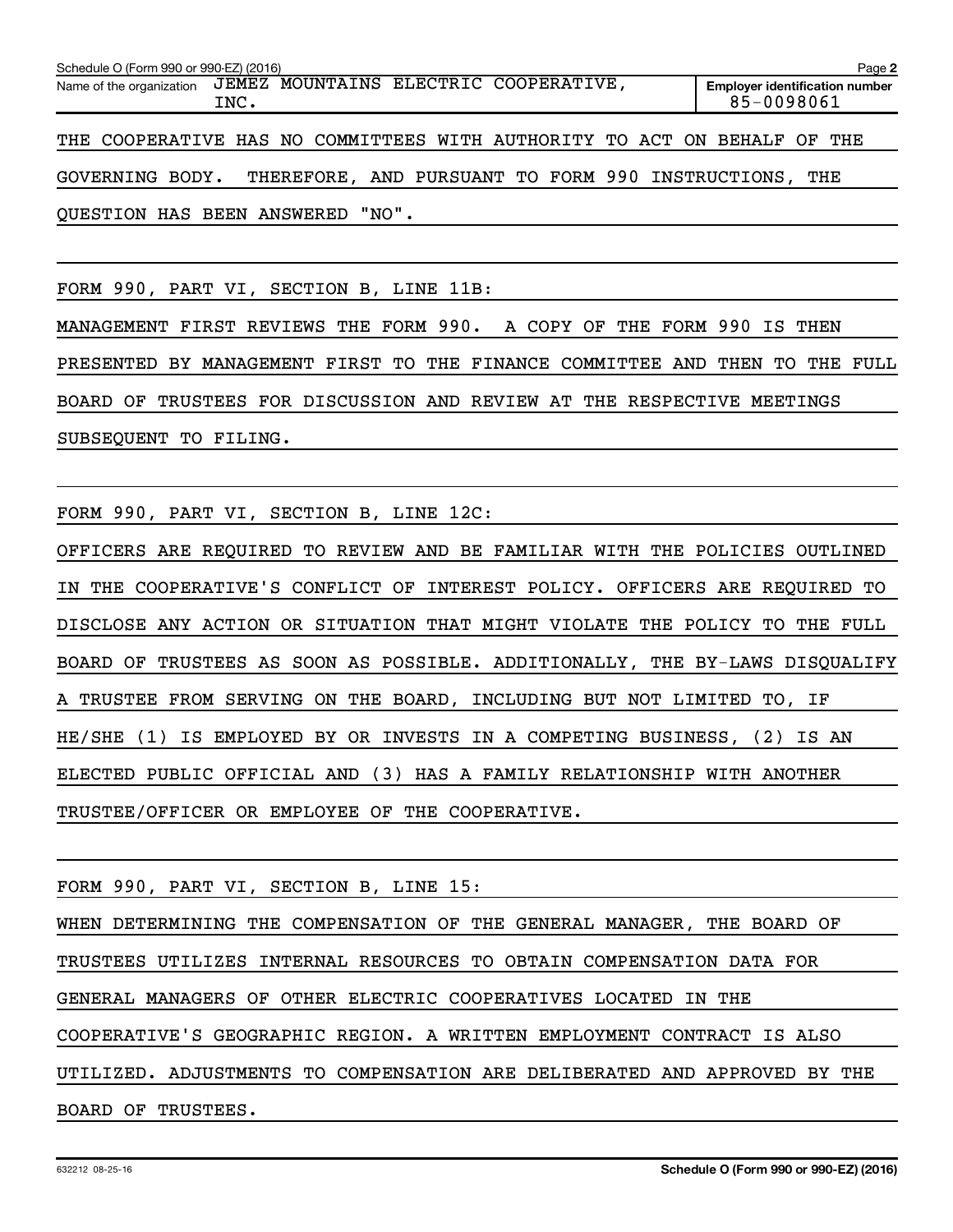| Schedule O (Form 990 or 990-EZ) (2016)                                   |      |                                       |  |  |                                                   | Page 2                                |
|--------------------------------------------------------------------------|------|---------------------------------------|--|--|---------------------------------------------------|---------------------------------------|
| Name of the organization                                                 | INC. | JEMEZ MOUNTAINS ELECTRIC COOPERATIVE, |  |  | 85-0098061                                        | <b>Employer identification number</b> |
| THE COOPERATIVE HAS NO COMMITTEES WITH AUTHORITY TO ACT ON BEHALF OF THE |      |                                       |  |  |                                                   |                                       |
| GOVERNING BODY.                                                          |      |                                       |  |  | THEREFORE, AND PURSUANT TO FORM 990 INSTRUCTIONS, | THE                                   |
| QUESTION HAS BEEN ANSWERED "NO".                                         |      |                                       |  |  |                                                   |                                       |

FORM 990, PART VI, SECTION B, LINE 11B:

MANAGEMENT FIRST REVIEWS THE FORM 990. A COPY OF THE FORM 990 IS THEN PRESENTED BY MANAGEMENT FIRST TO THE FINANCE COMMITTEE AND THEN TO THE FULL BOARD OF TRUSTEES FOR DISCUSSION AND REVIEW AT THE RESPECTIVE MEETINGS SUBSEQUENT TO FILING.

FORM 990, PART VI, SECTION B, LINE 12C:

OFFICERS ARE REQUIRED TO REVIEW AND BE FAMILIAR WITH THE POLICIES OUTLINED IN THE COOPERATIVE'S CONFLICT OF INTEREST POLICY. OFFICERS ARE REQUIRED TO DISCLOSE ANY ACTION OR SITUATION THAT MIGHT VIOLATE THE POLICY TO THE FULL BOARD OF TRUSTEES AS SOON AS POSSIBLE. ADDITIONALLY, THE BY-LAWS DISQUALIFY A TRUSTEE FROM SERVING ON THE BOARD, INCLUDING BUT NOT LIMITED TO, IF HE/SHE (1) IS EMPLOYED BY OR INVESTS IN A COMPETING BUSINESS, (2) IS AN ELECTED PUBLIC OFFICIAL AND (3) HAS A FAMILY RELATIONSHIP WITH ANOTHER TRUSTEE/OFFICER OR EMPLOYEE OF THE COOPERATIVE.

FORM 990, PART VI, SECTION B, LINE 15: WHEN DETERMINING THE COMPENSATION OF THE GENERAL MANAGER, THE BOARD OF TRUSTEES UTILIZES INTERNAL RESOURCES TO OBTAIN COMPENSATION DATA FOR GENERAL MANAGERS OF OTHER ELECTRIC COOPERATIVES LOCATED IN THE COOPERATIVE'S GEOGRAPHIC REGION. A WRITTEN EMPLOYMENT CONTRACT IS ALSO UTILIZED. ADJUSTMENTS TO COMPENSATION ARE DELIBERATED AND APPROVED BY THE BOARD OF TRUSTEES.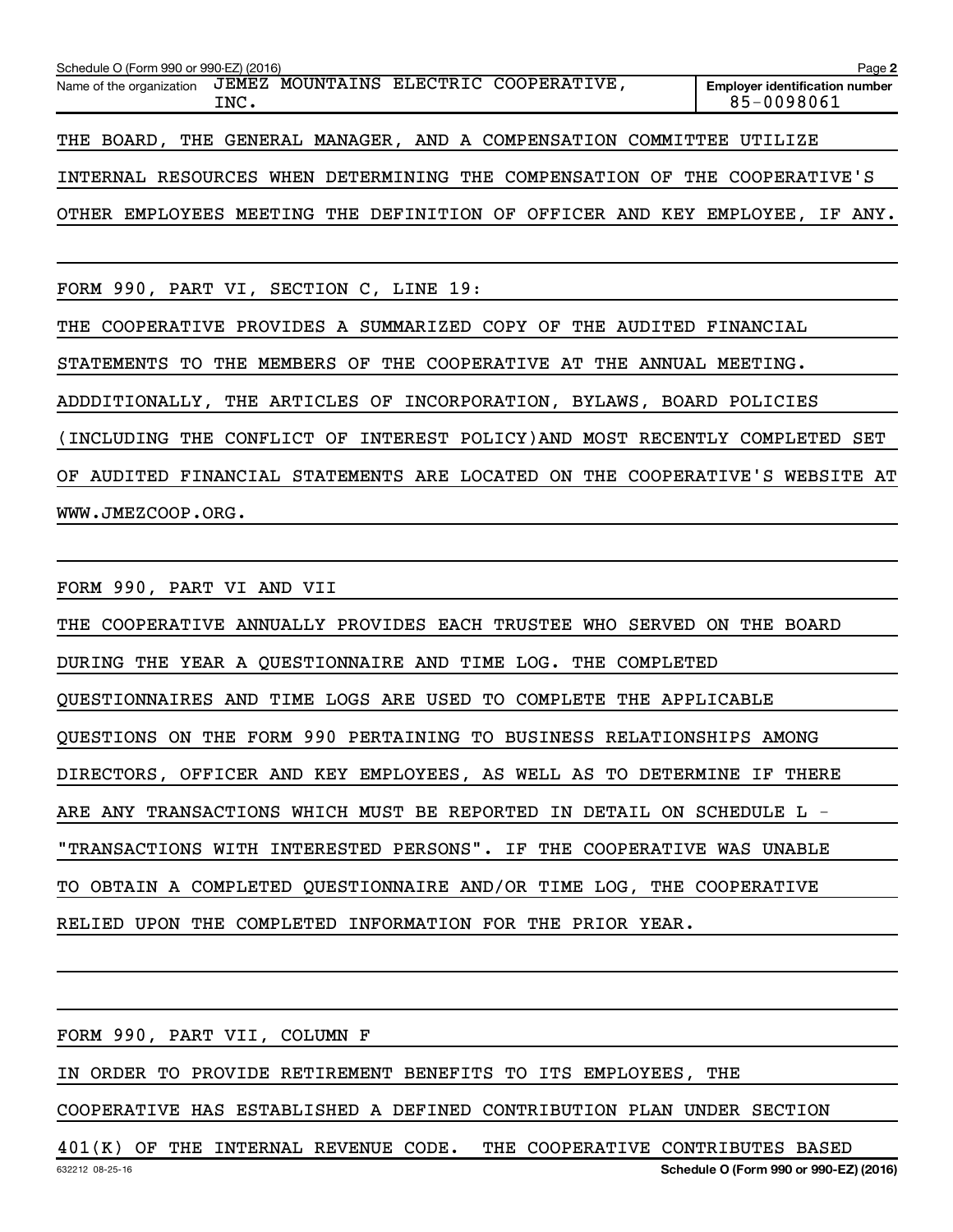| Schedule O (Form 990 or 990-EZ) (2016)                                      | Page 2                                              |
|-----------------------------------------------------------------------------|-----------------------------------------------------|
| JEMEZ MOUNTAINS ELECTRIC COOPERATIVE,<br>Name of the organization<br>INC.   | <b>Employer identification number</b><br>85-0098061 |
| THE BOARD, THE GENERAL MANAGER, AND A COMPENSATION COMMITTEE UTILIZE        |                                                     |
| INTERNAL RESOURCES WHEN DETERMINING THE COMPENSATION OF THE COOPERATIVE'S   |                                                     |
| OTHER EMPLOYEES MEETING THE DEFINITION OF OFFICER AND KEY EMPLOYEE, IF ANY. |                                                     |
|                                                                             |                                                     |

FORM 990, PART VI, SECTION C, LINE 19:

THE COOPERATIVE PROVIDES A SUMMARIZED COPY OF THE AUDITED FINANCIAL

STATEMENTS TO THE MEMBERS OF THE COOPERATIVE AT THE ANNUAL MEETING.

ADDDITIONALLY, THE ARTICLES OF INCORPORATION, BYLAWS, BOARD POLICIES

(INCLUDING THE CONFLICT OF INTEREST POLICY)AND MOST RECENTLY COMPLETED SET

OF AUDITED FINANCIAL STATEMENTS ARE LOCATED ON THE COOPERATIVE'S WEBSITE AT WWW.JMEZCOOP.ORG.

FORM 990, PART VI AND VII THE COOPERATIVE ANNUALLY PROVIDES EACH TRUSTEE WHO SERVED ON THE BOARD DURING THE YEAR A QUESTIONNAIRE AND TIME LOG. THE COMPLETED QUESTIONNAIRES AND TIME LOGS ARE USED TO COMPLETE THE APPLICABLE QUESTIONS ON THE FORM 990 PERTAINING TO BUSINESS RELATIONSHIPS AMONG DIRECTORS, OFFICER AND KEY EMPLOYEES, AS WELL AS TO DETERMINE IF THERE ARE ANY TRANSACTIONS WHICH MUST BE REPORTED IN DETAIL ON SCHEDULE L - "TRANSACTIONS WITH INTERESTED PERSONS". IF THE COOPERATIVE WAS UNABLE

TO OBTAIN A COMPLETED QUESTIONNAIRE AND/OR TIME LOG, THE COOPERATIVE

RELIED UPON THE COMPLETED INFORMATION FOR THE PRIOR YEAR.

FORM 990, PART VII, COLUMN F

IN ORDER TO PROVIDE RETIREMENT BENEFITS TO ITS EMPLOYEES, THE

COOPERATIVE HAS ESTABLISHED A DEFINED CONTRIBUTION PLAN UNDER SECTION

401(K) OF THE INTERNAL REVENUE CODE. THE COOPERATIVE CONTRIBUTES BASED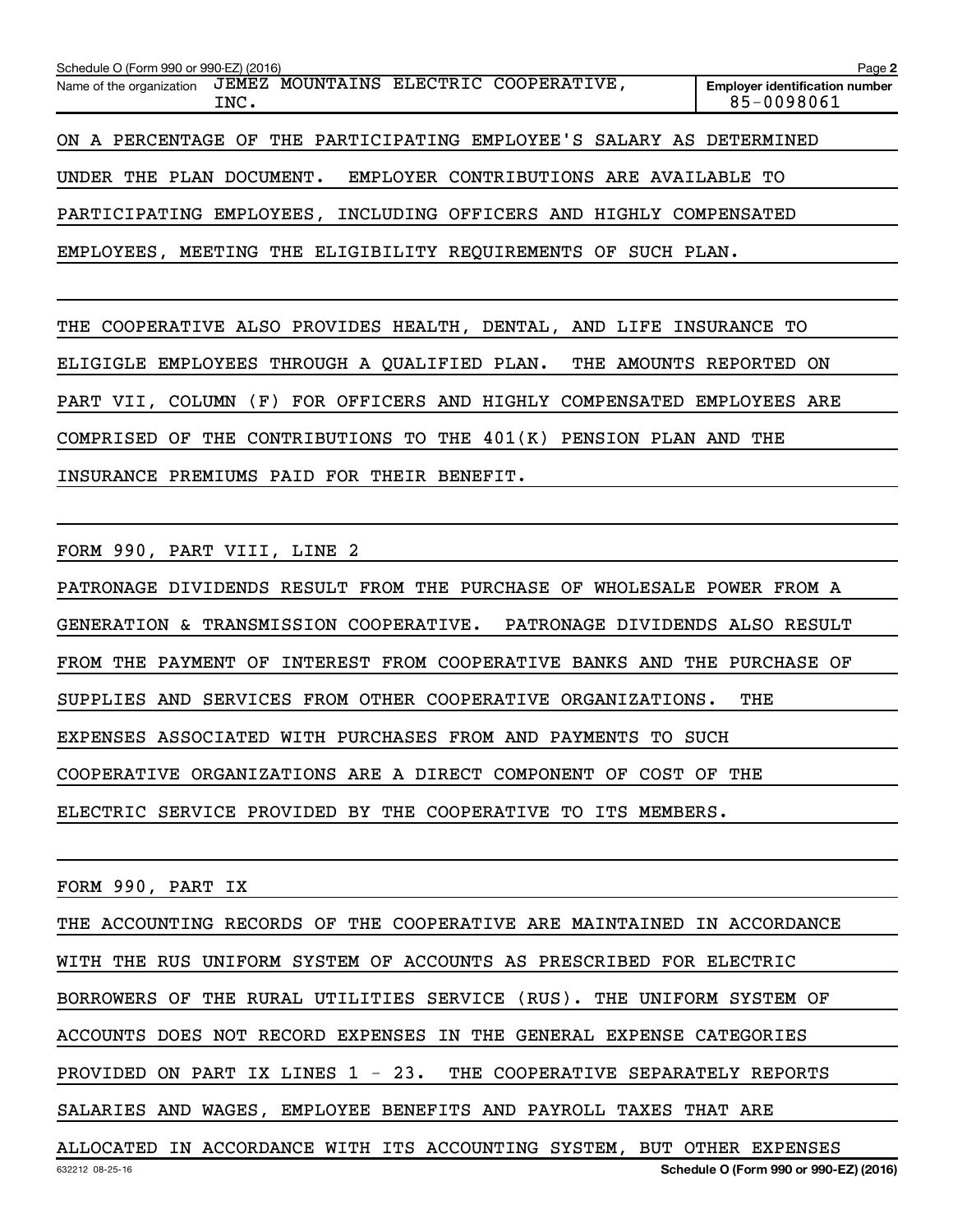| Schedule O (Form 990 or 990-EZ) (2016)                                    | Page 2                                              |
|---------------------------------------------------------------------------|-----------------------------------------------------|
| JEMEZ MOUNTAINS ELECTRIC COOPERATIVE,<br>Name of the organization<br>INC. | <b>Employer identification number</b><br>85-0098061 |
| ON A PERCENTAGE OF THE PARTICIPATING EMPLOYEE'S SALARY AS DETERMINED      |                                                     |
| EMPLOYER CONTRIBUTIONS ARE AVAILABLE TO<br>UNDER THE PLAN DOCUMENT.       |                                                     |
| PARTICIPATING EMPLOYEES, INCLUDING OFFICERS AND HIGHLY COMPENSATED        |                                                     |
| EMPLOYEES, MEETING THE ELIGIBILITY REQUIREMENTS OF SUCH PLAN.             |                                                     |

THE COOPERATIVE ALSO PROVIDES HEALTH, DENTAL, AND LIFE INSURANCE TO ELIGIGLE EMPLOYEES THROUGH A QUALIFIED PLAN. THE AMOUNTS REPORTED ON PART VII, COLUMN (F) FOR OFFICERS AND HIGHLY COMPENSATED EMPLOYEES ARE COMPRISED OF THE CONTRIBUTIONS TO THE 401(K) PENSION PLAN AND THE INSURANCE PREMIUMS PAID FOR THEIR BENEFIT.

FORM 990, PART VIII, LINE 2

PATRONAGE DIVIDENDS RESULT FROM THE PURCHASE OF WHOLESALE POWER FROM A GENERATION & TRANSMISSION COOPERATIVE. PATRONAGE DIVIDENDS ALSO RESULT FROM THE PAYMENT OF INTEREST FROM COOPERATIVE BANKS AND THE PURCHASE OF SUPPLIES AND SERVICES FROM OTHER COOPERATIVE ORGANIZATIONS. THE EXPENSES ASSOCIATED WITH PURCHASES FROM AND PAYMENTS TO SUCH COOPERATIVE ORGANIZATIONS ARE A DIRECT COMPONENT OF COST OF THE ELECTRIC SERVICE PROVIDED BY THE COOPERATIVE TO ITS MEMBERS.

FORM 990, PART IX

THE ACCOUNTING RECORDS OF THE COOPERATIVE ARE MAINTAINED IN ACCORDANCE WITH THE RUS UNIFORM SYSTEM OF ACCOUNTS AS PRESCRIBED FOR ELECTRIC BORROWERS OF THE RURAL UTILITIES SERVICE (RUS). THE UNIFORM SYSTEM OF ACCOUNTS DOES NOT RECORD EXPENSES IN THE GENERAL EXPENSE CATEGORIES PROVIDED ON PART IX LINES 1 - 23. THE COOPERATIVE SEPARATELY REPORTS SALARIES AND WAGES, EMPLOYEE BENEFITS AND PAYROLL TAXES THAT ARE ALLOCATED IN ACCORDANCE WITH ITS ACCOUNTING SYSTEM, BUT OTHER EXPENSES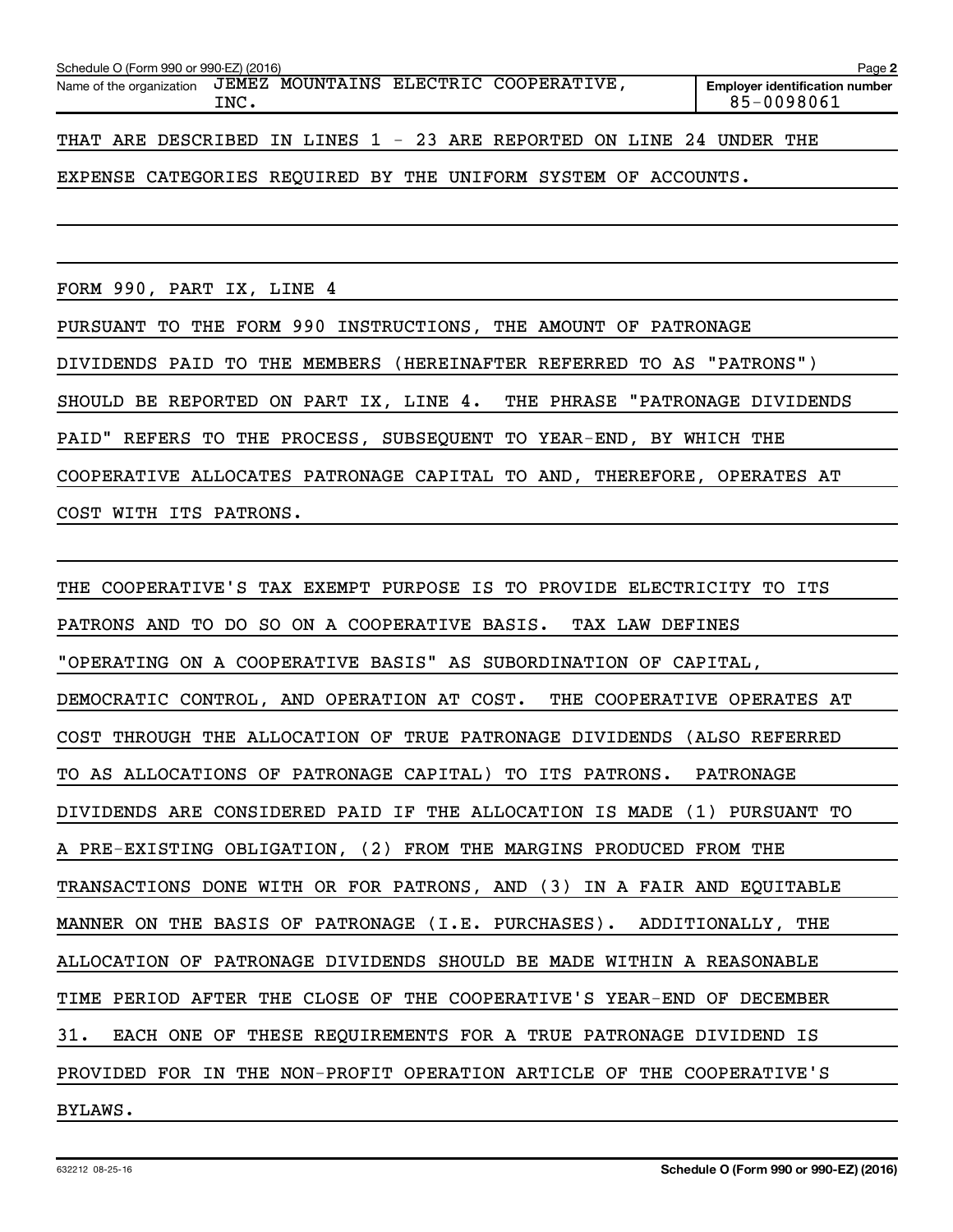| Schedule O (Form 990 or 990-EZ) (2016)                               | Page 2 |  |                                       |                                                     |
|----------------------------------------------------------------------|--------|--|---------------------------------------|-----------------------------------------------------|
| Name of the organization                                             | INC.   |  | JEMEZ MOUNTAINS ELECTRIC COOPERATIVE, | <b>Employer identification number</b><br>85-0098061 |
| THAT ARE DESCRIBED IN LINES 1 - 23 ARE REPORTED ON LINE 24 UNDER THE |        |  |                                       |                                                     |

#### EXPENSE CATEGORIES REQUIRED BY THE UNIFORM SYSTEM OF ACCOUNTS.

FORM 990, PART IX, LINE 4

PURSUANT TO THE FORM 990 INSTRUCTIONS, THE AMOUNT OF PATRONAGE DIVIDENDS PAID TO THE MEMBERS (HEREINAFTER REFERRED TO AS "PATRONS") SHOULD BE REPORTED ON PART IX, LINE 4. THE PHRASE "PATRONAGE DIVIDENDS PAID" REFERS TO THE PROCESS, SUBSEQUENT TO YEAR-END, BY WHICH THE COOPERATIVE ALLOCATES PATRONAGE CAPITAL TO AND, THEREFORE, OPERATES AT COST WITH ITS PATRONS.

THE COOPERATIVE'S TAX EXEMPT PURPOSE IS TO PROVIDE ELECTRICITY TO ITS PATRONS AND TO DO SO ON A COOPERATIVE BASIS. TAX LAW DEFINES "OPERATING ON A COOPERATIVE BASIS" AS SUBORDINATION OF CAPITAL, DEMOCRATIC CONTROL, AND OPERATION AT COST. THE COOPERATIVE OPERATES AT COST THROUGH THE ALLOCATION OF TRUE PATRONAGE DIVIDENDS (ALSO REFERRED TO AS ALLOCATIONS OF PATRONAGE CAPITAL) TO ITS PATRONS. PATRONAGE DIVIDENDS ARE CONSIDERED PAID IF THE ALLOCATION IS MADE (1) PURSUANT TO A PRE-EXISTING OBLIGATION, (2) FROM THE MARGINS PRODUCED FROM THE TRANSACTIONS DONE WITH OR FOR PATRONS, AND (3) IN A FAIR AND EQUITABLE MANNER ON THE BASIS OF PATRONAGE (I.E. PURCHASES). ADDITIONALLY, THE ALLOCATION OF PATRONAGE DIVIDENDS SHOULD BE MADE WITHIN A REASONABLE TIME PERIOD AFTER THE CLOSE OF THE COOPERATIVE'S YEAR-END OF DECEMBER 31. EACH ONE OF THESE REQUIREMENTS FOR A TRUE PATRONAGE DIVIDEND IS PROVIDED FOR IN THE NON-PROFIT OPERATION ARTICLE OF THE COOPERATIVE'S BYLAWS.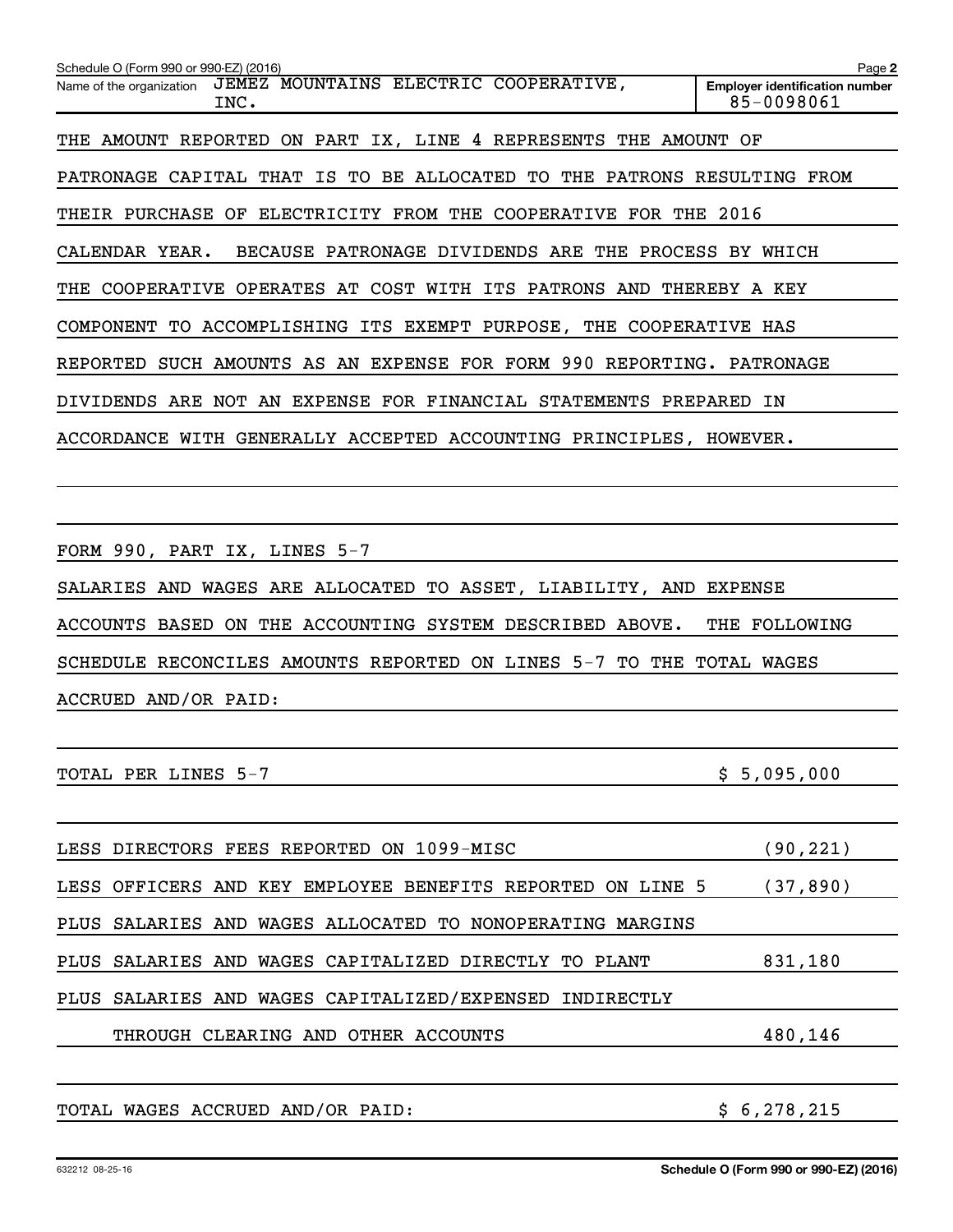| Schedule O (Form 990 or 990-EZ) (2016)                                    | Page 2                                              |
|---------------------------------------------------------------------------|-----------------------------------------------------|
| JEMEZ MOUNTAINS ELECTRIC COOPERATIVE,<br>Name of the organization<br>INC. | <b>Employer identification number</b><br>85-0098061 |
| THE AMOUNT REPORTED ON PART IX, LINE 4 REPRESENTS THE AMOUNT OF           |                                                     |
| PATRONAGE CAPITAL THAT IS TO BE ALLOCATED TO THE PATRONS RESULTING FROM   |                                                     |
| THEIR PURCHASE OF ELECTRICITY FROM THE COOPERATIVE FOR THE 2016           |                                                     |
| BECAUSE PATRONAGE DIVIDENDS ARE THE PROCESS BY WHICH<br>CALENDAR YEAR.    |                                                     |
| THE COOPERATIVE OPERATES AT COST WITH ITS PATRONS AND THEREBY A KEY       |                                                     |
| COMPONENT TO ACCOMPLISHING ITS EXEMPT PURPOSE, THE COOPERATIVE HAS        |                                                     |
| REPORTED SUCH AMOUNTS AS AN EXPENSE FOR FORM 990 REPORTING. PATRONAGE     |                                                     |
| DIVIDENDS ARE NOT AN EXPENSE FOR FINANCIAL STATEMENTS PREPARED IN         |                                                     |
| ACCORDANCE WITH GENERALLY ACCEPTED ACCOUNTING PRINCIPLES, HOWEVER.        |                                                     |
|                                                                           |                                                     |
| FORM 990, PART IX, LINES 5-7                                              |                                                     |
| SALARIES AND WAGES ARE ALLOCATED TO ASSET, LIABILITY, AND EXPENSE         |                                                     |
| ACCOUNTS BASED ON THE ACCOUNTING SYSTEM DESCRIBED ABOVE.                  | THE FOLLOWING                                       |
| SCHEDULE RECONCILES AMOUNTS REPORTED ON LINES 5-7 TO THE TOTAL WAGES      |                                                     |
| ACCRUED AND/OR PAID:                                                      |                                                     |
|                                                                           |                                                     |
| TOTAL PER LINES 5-7                                                       | \$5,095,000                                         |
| LESS DIRECTORS FEES REPORTED ON 1099-MISC                                 | (90,221)                                            |
| OFFICERS AND KEY EMPLOYEE BENEFITS REPORTED<br>LESS<br>ON LINE 5          | (37, 890)                                           |
| WAGES ALLOCATED<br><b>PLUS</b><br>SALARIES AND<br>TO NONOPERATING MARGINS |                                                     |
| CAPITALIZED DIRECTLY<br>PLUS<br>SALARIES AND<br>WAGES<br>TO PLANT         | 831,180                                             |
| PLUS<br>SALARIES AND WAGES CAPITALIZED/EXPENSED<br>INDIRECTLY             |                                                     |
| THROUGH CLEARING AND OTHER ACCOUNTS                                       | 480,146                                             |
|                                                                           |                                                     |
| TOTAL WAGES ACCRUED AND/OR PAID:                                          | \$6,278,215                                         |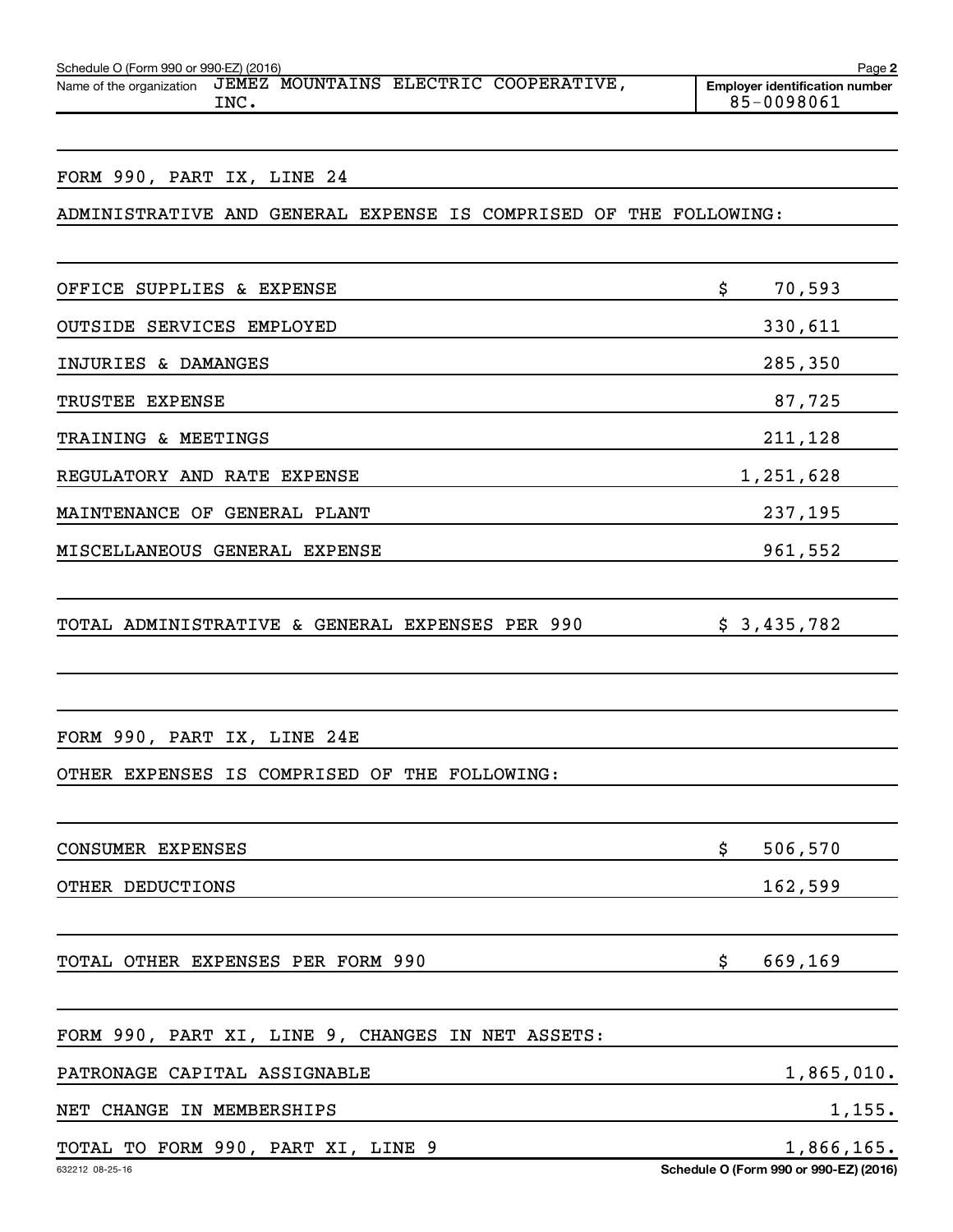| Schedule O (Form 990 or 990-EZ) (2016)<br>Page 2 |       |  |  |                                       |                                                     |  |  |  |
|--------------------------------------------------|-------|--|--|---------------------------------------|-----------------------------------------------------|--|--|--|
| Name of the organization                         | INC . |  |  | JEMEZ MOUNTAINS ELECTRIC COOPERATIVE, | <b>Emplover identification number</b><br>85-0098061 |  |  |  |

#### FORM 990, PART IX, LINE 24

## ADMINISTRATIVE AND GENERAL EXPENSE IS COMPRISED OF THE FOLLOWING:

| OFFICE SUPPLIES & EXPENSE                         | \$<br>70,593  |
|---------------------------------------------------|---------------|
| OUTSIDE SERVICES EMPLOYED                         | 330,611       |
| INJURIES & DAMANGES                               | 285,350       |
| TRUSTEE EXPENSE                                   | 87,725        |
| TRAINING & MEETINGS                               | 211,128       |
| REGULATORY AND RATE EXPENSE                       | 1,251,628     |
| MAINTENANCE OF GENERAL PLANT                      | 237,195       |
| MISCELLANEOUS GENERAL EXPENSE                     | 961,552       |
|                                                   |               |
| TOTAL ADMINISTRATIVE & GENERAL EXPENSES PER 990   | \$3,435,782   |
|                                                   |               |
|                                                   |               |
| FORM 990, PART IX, LINE 24E                       |               |
| OTHER EXPENSES IS COMPRISED OF THE FOLLOWING:     |               |
|                                                   |               |
| CONSUMER EXPENSES                                 | \$<br>506,570 |
| OTHER DEDUCTIONS                                  | 162,599       |
|                                                   |               |
| TOTAL OTHER EXPENSES PER FORM 990                 | \$<br>669,169 |
|                                                   |               |
| FORM 990, PART XI, LINE 9, CHANGES IN NET ASSETS: |               |

PATRONAGE CAPITAL ASSIGNABLE 1,865,010.

NET CHANGE IN MEMBERSHIPS 1,155.

# TOTAL TO FORM 990, PART XI, LINE 9 1,866,165.

**Schedule O (Form 990 or 990-EZ) (2016)**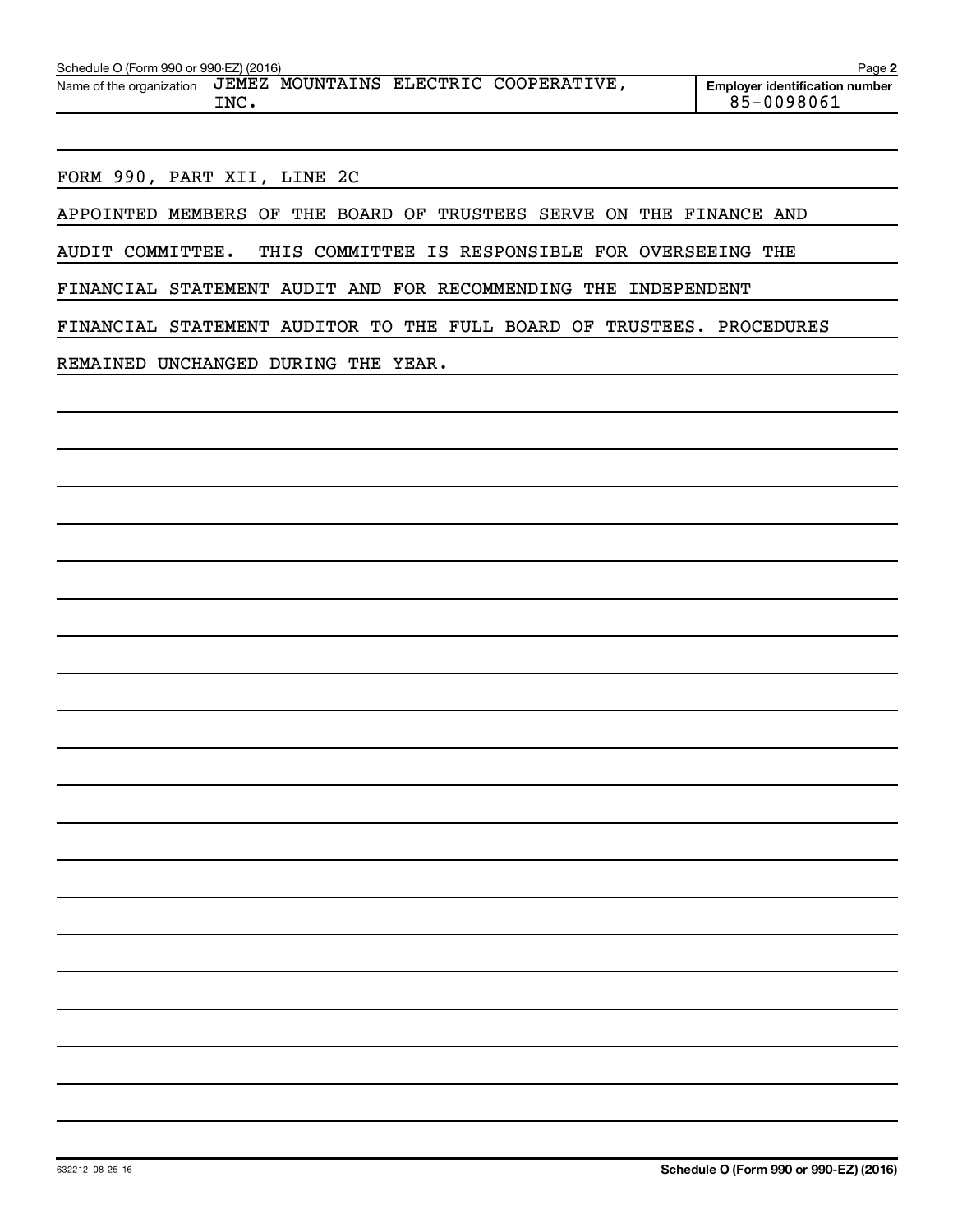| Schedule O (Form 990 or 990-EZ) (2016)<br>Page 2 |               |  |  |                                 |  |                                                     |  |  |  |
|--------------------------------------------------|---------------|--|--|---------------------------------|--|-----------------------------------------------------|--|--|--|
| Name of the organization                         | JEMEZ<br>INC. |  |  | MOUNTAINS ELECTRIC COOPERATIVE, |  | <b>Emplover identification number</b><br>85-0098061 |  |  |  |
|                                                  |               |  |  |                                 |  |                                                     |  |  |  |

FORM 990, PART XII, LINE 2C

APPOINTED MEMBERS OF THE BOARD OF TRUSTEES SERVE ON THE FINANCE AND

AUDIT COMMITTEE. THIS COMMITTEE IS RESPONSIBLE FOR OVERSEEING THE

FINANCIAL STATEMENT AUDIT AND FOR RECOMMENDING THE INDEPENDENT

FINANCIAL STATEMENT AUDITOR TO THE FULL BOARD OF TRUSTEES. PROCEDURES

REMAINED UNCHANGED DURING THE YEAR.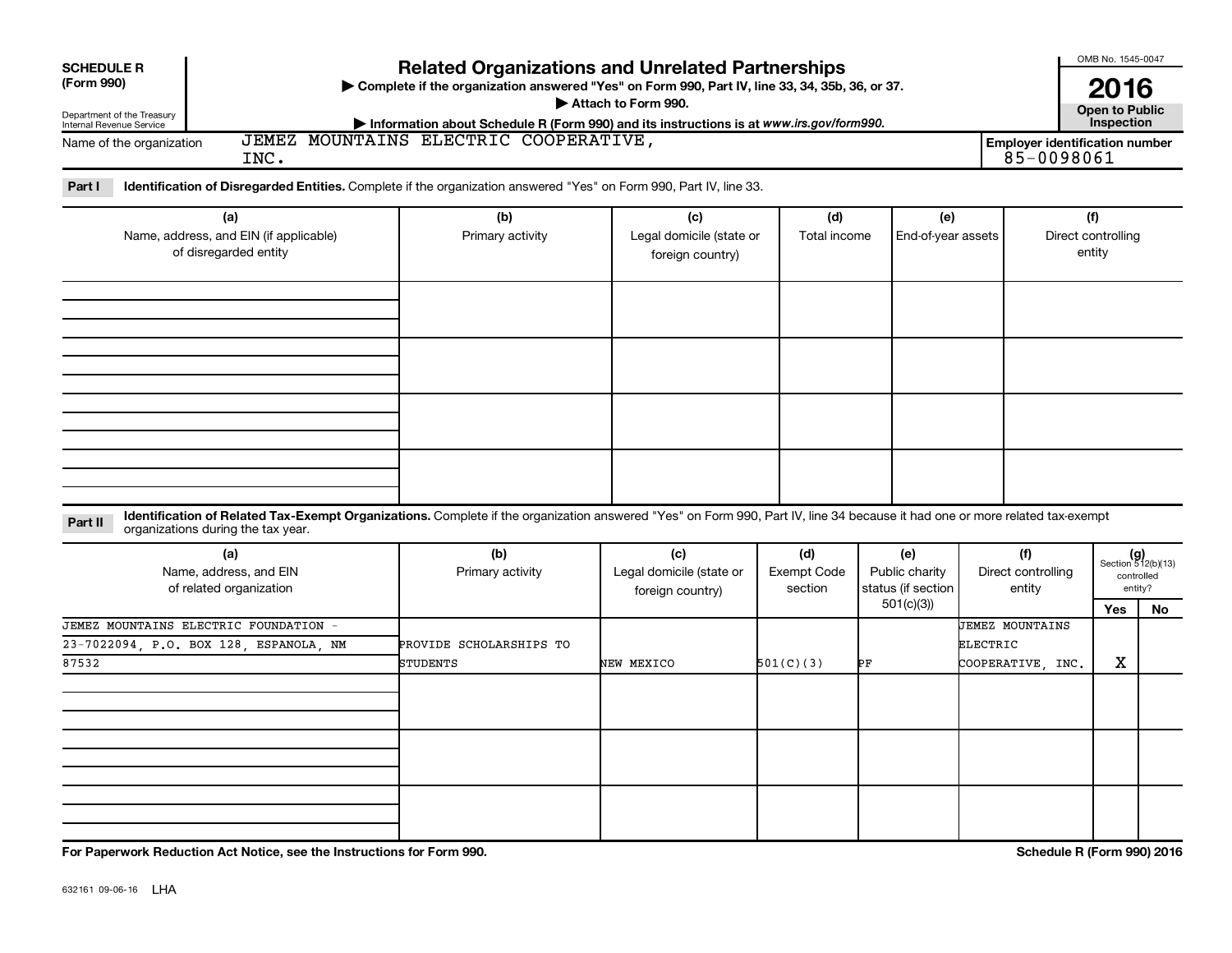| <b>SCHEDULE R</b>                                               |                                                                                                                                                                                    |                                                                                                                                                                             |                                                     |                                      |                                             |                                       | OMB No. 1545-0047                    |                                                      |  |  |  |
|-----------------------------------------------------------------|------------------------------------------------------------------------------------------------------------------------------------------------------------------------------------|-----------------------------------------------------------------------------------------------------------------------------------------------------------------------------|-----------------------------------------------------|--------------------------------------|---------------------------------------------|---------------------------------------|--------------------------------------|------------------------------------------------------|--|--|--|
| (Form 990)                                                      | <b>Related Organizations and Unrelated Partnerships</b><br>> Complete if the organization answered "Yes" on Form 990, Part IV, line 33, 34, 35b, 36, or 37.<br>Attach to Form 990. |                                                                                                                                                                             |                                                     |                                      |                                             |                                       |                                      |                                                      |  |  |  |
| Department of the Treasury<br>Internal Revenue Service          |                                                                                                                                                                                    | Information about Schedule R (Form 990) and its instructions is at www.irs.gov/form990.<br>JEMEZ MOUNTAINS ELECTRIC COOPERATIVE,                                            |                                                     |                                      |                                             | <b>Employer identification number</b> | <b>Open to Public<br/>Inspection</b> |                                                      |  |  |  |
| Name of the organization                                        | INC.                                                                                                                                                                               |                                                                                                                                                                             |                                                     |                                      |                                             | 85-0098061                            |                                      |                                                      |  |  |  |
| Part I                                                          |                                                                                                                                                                                    | Identification of Disregarded Entities. Complete if the organization answered "Yes" on Form 990, Part IV, line 33.                                                          |                                                     |                                      |                                             |                                       |                                      |                                                      |  |  |  |
|                                                                 | (a)                                                                                                                                                                                | (b)                                                                                                                                                                         | (c)                                                 | (d)                                  | (e)                                         |                                       | (f)                                  |                                                      |  |  |  |
| Name, address, and EIN (if applicable)<br>of disregarded entity |                                                                                                                                                                                    | Primary activity                                                                                                                                                            | Legal domicile (state or<br>foreign country)        | Total income                         | End-of-year assets                          |                                       | Direct controlling<br>entity         |                                                      |  |  |  |
|                                                                 |                                                                                                                                                                                    |                                                                                                                                                                             |                                                     |                                      |                                             |                                       |                                      |                                                      |  |  |  |
|                                                                 |                                                                                                                                                                                    |                                                                                                                                                                             |                                                     |                                      |                                             |                                       |                                      |                                                      |  |  |  |
|                                                                 |                                                                                                                                                                                    |                                                                                                                                                                             |                                                     |                                      |                                             |                                       |                                      |                                                      |  |  |  |
|                                                                 |                                                                                                                                                                                    |                                                                                                                                                                             |                                                     |                                      |                                             |                                       |                                      |                                                      |  |  |  |
|                                                                 |                                                                                                                                                                                    |                                                                                                                                                                             |                                                     |                                      |                                             |                                       |                                      |                                                      |  |  |  |
| Part II                                                         | organizations during the tax year.                                                                                                                                                 | Identification of Related Tax-Exempt Organizations. Complete if the organization answered "Yes" on Form 990, Part IV, line 34 because it had one or more related tax-exempt |                                                     |                                      |                                             |                                       |                                      |                                                      |  |  |  |
|                                                                 | (a)<br>Name, address, and EIN<br>of related organization                                                                                                                           | (b)<br>Primary activity                                                                                                                                                     | (c)<br>Legal domicile (state or<br>foreign country) | (d)<br><b>Exempt Code</b><br>section | (e)<br>Public charity<br>status (if section | (f)<br>Direct controlling<br>entity   |                                      | $(g)$<br>Section 512(b)(13)<br>controlled<br>entity? |  |  |  |
|                                                                 |                                                                                                                                                                                    |                                                                                                                                                                             |                                                     |                                      | 501(c)(3)                                   |                                       | Yes                                  | No                                                   |  |  |  |
|                                                                 | JEMEZ MOUNTAINS ELECTRIC FOUNDATION -<br>23-7022094, P.O. BOX 128, ESPANOLA, NM                                                                                                    | PROVIDE SCHOLARSHIPS TO                                                                                                                                                     |                                                     |                                      |                                             | <b>JEMEZ MOUNTAINS</b><br>ELECTRIC    |                                      |                                                      |  |  |  |
| 87532                                                           |                                                                                                                                                                                    | <b>STUDENTS</b>                                                                                                                                                             | NEW MEXICO                                          | 501(C)(3)                            | ÞF                                          | COOPERATIVE, INC.                     | х                                    |                                                      |  |  |  |
|                                                                 |                                                                                                                                                                                    |                                                                                                                                                                             |                                                     |                                      |                                             |                                       |                                      |                                                      |  |  |  |
|                                                                 |                                                                                                                                                                                    |                                                                                                                                                                             |                                                     |                                      |                                             |                                       |                                      |                                                      |  |  |  |
|                                                                 |                                                                                                                                                                                    |                                                                                                                                                                             |                                                     |                                      |                                             |                                       |                                      |                                                      |  |  |  |
|                                                                 |                                                                                                                                                                                    |                                                                                                                                                                             |                                                     |                                      |                                             |                                       |                                      |                                                      |  |  |  |
|                                                                 | For Paperwork Reduction Act Notice, see the Instructions for Form 990.                                                                                                             |                                                                                                                                                                             |                                                     |                                      |                                             |                                       | Schedule R (Form 990) 2016           |                                                      |  |  |  |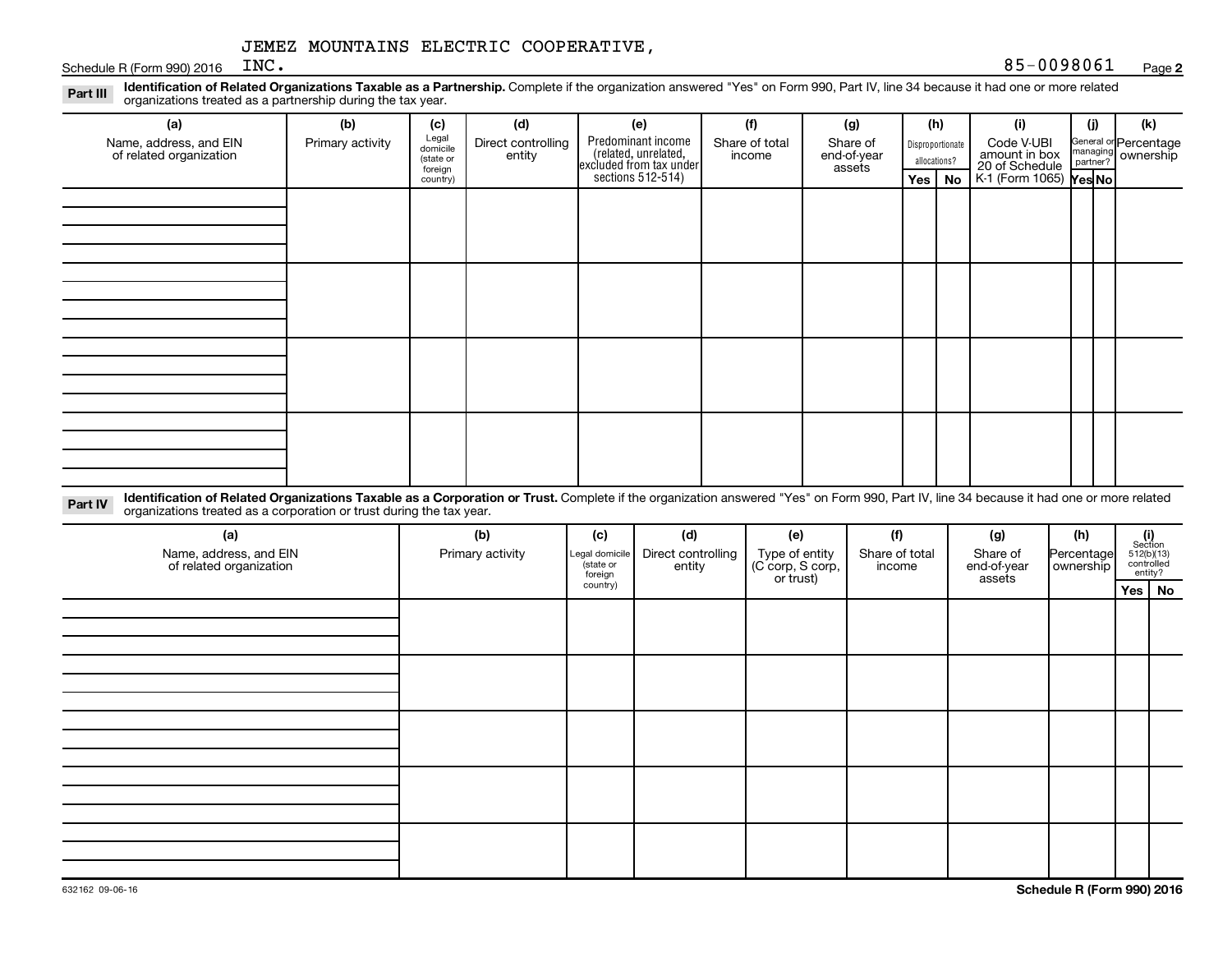Schedule R (Form 990) 2016  $INC$ .

Part III Identification of Related Organizations Taxable as a Partnership. Complete if the organization answered "Yes" on Form 990, Part IV, line 34 because it had one or more related<br>Read to the organizations tracted as a organizations treated as a partnership during the tax year.

| (a)                                               | (b)              | (c)                  | (d)                | (e)                                                                                        | (f)            | (g)                   |              | (h)              | (i)                             | (j) | (k)                                                     |
|---------------------------------------------------|------------------|----------------------|--------------------|--------------------------------------------------------------------------------------------|----------------|-----------------------|--------------|------------------|---------------------------------|-----|---------------------------------------------------------|
| Name, address, and EIN<br>of related organization | Primary activity | Legal<br>domicile    | Direct controlling |                                                                                            | Share of total | Share of              |              | Disproportionate | Code V-UBI                      |     | General or Percentage<br>managing ownership<br>partner? |
|                                                   |                  | (state or<br>foreign | entity             | Predominant income<br>(related, unrelated,<br>excluded from tax under<br>sections 512-514) | income         | end-of-year<br>assets | allocations? |                  | amount in box<br>20 of Schedule |     |                                                         |
|                                                   |                  | country)             |                    |                                                                                            |                |                       |              | Yes   No         | $K1$ (Form 1065) $\gamma$ es No |     |                                                         |
|                                                   |                  |                      |                    |                                                                                            |                |                       |              |                  |                                 |     |                                                         |
|                                                   |                  |                      |                    |                                                                                            |                |                       |              |                  |                                 |     |                                                         |
|                                                   |                  |                      |                    |                                                                                            |                |                       |              |                  |                                 |     |                                                         |
|                                                   |                  |                      |                    |                                                                                            |                |                       |              |                  |                                 |     |                                                         |
|                                                   |                  |                      |                    |                                                                                            |                |                       |              |                  |                                 |     |                                                         |
|                                                   |                  |                      |                    |                                                                                            |                |                       |              |                  |                                 |     |                                                         |
|                                                   |                  |                      |                    |                                                                                            |                |                       |              |                  |                                 |     |                                                         |
|                                                   |                  |                      |                    |                                                                                            |                |                       |              |                  |                                 |     |                                                         |
|                                                   |                  |                      |                    |                                                                                            |                |                       |              |                  |                                 |     |                                                         |
|                                                   |                  |                      |                    |                                                                                            |                |                       |              |                  |                                 |     |                                                         |
|                                                   |                  |                      |                    |                                                                                            |                |                       |              |                  |                                 |     |                                                         |
|                                                   |                  |                      |                    |                                                                                            |                |                       |              |                  |                                 |     |                                                         |
|                                                   |                  |                      |                    |                                                                                            |                |                       |              |                  |                                 |     |                                                         |
|                                                   |                  |                      |                    |                                                                                            |                |                       |              |                  |                                 |     |                                                         |
|                                                   |                  |                      |                    |                                                                                            |                |                       |              |                  |                                 |     |                                                         |
|                                                   |                  |                      |                    |                                                                                            |                |                       |              |                  |                                 |     |                                                         |
|                                                   |                  |                      |                    |                                                                                            |                |                       |              |                  |                                 |     |                                                         |

Part IV Identification of Related Organizations Taxable as a Corporation or Trust. Complete if the organization answered "Yes" on Form 990, Part IV, line 34 because it had one or more related<br>Complete intervals are accompa organizations treated as a corporation or trust during the tax year.

| (a)<br>Name, address, and EIN<br>of related organization | (b)<br>Primary activity | (c)<br>Legal domicile<br>(state or<br>foreign | (d)<br>Direct controlling<br>entity | (e)<br>Type of entity<br>(C corp, S corp,<br>or trust) | (f)<br>Share of total<br>income | (g)<br>Share of<br>end-of-year<br>assets | (h)<br>Percentage<br>  ownership | $\begin{array}{c} \textbf{(i)}\\ \text{Section}\\ 512 \textcolor{red}{(b)} \textcolor{red}{(13)}\\ \text{controlled} \\ \text{entity?} \end{array}$ |
|----------------------------------------------------------|-------------------------|-----------------------------------------------|-------------------------------------|--------------------------------------------------------|---------------------------------|------------------------------------------|----------------------------------|-----------------------------------------------------------------------------------------------------------------------------------------------------|
|                                                          |                         | country)                                      |                                     |                                                        |                                 |                                          |                                  | Yes   No                                                                                                                                            |
|                                                          |                         |                                               |                                     |                                                        |                                 |                                          |                                  |                                                                                                                                                     |
|                                                          |                         |                                               |                                     |                                                        |                                 |                                          |                                  |                                                                                                                                                     |
|                                                          |                         |                                               |                                     |                                                        |                                 |                                          |                                  |                                                                                                                                                     |
|                                                          |                         |                                               |                                     |                                                        |                                 |                                          |                                  |                                                                                                                                                     |
|                                                          |                         |                                               |                                     |                                                        |                                 |                                          |                                  |                                                                                                                                                     |
|                                                          |                         |                                               |                                     |                                                        |                                 |                                          |                                  |                                                                                                                                                     |
|                                                          |                         |                                               |                                     |                                                        |                                 |                                          |                                  |                                                                                                                                                     |
|                                                          |                         |                                               |                                     |                                                        |                                 |                                          |                                  |                                                                                                                                                     |
|                                                          |                         |                                               |                                     |                                                        |                                 |                                          |                                  |                                                                                                                                                     |
|                                                          |                         |                                               |                                     |                                                        |                                 |                                          |                                  |                                                                                                                                                     |
|                                                          |                         |                                               |                                     |                                                        |                                 |                                          |                                  |                                                                                                                                                     |
|                                                          |                         |                                               |                                     |                                                        |                                 |                                          |                                  |                                                                                                                                                     |
|                                                          |                         |                                               |                                     |                                                        |                                 |                                          |                                  |                                                                                                                                                     |
|                                                          |                         |                                               |                                     |                                                        |                                 |                                          |                                  |                                                                                                                                                     |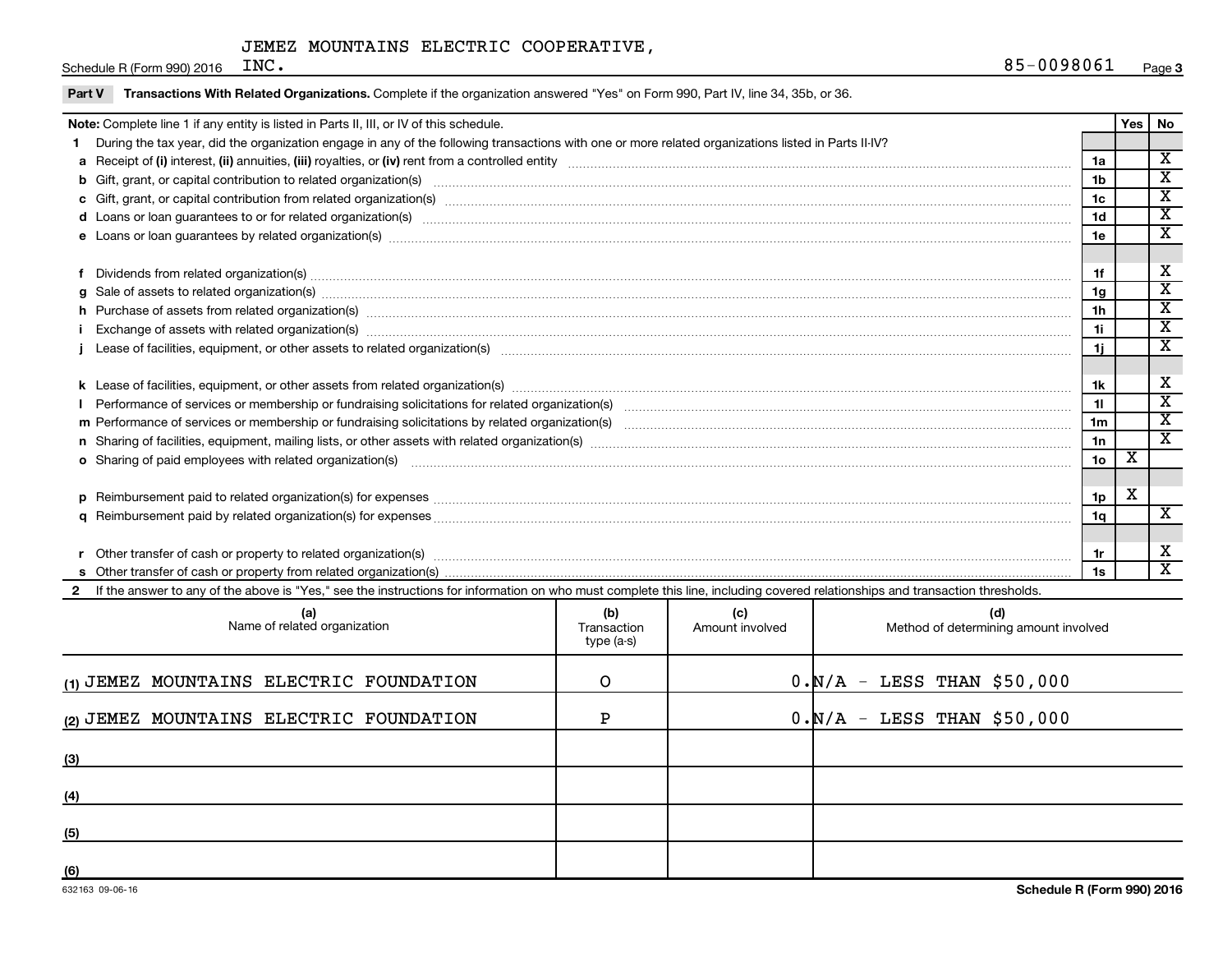Schedule R (Form 990) 2016  $INC$ .

Part V Transactions With Related Organizations. Complete if the organization answered "Yes" on Form 990, Part IV, line 34, 35b, or 36.

| Note: Complete line 1 if any entity is listed in Parts II, III, or IV of this schedule.                                                                                                                                        |                    |                        |                                              |                 | <b>Yes</b>              | No                          |  |
|--------------------------------------------------------------------------------------------------------------------------------------------------------------------------------------------------------------------------------|--------------------|------------------------|----------------------------------------------|-----------------|-------------------------|-----------------------------|--|
| During the tax year, did the organization engage in any of the following transactions with one or more related organizations listed in Parts II-IV?                                                                            |                    |                        |                                              |                 |                         |                             |  |
|                                                                                                                                                                                                                                |                    |                        |                                              | 1a              |                         | $\overline{\textbf{X}}$     |  |
| b Gift, grant, or capital contribution to related organization(s) manufactured content to content and contribution to related organization(s) manufactured content and content of the content of the content of the content of |                    |                        |                                              | 1b              |                         | $\overline{\texttt{x}}$     |  |
| 1c                                                                                                                                                                                                                             |                    |                        |                                              |                 |                         |                             |  |
| d Loans or loan guarantees to or for related organization(s) www.communically.com/www.communically.com/www.communically.com/www.communically.com/www.communically.com/www.communically.com/www.communically.com/www.communical |                    |                        |                                              | 1 <sub>d</sub>  |                         | $\overline{\texttt{x}}$     |  |
|                                                                                                                                                                                                                                |                    |                        |                                              | 1e              |                         | $\overline{\texttt{x}}$     |  |
|                                                                                                                                                                                                                                |                    |                        |                                              |                 |                         |                             |  |
| Dividends from related organization(s) manufactured and contract and contract and contract and contract and contract and contract and contract and contract and contract and contract and contract and contract and contract a |                    |                        |                                              | 1f              |                         | х                           |  |
|                                                                                                                                                                                                                                |                    |                        |                                              | 1g              |                         | $\overline{\texttt{x}}$     |  |
| h Purchase of assets from related organization(s) machinesis and content to content the content of an analyzing or content of a set of assets from related organization(s) machinesis and content to content the content of a  |                    |                        |                                              | 1 <sub>h</sub>  |                         | $\overline{\textnormal{x}}$ |  |
|                                                                                                                                                                                                                                |                    |                        |                                              | 1i              |                         | $\overline{\texttt{x}}$     |  |
|                                                                                                                                                                                                                                |                    |                        |                                              | 1j.             |                         | $\overline{\texttt{x}}$     |  |
|                                                                                                                                                                                                                                |                    |                        |                                              |                 |                         |                             |  |
|                                                                                                                                                                                                                                |                    |                        |                                              | 1k              |                         | х                           |  |
|                                                                                                                                                                                                                                |                    |                        |                                              | 11              |                         | $\overline{\texttt{x}}$     |  |
|                                                                                                                                                                                                                                |                    |                        |                                              | 1m              |                         | $\overline{\textnormal{x}}$ |  |
|                                                                                                                                                                                                                                |                    |                        |                                              | 1n              |                         | $\overline{\texttt{x}}$     |  |
| o Sharing of paid employees with related organization(s) manufactured content to the state of the state of the state organization(s) manufactured content of the state organization(s) manufactured content of the state of th |                    |                        |                                              | 10 <sub>o</sub> | $\overline{\mathbf{X}}$ |                             |  |
|                                                                                                                                                                                                                                |                    |                        |                                              |                 |                         |                             |  |
|                                                                                                                                                                                                                                |                    |                        |                                              | 1p              | X                       |                             |  |
|                                                                                                                                                                                                                                |                    |                        |                                              | 1q              |                         | $\overline{\textbf{x}}$     |  |
|                                                                                                                                                                                                                                |                    |                        |                                              |                 |                         |                             |  |
| Other transfer of cash or property to related organization(s) www.communities.com/www.communities/communities/                                                                                                                 |                    |                        |                                              | 1r              |                         | х                           |  |
|                                                                                                                                                                                                                                |                    |                        |                                              | 1s              |                         | $\overline{\texttt{x}}$     |  |
| If the answer to any of the above is "Yes," see the instructions for information on who must complete this line, including covered relationships and transaction thresholds.                                                   |                    |                        |                                              |                 |                         |                             |  |
| (a)<br>Name of related organization                                                                                                                                                                                            | (b)<br>Transaction | (c)<br>Amount involved | (d)<br>Method of determining amount involved |                 |                         |                             |  |

| (a)<br>Name of related organization     | נטן<br>Transaction<br>type (a-s) | ्ज<br>Amount involved | (u)<br>Method of determining amount involved |
|-----------------------------------------|----------------------------------|-----------------------|----------------------------------------------|
| (1) JEMEZ MOUNTAINS ELECTRIC FOUNDATION | O                                |                       | $0. N/A - LESS$ THAN \$50,000                |
| (2) JEMEZ MOUNTAINS ELECTRIC FOUNDATION | ם                                |                       | $0. N/A - LESS$ THAN \$50,000                |
| (3)                                     |                                  |                       |                                              |
| (4)                                     |                                  |                       |                                              |
| (5)                                     |                                  |                       |                                              |
| (6)                                     |                                  |                       |                                              |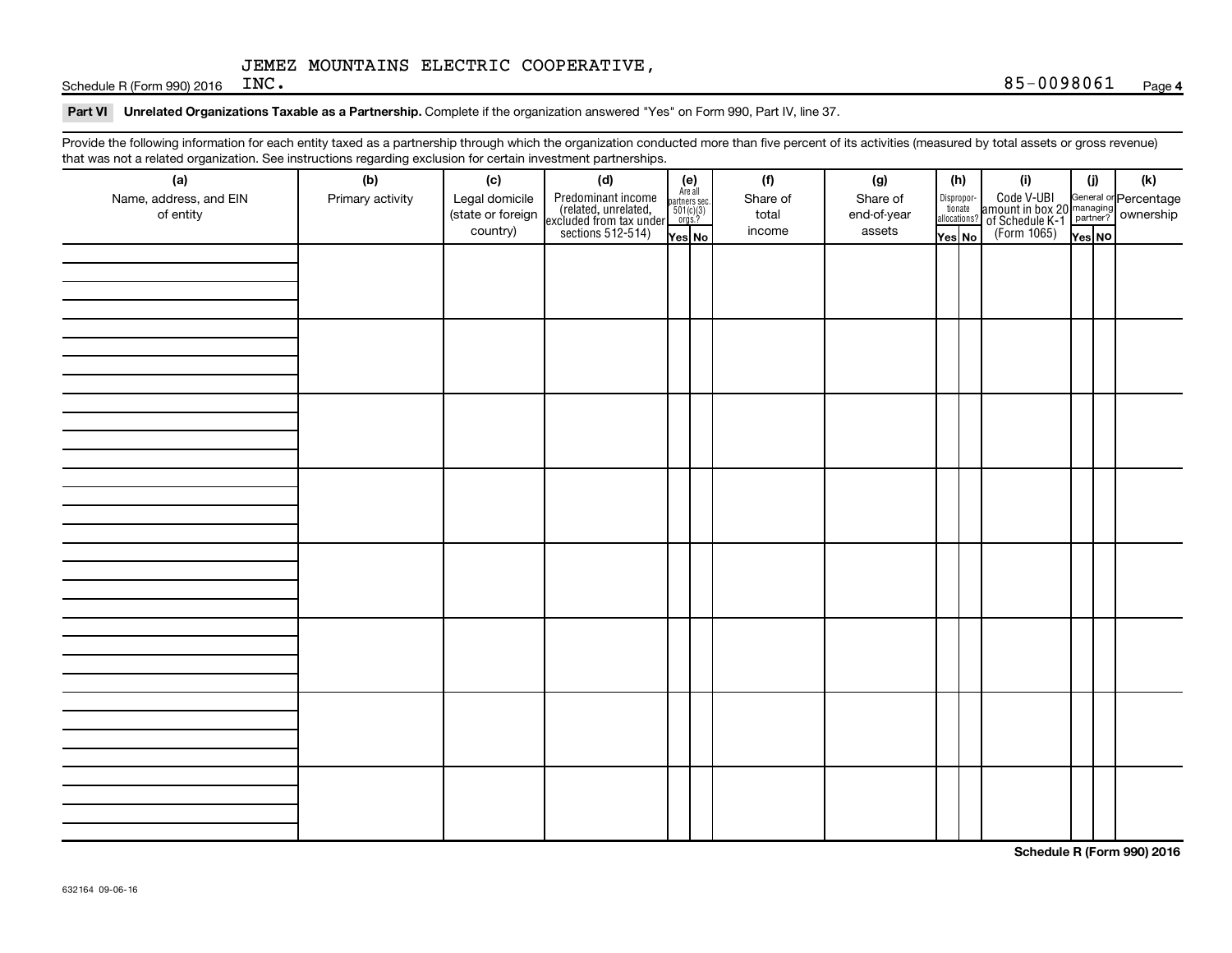Schedule R (Form 990) 2016  $INC$ .

#### Part VI Unrelated Organizations Taxable as a Partnership. Complete if the organization answered "Yes" on Form 990, Part IV, line 37.

Provide the following information for each entity taxed as a partnership through which the organization conducted more than five percent of its activities (measured by total assets or gross revenue) that was not a related organization. See instructions regarding exclusion for certain investment partnerships.

| that was not a related erganization. Occ included by regarding exclusion for cortain investment partnerships.<br>(a) | (b)              | (c)                                 | (d)                                                                                        |                                                          |  | (f)               | (g)                     |        | (h)                              | (i)                                                                                                | (i)    | (k) |
|----------------------------------------------------------------------------------------------------------------------|------------------|-------------------------------------|--------------------------------------------------------------------------------------------|----------------------------------------------------------|--|-------------------|-------------------------|--------|----------------------------------|----------------------------------------------------------------------------------------------------|--------|-----|
| Name, address, and EIN<br>of entity                                                                                  | Primary activity | Legal domicile<br>(state or foreign | Predominant income<br>(related, unrelated,<br>excluded from tax under<br>sections 512-514) | (e)<br>Are all<br>partners sec.<br>$501(c)(3)$<br>orgs.? |  | Share of<br>total | Share of<br>end-of-year |        | Disproportionate<br>allocations? | Code V-UBI<br>amount in box 20 managing<br>of Schedule K-1<br>(Form 1065)<br>$\overline{V}$ ves No |        |     |
|                                                                                                                      |                  | country)                            |                                                                                            | Yes No                                                   |  | income            | assets                  | Yes No |                                  |                                                                                                    | Yes NO |     |
|                                                                                                                      |                  |                                     |                                                                                            |                                                          |  |                   |                         |        |                                  |                                                                                                    |        |     |
|                                                                                                                      |                  |                                     |                                                                                            |                                                          |  |                   |                         |        |                                  |                                                                                                    |        |     |
|                                                                                                                      |                  |                                     |                                                                                            |                                                          |  |                   |                         |        |                                  |                                                                                                    |        |     |
|                                                                                                                      |                  |                                     |                                                                                            |                                                          |  |                   |                         |        |                                  |                                                                                                    |        |     |
|                                                                                                                      |                  |                                     |                                                                                            |                                                          |  |                   |                         |        |                                  |                                                                                                    |        |     |
|                                                                                                                      |                  |                                     |                                                                                            |                                                          |  |                   |                         |        |                                  |                                                                                                    |        |     |
|                                                                                                                      |                  |                                     |                                                                                            |                                                          |  |                   |                         |        |                                  |                                                                                                    |        |     |
|                                                                                                                      |                  |                                     |                                                                                            |                                                          |  |                   |                         |        |                                  |                                                                                                    |        |     |
|                                                                                                                      |                  |                                     |                                                                                            |                                                          |  |                   |                         |        |                                  |                                                                                                    |        |     |
|                                                                                                                      |                  |                                     |                                                                                            |                                                          |  |                   |                         |        |                                  |                                                                                                    |        |     |
|                                                                                                                      |                  |                                     |                                                                                            |                                                          |  |                   |                         |        |                                  |                                                                                                    |        |     |
|                                                                                                                      |                  |                                     |                                                                                            |                                                          |  |                   |                         |        |                                  |                                                                                                    |        |     |
|                                                                                                                      |                  |                                     |                                                                                            |                                                          |  |                   |                         |        |                                  |                                                                                                    |        |     |
|                                                                                                                      |                  |                                     |                                                                                            |                                                          |  |                   |                         |        |                                  |                                                                                                    |        |     |
|                                                                                                                      |                  |                                     |                                                                                            |                                                          |  |                   |                         |        |                                  |                                                                                                    |        |     |
|                                                                                                                      |                  |                                     |                                                                                            |                                                          |  |                   |                         |        |                                  |                                                                                                    |        |     |
|                                                                                                                      |                  |                                     |                                                                                            |                                                          |  |                   |                         |        |                                  |                                                                                                    |        |     |
|                                                                                                                      |                  |                                     |                                                                                            |                                                          |  |                   |                         |        |                                  |                                                                                                    |        |     |
|                                                                                                                      |                  |                                     |                                                                                            |                                                          |  |                   |                         |        |                                  |                                                                                                    |        |     |
|                                                                                                                      |                  |                                     |                                                                                            |                                                          |  |                   |                         |        |                                  |                                                                                                    |        |     |
|                                                                                                                      |                  |                                     |                                                                                            |                                                          |  |                   |                         |        |                                  |                                                                                                    |        |     |
|                                                                                                                      |                  |                                     |                                                                                            |                                                          |  |                   |                         |        |                                  |                                                                                                    |        |     |
|                                                                                                                      |                  |                                     |                                                                                            |                                                          |  |                   |                         |        |                                  |                                                                                                    |        |     |
|                                                                                                                      |                  |                                     |                                                                                            |                                                          |  |                   |                         |        |                                  |                                                                                                    |        |     |
|                                                                                                                      |                  |                                     |                                                                                            |                                                          |  |                   |                         |        |                                  |                                                                                                    |        |     |
|                                                                                                                      |                  |                                     |                                                                                            |                                                          |  |                   |                         |        |                                  |                                                                                                    |        |     |
|                                                                                                                      |                  |                                     |                                                                                            |                                                          |  |                   |                         |        |                                  |                                                                                                    |        |     |
|                                                                                                                      |                  |                                     |                                                                                            |                                                          |  |                   |                         |        |                                  |                                                                                                    |        |     |
|                                                                                                                      |                  |                                     |                                                                                            |                                                          |  |                   |                         |        |                                  |                                                                                                    |        |     |
|                                                                                                                      |                  |                                     |                                                                                            |                                                          |  |                   |                         |        |                                  |                                                                                                    |        |     |
|                                                                                                                      |                  |                                     |                                                                                            |                                                          |  |                   |                         |        |                                  |                                                                                                    |        |     |
|                                                                                                                      |                  |                                     |                                                                                            |                                                          |  |                   |                         |        |                                  |                                                                                                    |        |     |

**Schedule R (Form 990) 2016**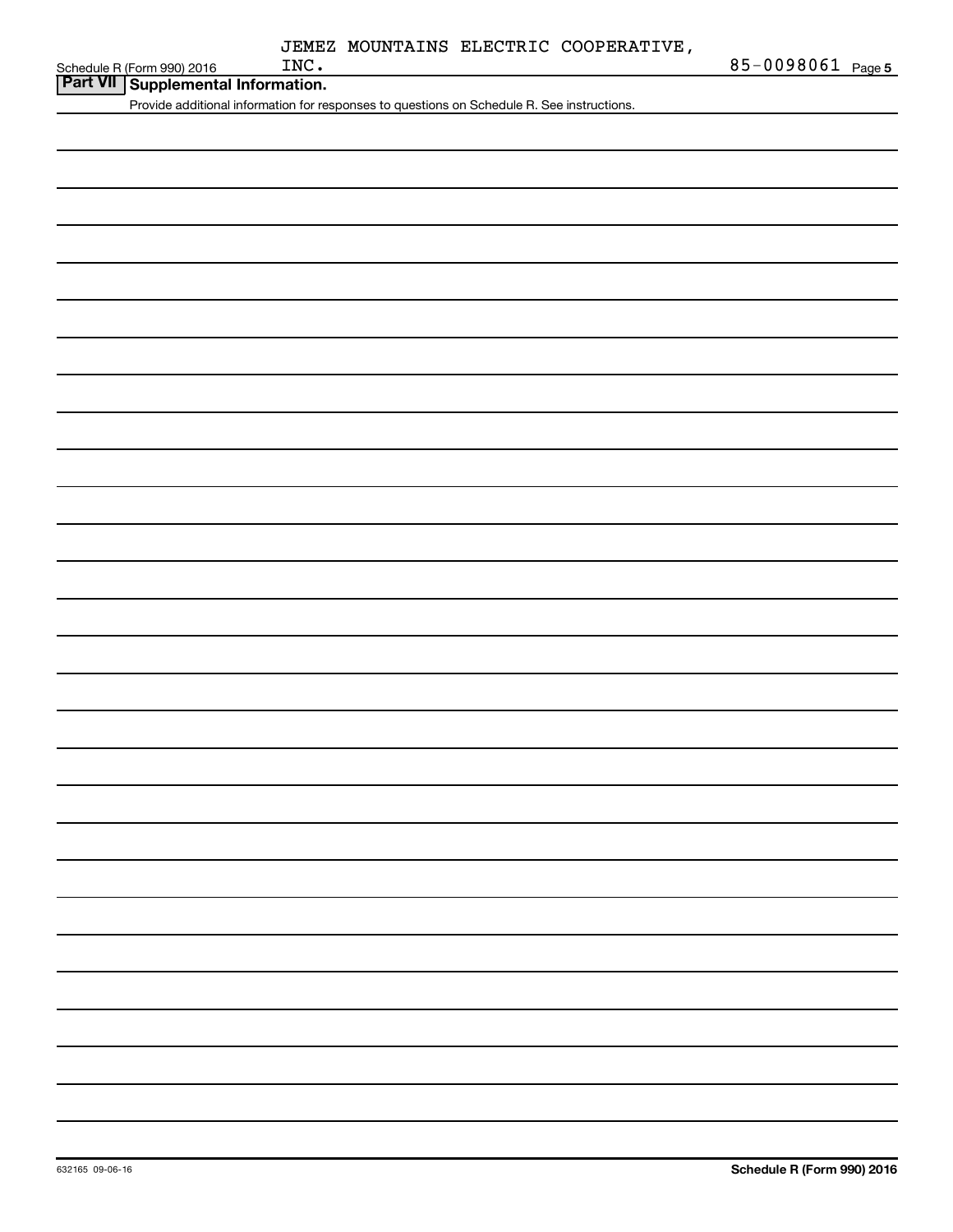| Schedule R (Form 990) 2016 |  |
|----------------------------|--|

| Part VII Supplemental Information.         |
|--------------------------------------------|
| Provide additional information for respons |
|                                            |

es to questions on Schedule R. See instructions.